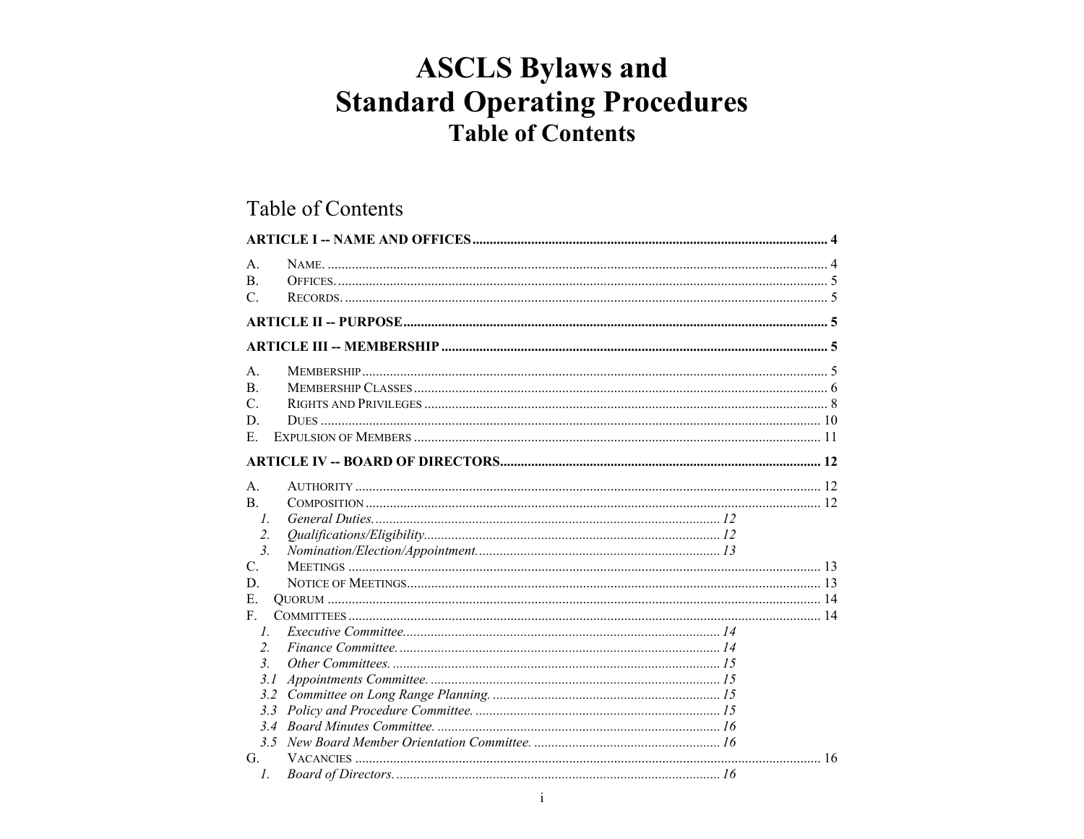## **ASCLS Bylaws and Standard Operating Procedures Table of Contents**

## Table of Contents

| $\mathsf{A}$ .<br>$\mathbf{B}$ .<br>$\mathcal{C}$ .                         |  |
|-----------------------------------------------------------------------------|--|
|                                                                             |  |
|                                                                             |  |
| $\mathsf{A}$ .<br>$\mathbf{B}$ .<br>$C_{\cdot}$<br>D.<br>$E_{\rm c}$        |  |
|                                                                             |  |
| $\mathsf{A}$ .<br>$\mathbf{B}$ .<br>$\mathcal{I}$ .<br>2.<br>3 <sub>1</sub> |  |
| $C_{\cdot}$<br>D.<br>Ε.                                                     |  |
| F.<br>$\mathcal{I}$ .<br>2.<br>$\mathcal{E}$<br>3.1                         |  |
| G.<br>$\mathcal{I}$ .                                                       |  |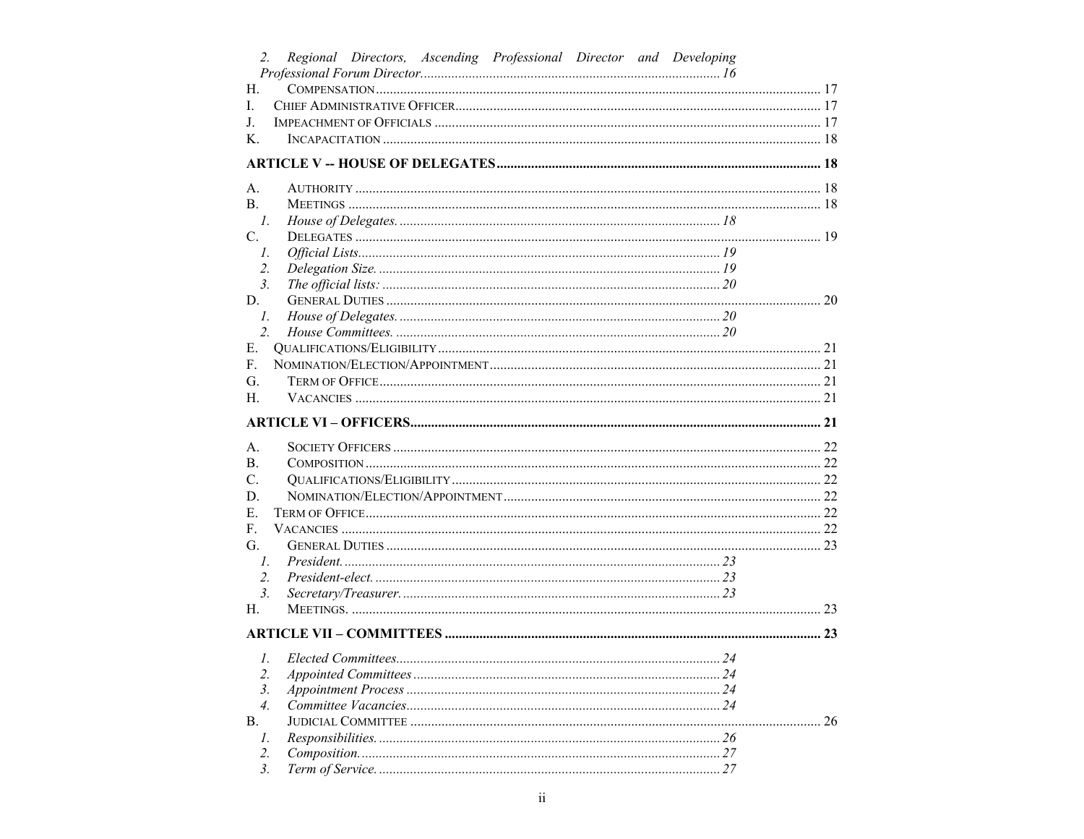| 2.               | Regional Directors, Ascending Professional Director and Developing |  |
|------------------|--------------------------------------------------------------------|--|
|                  |                                                                    |  |
| Н.               |                                                                    |  |
| L.               |                                                                    |  |
| J.               |                                                                    |  |
| Κ.               |                                                                    |  |
|                  |                                                                    |  |
| А.               |                                                                    |  |
| В.               |                                                                    |  |
| $\mathcal{I}$ .  |                                                                    |  |
| $C_{\cdot}$      |                                                                    |  |
| $I_{\cdot}$      |                                                                    |  |
| 2.               |                                                                    |  |
| $\mathfrak{Z}$ . |                                                                    |  |
| D.               |                                                                    |  |
| Ι.               |                                                                    |  |
| $\overline{2}$ . |                                                                    |  |
| E.               |                                                                    |  |
| F.               |                                                                    |  |
| G.               |                                                                    |  |
| Н.               |                                                                    |  |
|                  |                                                                    |  |
| А.               |                                                                    |  |
| В.               |                                                                    |  |
| C.               |                                                                    |  |
| D.               |                                                                    |  |
| E.               |                                                                    |  |
| F.               |                                                                    |  |
| G.               |                                                                    |  |
| $\mathcal{I}$ .  |                                                                    |  |
| 2.               |                                                                    |  |
| $\mathfrak{Z}$ . |                                                                    |  |
| Н.               |                                                                    |  |
|                  |                                                                    |  |
|                  |                                                                    |  |
|                  |                                                                    |  |
| 2.<br>3.         |                                                                    |  |
| $\overline{4}$ . |                                                                    |  |
|                  |                                                                    |  |
| В.               |                                                                    |  |
| 1.<br>2.         |                                                                    |  |
| 3.               |                                                                    |  |
|                  |                                                                    |  |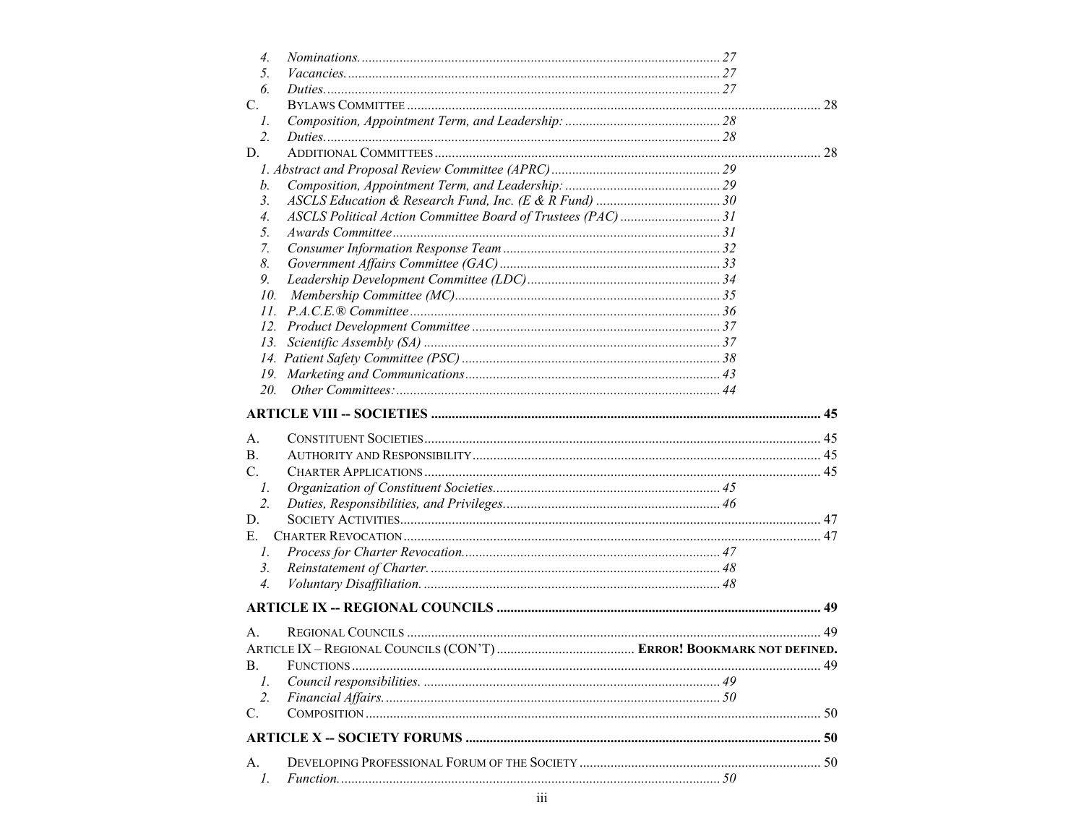| $\overline{4}$ . |  |    |
|------------------|--|----|
| 5.               |  |    |
| 6.               |  |    |
| C.               |  |    |
| $\mathcal{I}$ .  |  |    |
| $\overline{2}$ . |  |    |
| D.               |  |    |
|                  |  |    |
| b.               |  |    |
| $\mathfrak{Z}$ . |  |    |
| 4.               |  |    |
| 5.               |  |    |
| 7.               |  |    |
| 8.               |  |    |
| 9.               |  |    |
| 10.              |  |    |
|                  |  |    |
|                  |  |    |
| 13.              |  |    |
|                  |  |    |
|                  |  |    |
| 20.              |  |    |
|                  |  |    |
| А.               |  |    |
| <b>B.</b>        |  |    |
| $C_{\cdot}$      |  |    |
| 1.               |  |    |
| 2.               |  |    |
| D.               |  |    |
| E.               |  |    |
|                  |  |    |
| 1.<br>3.         |  |    |
| $\overline{4}$ . |  |    |
|                  |  |    |
|                  |  |    |
| А.               |  |    |
|                  |  |    |
| В.               |  | 49 |
| 1.               |  |    |
| $\overline{2}$ . |  |    |
| C.               |  |    |
|                  |  |    |
| А.               |  |    |
| $\mathcal{I}$ .  |  |    |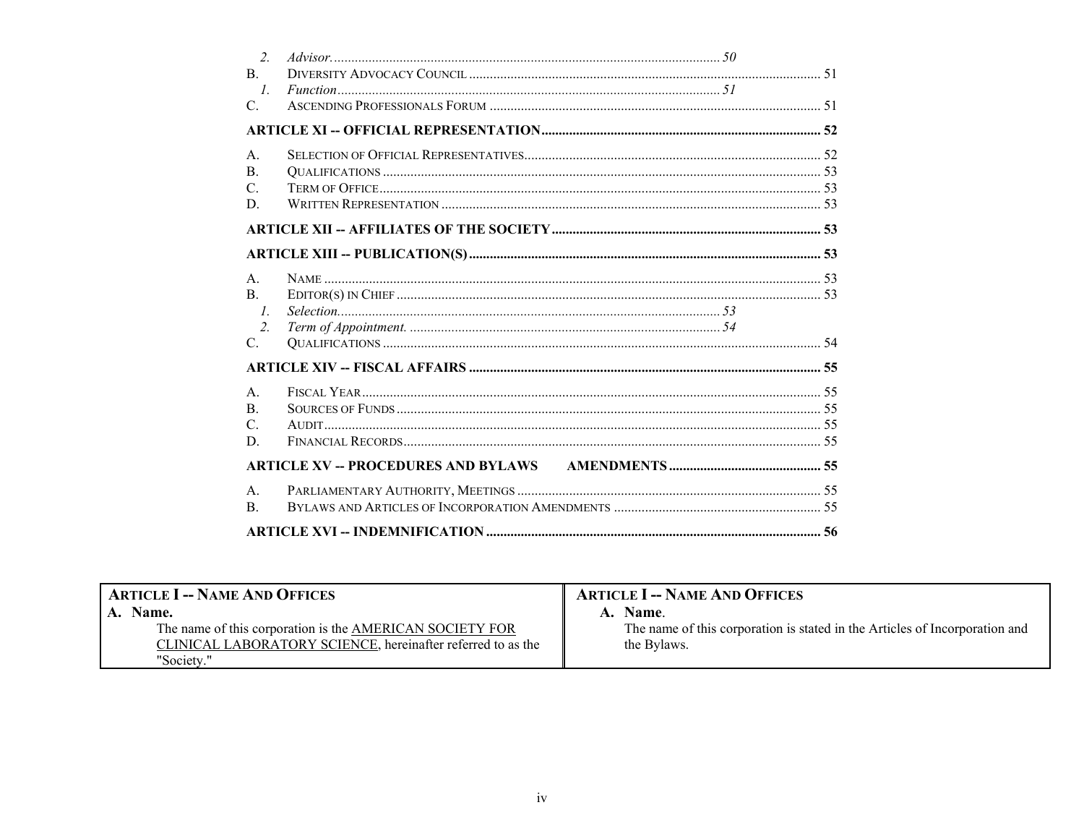| $\overline{2}$  |  |  |
|-----------------|--|--|
| <b>B.</b>       |  |  |
| $\mathcal{I}$   |  |  |
| $C_{\cdot}$     |  |  |
|                 |  |  |
| A.              |  |  |
| $\mathbf{B}$ .  |  |  |
| $\mathcal{C}$ . |  |  |
| D.              |  |  |
|                 |  |  |
|                 |  |  |
| $A_{\cdot}$     |  |  |
| $\mathbf{B}$ .  |  |  |
| $\mathcal{I}$   |  |  |
| 2.              |  |  |
| $C_{\cdot}$     |  |  |
|                 |  |  |
| A.              |  |  |
| <b>B.</b>       |  |  |
| $C_{\cdot}$     |  |  |
| D.              |  |  |
|                 |  |  |
| $\mathsf{A}$ .  |  |  |
| $\mathbf{B}$ .  |  |  |
|                 |  |  |

<span id="page-3-1"></span><span id="page-3-0"></span>

| <b>ARTICLE I -- NAME AND OFFICES</b>                                                                   |
|--------------------------------------------------------------------------------------------------------|
| A. Name.<br>The name of this corporation is stated in the Articles of Incorporation and<br>the Bylaws. |
|                                                                                                        |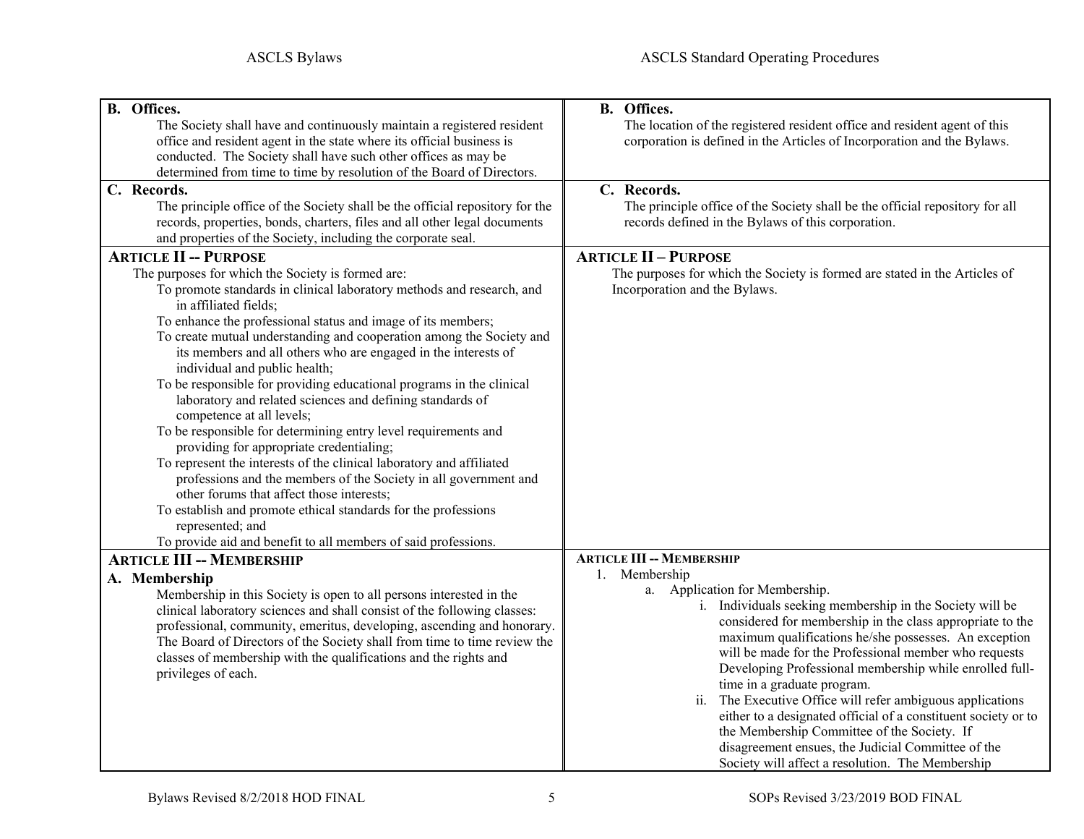<span id="page-4-4"></span><span id="page-4-3"></span><span id="page-4-2"></span><span id="page-4-1"></span><span id="page-4-0"></span>

| <b>B.</b> Offices.                                                           |
|------------------------------------------------------------------------------|
| The location of the registered resident office and resident agent of this    |
| corporation is defined in the Articles of Incorporation and the Bylaws.      |
|                                                                              |
|                                                                              |
| C. Records.                                                                  |
| The principle office of the Society shall be the official repository for all |
| records defined in the Bylaws of this corporation.                           |
|                                                                              |
| <b>ARTICLE II - PURPOSE</b>                                                  |
| The purposes for which the Society is formed are stated in the Articles of   |
| Incorporation and the Bylaws.                                                |
|                                                                              |
|                                                                              |
|                                                                              |
|                                                                              |
|                                                                              |
|                                                                              |
|                                                                              |
|                                                                              |
|                                                                              |
|                                                                              |
|                                                                              |
|                                                                              |
|                                                                              |
|                                                                              |
|                                                                              |
|                                                                              |
| <b>ARTICLE III -- MEMBERSHIP</b>                                             |
| 1. Membership                                                                |
| a. Application for Membership.                                               |
| i. Individuals seeking membership in the Society will be                     |
| considered for membership in the class appropriate to the                    |
| maximum qualifications he/she possesses. An exception                        |
| will be made for the Professional member who requests                        |
| Developing Professional membership while enrolled full-                      |
| time in a graduate program.                                                  |
| ii.<br>The Executive Office will refer ambiguous applications                |
| either to a designated official of a constituent society or to               |
| the Membership Committee of the Society. If                                  |
| disagreement ensues, the Judicial Committee of the                           |
| Society will affect a resolution. The Membership                             |
|                                                                              |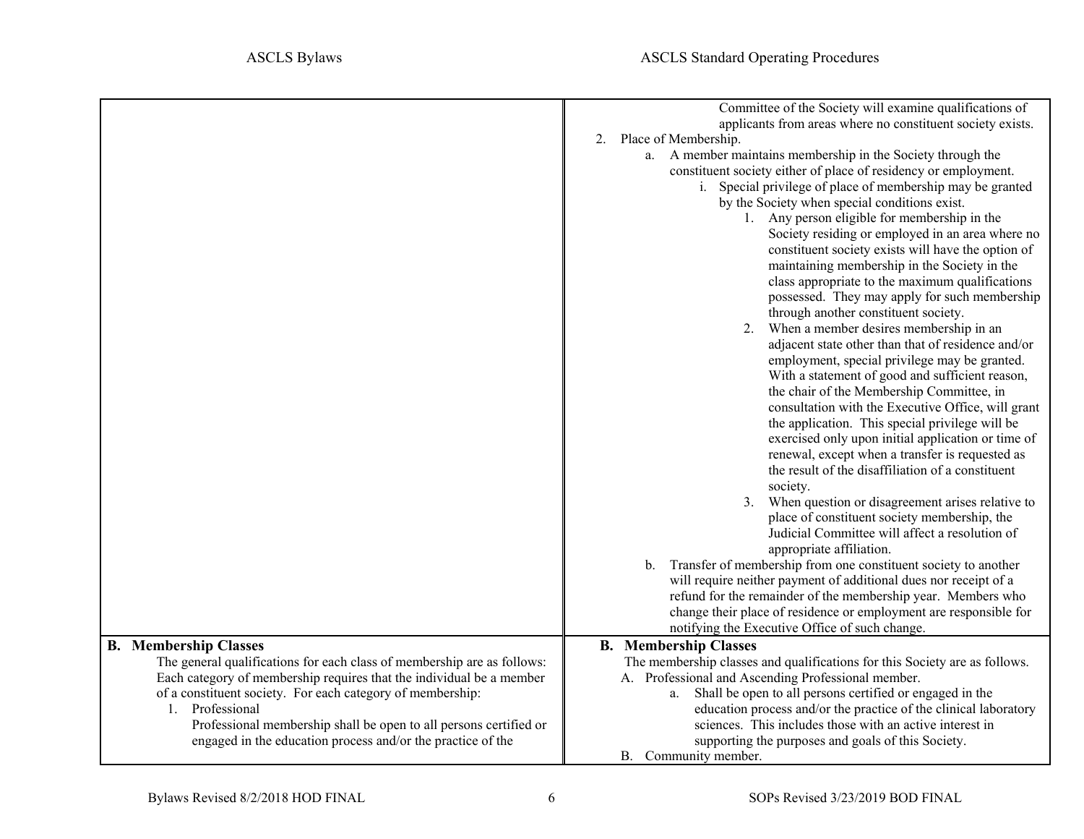<span id="page-5-0"></span>

|                                                                                                                                                                                                                                                                                                                                                                      | Committee of the Society will examine qualifications of<br>applicants from areas where no constituent society exists.<br>2. Place of Membership.<br>a. A member maintains membership in the Society through the<br>constituent society either of place of residency or employment.<br>i. Special privilege of place of membership may be granted<br>by the Society when special conditions exist.<br>1. Any person eligible for membership in the<br>Society residing or employed in an area where no<br>constituent society exists will have the option of<br>maintaining membership in the Society in the<br>class appropriate to the maximum qualifications<br>possessed. They may apply for such membership<br>through another constituent society.<br>When a member desires membership in an<br>2.<br>adjacent state other than that of residence and/or<br>employment, special privilege may be granted.<br>With a statement of good and sufficient reason,<br>the chair of the Membership Committee, in<br>consultation with the Executive Office, will grant<br>the application. This special privilege will be<br>exercised only upon initial application or time of<br>renewal, except when a transfer is requested as<br>the result of the disaffiliation of a constituent<br>society.<br>When question or disagreement arises relative to<br>3.<br>place of constituent society membership, the<br>Judicial Committee will affect a resolution of<br>appropriate affiliation.<br>Transfer of membership from one constituent society to another<br>$\mathbf b$ .<br>will require neither payment of additional dues nor receipt of a<br>refund for the remainder of the membership year. Members who<br>change their place of residence or employment are responsible for<br>notifying the Executive Office of such change. |
|----------------------------------------------------------------------------------------------------------------------------------------------------------------------------------------------------------------------------------------------------------------------------------------------------------------------------------------------------------------------|-----------------------------------------------------------------------------------------------------------------------------------------------------------------------------------------------------------------------------------------------------------------------------------------------------------------------------------------------------------------------------------------------------------------------------------------------------------------------------------------------------------------------------------------------------------------------------------------------------------------------------------------------------------------------------------------------------------------------------------------------------------------------------------------------------------------------------------------------------------------------------------------------------------------------------------------------------------------------------------------------------------------------------------------------------------------------------------------------------------------------------------------------------------------------------------------------------------------------------------------------------------------------------------------------------------------------------------------------------------------------------------------------------------------------------------------------------------------------------------------------------------------------------------------------------------------------------------------------------------------------------------------------------------------------------------------------------------------------------------------------------------------------------------------------------------------------------------------|
| <b>B.</b> Membership Classes                                                                                                                                                                                                                                                                                                                                         | <b>B.</b> Membership Classes                                                                                                                                                                                                                                                                                                                                                                                                                                                                                                                                                                                                                                                                                                                                                                                                                                                                                                                                                                                                                                                                                                                                                                                                                                                                                                                                                                                                                                                                                                                                                                                                                                                                                                                                                                                                            |
| The general qualifications for each class of membership are as follows:<br>Each category of membership requires that the individual be a member<br>of a constituent society. For each category of membership:<br>1. Professional<br>Professional membership shall be open to all persons certified or<br>engaged in the education process and/or the practice of the | The membership classes and qualifications for this Society are as follows.<br>A. Professional and Ascending Professional member.<br>Shall be open to all persons certified or engaged in the<br>a.<br>education process and/or the practice of the clinical laboratory<br>sciences. This includes those with an active interest in<br>supporting the purposes and goals of this Society.<br>B. Community member.                                                                                                                                                                                                                                                                                                                                                                                                                                                                                                                                                                                                                                                                                                                                                                                                                                                                                                                                                                                                                                                                                                                                                                                                                                                                                                                                                                                                                        |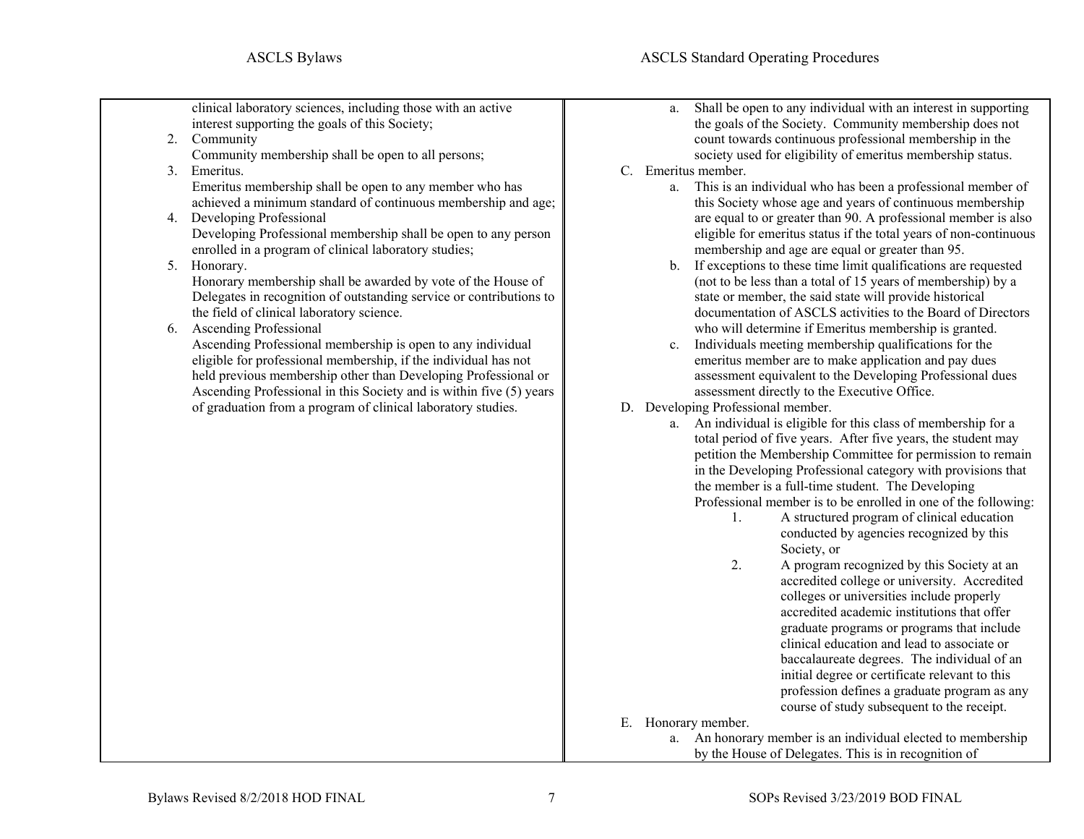| 2. | clinical laboratory sciences, including those with an active<br>interest supporting the goals of this Society;<br>Community | Shall be open to any individual with an interest in supporting<br>a.<br>the goals of the Society. Community membership does not<br>count towards continuous professional membership in the |
|----|-----------------------------------------------------------------------------------------------------------------------------|--------------------------------------------------------------------------------------------------------------------------------------------------------------------------------------------|
|    | Community membership shall be open to all persons;                                                                          | society used for eligibility of emeritus membership status.                                                                                                                                |
| 3. | Emeritus.                                                                                                                   | C. Emeritus member.                                                                                                                                                                        |
|    | Emeritus membership shall be open to any member who has<br>achieved a minimum standard of continuous membership and age;    | This is an individual who has been a professional member of<br>a.<br>this Society whose age and years of continuous membership                                                             |
| 4. | Developing Professional<br>Developing Professional membership shall be open to any person                                   | are equal to or greater than 90. A professional member is also<br>eligible for emeritus status if the total years of non-continuous                                                        |
|    | enrolled in a program of clinical laboratory studies;                                                                       | membership and age are equal or greater than 95.                                                                                                                                           |
| 5. | Honorary.<br>Honorary membership shall be awarded by vote of the House of                                                   | If exceptions to these time limit qualifications are requested<br>b.<br>(not to be less than a total of 15 years of membership) by a                                                       |
|    | Delegates in recognition of outstanding service or contributions to                                                         | state or member, the said state will provide historical                                                                                                                                    |
|    | the field of clinical laboratory science.                                                                                   | documentation of ASCLS activities to the Board of Directors                                                                                                                                |
| 6. | <b>Ascending Professional</b>                                                                                               | who will determine if Emeritus membership is granted.                                                                                                                                      |
|    | Ascending Professional membership is open to any individual                                                                 | Individuals meeting membership qualifications for the<br>c.                                                                                                                                |
|    | eligible for professional membership, if the individual has not                                                             | emeritus member are to make application and pay dues                                                                                                                                       |
|    | held previous membership other than Developing Professional or                                                              | assessment equivalent to the Developing Professional dues                                                                                                                                  |
|    | Ascending Professional in this Society and is within five (5) years                                                         | assessment directly to the Executive Office.                                                                                                                                               |
|    | of graduation from a program of clinical laboratory studies.                                                                | D. Developing Professional member.                                                                                                                                                         |
|    |                                                                                                                             | An individual is eligible for this class of membership for a<br>a.                                                                                                                         |
|    |                                                                                                                             | total period of five years. After five years, the student may                                                                                                                              |
|    |                                                                                                                             | petition the Membership Committee for permission to remain                                                                                                                                 |
|    |                                                                                                                             | in the Developing Professional category with provisions that                                                                                                                               |
|    |                                                                                                                             | the member is a full-time student. The Developing                                                                                                                                          |
|    |                                                                                                                             | Professional member is to be enrolled in one of the following:                                                                                                                             |
|    |                                                                                                                             | A structured program of clinical education<br>1.                                                                                                                                           |
|    |                                                                                                                             | conducted by agencies recognized by this                                                                                                                                                   |
|    |                                                                                                                             | Society, or<br>2.<br>A program recognized by this Society at an                                                                                                                            |
|    |                                                                                                                             | accredited college or university. Accredited                                                                                                                                               |
|    |                                                                                                                             | colleges or universities include properly                                                                                                                                                  |
|    |                                                                                                                             | accredited academic institutions that offer                                                                                                                                                |
|    |                                                                                                                             | graduate programs or programs that include                                                                                                                                                 |
|    |                                                                                                                             | clinical education and lead to associate or                                                                                                                                                |
|    |                                                                                                                             | baccalaureate degrees. The individual of an                                                                                                                                                |
|    |                                                                                                                             | initial degree or certificate relevant to this                                                                                                                                             |
|    |                                                                                                                             | profession defines a graduate program as any                                                                                                                                               |
|    |                                                                                                                             | course of study subsequent to the receipt.                                                                                                                                                 |
|    |                                                                                                                             | E. Honorary member.                                                                                                                                                                        |
|    |                                                                                                                             | a. An honorary member is an individual elected to membership                                                                                                                               |
|    |                                                                                                                             | by the House of Delegates. This is in recognition of                                                                                                                                       |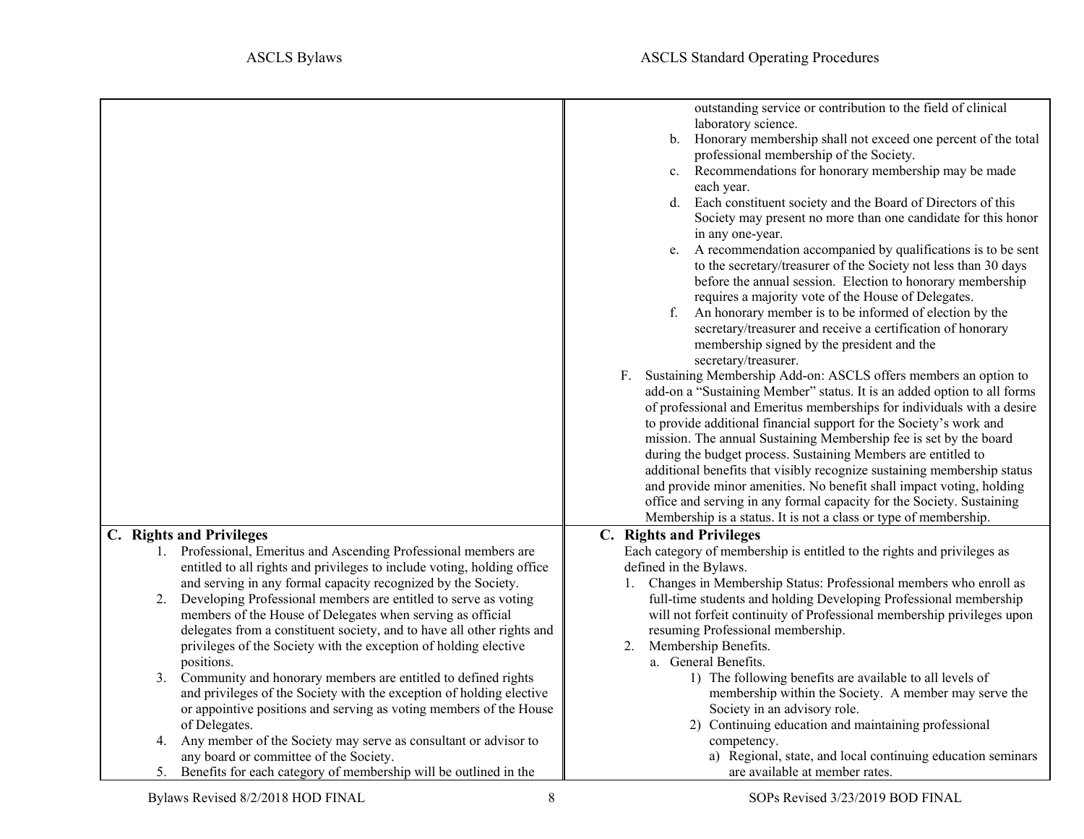<span id="page-7-0"></span>

|                                                                                                                                                                                                                                                                                                                                                                  | outstanding service or contribution to the field of clinical<br>laboratory science.<br>Honorary membership shall not exceed one percent of the total<br>b.<br>professional membership of the Society.<br>Recommendations for honorary membership may be made<br>$c_{\cdot}$<br>each year.<br>d. Each constituent society and the Board of Directors of this<br>Society may present no more than one candidate for this honor<br>in any one-year.<br>A recommendation accompanied by qualifications is to be sent<br>e.<br>to the secretary/treasurer of the Society not less than 30 days<br>before the annual session. Election to honorary membership<br>requires a majority vote of the House of Delegates.<br>An honorary member is to be informed of election by the<br>f.<br>secretary/treasurer and receive a certification of honorary<br>membership signed by the president and the<br>secretary/treasurer.<br>F. Sustaining Membership Add-on: ASCLS offers members an option to<br>add-on a "Sustaining Member" status. It is an added option to all forms<br>of professional and Emeritus memberships for individuals with a desire<br>to provide additional financial support for the Society's work and<br>mission. The annual Sustaining Membership fee is set by the board<br>during the budget process. Sustaining Members are entitled to<br>additional benefits that visibly recognize sustaining membership status<br>and provide minor amenities. No benefit shall impact voting, holding |
|------------------------------------------------------------------------------------------------------------------------------------------------------------------------------------------------------------------------------------------------------------------------------------------------------------------------------------------------------------------|----------------------------------------------------------------------------------------------------------------------------------------------------------------------------------------------------------------------------------------------------------------------------------------------------------------------------------------------------------------------------------------------------------------------------------------------------------------------------------------------------------------------------------------------------------------------------------------------------------------------------------------------------------------------------------------------------------------------------------------------------------------------------------------------------------------------------------------------------------------------------------------------------------------------------------------------------------------------------------------------------------------------------------------------------------------------------------------------------------------------------------------------------------------------------------------------------------------------------------------------------------------------------------------------------------------------------------------------------------------------------------------------------------------------------------------------------------------------------------------------------------------|
|                                                                                                                                                                                                                                                                                                                                                                  | office and serving in any formal capacity for the Society. Sustaining                                                                                                                                                                                                                                                                                                                                                                                                                                                                                                                                                                                                                                                                                                                                                                                                                                                                                                                                                                                                                                                                                                                                                                                                                                                                                                                                                                                                                                          |
|                                                                                                                                                                                                                                                                                                                                                                  | Membership is a status. It is not a class or type of membership.                                                                                                                                                                                                                                                                                                                                                                                                                                                                                                                                                                                                                                                                                                                                                                                                                                                                                                                                                                                                                                                                                                                                                                                                                                                                                                                                                                                                                                               |
| C. Rights and Privileges                                                                                                                                                                                                                                                                                                                                         | C. Rights and Privileges                                                                                                                                                                                                                                                                                                                                                                                                                                                                                                                                                                                                                                                                                                                                                                                                                                                                                                                                                                                                                                                                                                                                                                                                                                                                                                                                                                                                                                                                                       |
| 1. Professional, Emeritus and Ascending Professional members are                                                                                                                                                                                                                                                                                                 | Each category of membership is entitled to the rights and privileges as                                                                                                                                                                                                                                                                                                                                                                                                                                                                                                                                                                                                                                                                                                                                                                                                                                                                                                                                                                                                                                                                                                                                                                                                                                                                                                                                                                                                                                        |
| entitled to all rights and privileges to include voting, holding office                                                                                                                                                                                                                                                                                          | defined in the Bylaws.                                                                                                                                                                                                                                                                                                                                                                                                                                                                                                                                                                                                                                                                                                                                                                                                                                                                                                                                                                                                                                                                                                                                                                                                                                                                                                                                                                                                                                                                                         |
| and serving in any formal capacity recognized by the Society.<br>Developing Professional members are entitled to serve as voting<br>2.<br>members of the House of Delegates when serving as official<br>delegates from a constituent society, and to have all other rights and<br>privileges of the Society with the exception of holding elective<br>positions. | Changes in Membership Status: Professional members who enroll as<br>full-time students and holding Developing Professional membership<br>will not forfeit continuity of Professional membership privileges upon<br>resuming Professional membership.<br>Membership Benefits.<br>2.<br>a. General Benefits.                                                                                                                                                                                                                                                                                                                                                                                                                                                                                                                                                                                                                                                                                                                                                                                                                                                                                                                                                                                                                                                                                                                                                                                                     |
| Community and honorary members are entitled to defined rights<br>3.                                                                                                                                                                                                                                                                                              | 1) The following benefits are available to all levels of                                                                                                                                                                                                                                                                                                                                                                                                                                                                                                                                                                                                                                                                                                                                                                                                                                                                                                                                                                                                                                                                                                                                                                                                                                                                                                                                                                                                                                                       |
| and privileges of the Society with the exception of holding elective                                                                                                                                                                                                                                                                                             | membership within the Society. A member may serve the                                                                                                                                                                                                                                                                                                                                                                                                                                                                                                                                                                                                                                                                                                                                                                                                                                                                                                                                                                                                                                                                                                                                                                                                                                                                                                                                                                                                                                                          |
| or appointive positions and serving as voting members of the House                                                                                                                                                                                                                                                                                               | Society in an advisory role.                                                                                                                                                                                                                                                                                                                                                                                                                                                                                                                                                                                                                                                                                                                                                                                                                                                                                                                                                                                                                                                                                                                                                                                                                                                                                                                                                                                                                                                                                   |
| of Delegates.                                                                                                                                                                                                                                                                                                                                                    | 2) Continuing education and maintaining professional                                                                                                                                                                                                                                                                                                                                                                                                                                                                                                                                                                                                                                                                                                                                                                                                                                                                                                                                                                                                                                                                                                                                                                                                                                                                                                                                                                                                                                                           |
| Any member of the Society may serve as consultant or advisor to<br>4.                                                                                                                                                                                                                                                                                            | competency.                                                                                                                                                                                                                                                                                                                                                                                                                                                                                                                                                                                                                                                                                                                                                                                                                                                                                                                                                                                                                                                                                                                                                                                                                                                                                                                                                                                                                                                                                                    |
| any board or committee of the Society.                                                                                                                                                                                                                                                                                                                           | a) Regional, state, and local continuing education seminars                                                                                                                                                                                                                                                                                                                                                                                                                                                                                                                                                                                                                                                                                                                                                                                                                                                                                                                                                                                                                                                                                                                                                                                                                                                                                                                                                                                                                                                    |
| 5. Benefits for each category of membership will be outlined in the                                                                                                                                                                                                                                                                                              | are available at member rates.                                                                                                                                                                                                                                                                                                                                                                                                                                                                                                                                                                                                                                                                                                                                                                                                                                                                                                                                                                                                                                                                                                                                                                                                                                                                                                                                                                                                                                                                                 |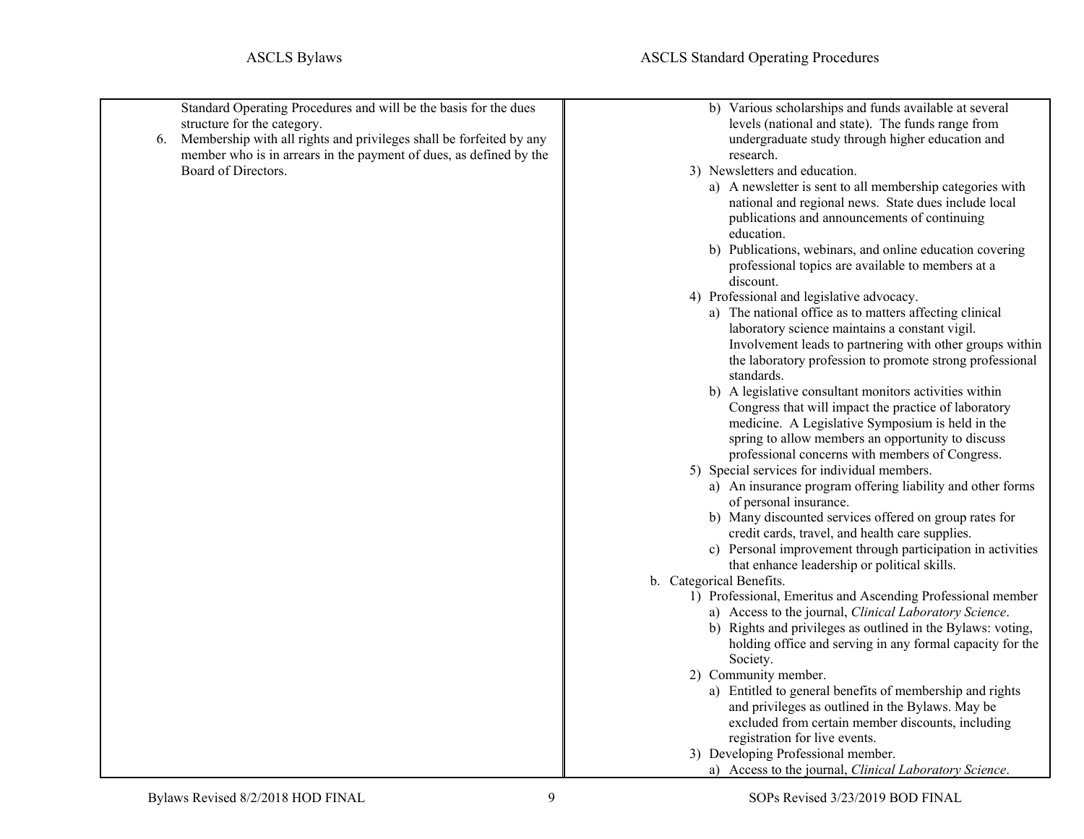| Standard Operating Procedures and will be the basis for the dues<br>structure for the category.<br>Membership with all rights and privileges shall be forfeited by any<br>6.<br>member who is in arrears in the payment of dues, as defined by the<br>Board of Directors. | b) Various scholarships and funds available at several<br>levels (national and state). The funds range from<br>undergraduate study through higher education and<br>research.<br>3) Newsletters and education.<br>a) A newsletter is sent to all membership categories with<br>national and regional news. State dues include local<br>publications and announcements of continuing<br>education.<br>b) Publications, webinars, and online education covering<br>professional topics are available to members at a<br>discount.<br>4) Professional and legislative advocacy.<br>a) The national office as to matters affecting clinical<br>laboratory science maintains a constant vigil.<br>Involvement leads to partnering with other groups within<br>the laboratory profession to promote strong professional<br>standards.<br>b) A legislative consultant monitors activities within<br>Congress that will impact the practice of laboratory<br>medicine. A Legislative Symposium is held in the<br>spring to allow members an opportunity to discuss<br>professional concerns with members of Congress.<br>5) Special services for individual members.<br>a) An insurance program offering liability and other forms<br>of personal insurance.<br>b) Many discounted services offered on group rates for<br>credit cards, travel, and health care supplies.<br>c) Personal improvement through participation in activities<br>that enhance leadership or political skills.<br>b. Categorical Benefits.<br>1) Professional, Emeritus and Ascending Professional member<br>a) Access to the journal, Clinical Laboratory Science.<br>b) Rights and privileges as outlined in the Bylaws: voting,<br>holding office and serving in any formal capacity for the<br>Society.<br>2) Community member. |
|---------------------------------------------------------------------------------------------------------------------------------------------------------------------------------------------------------------------------------------------------------------------------|------------------------------------------------------------------------------------------------------------------------------------------------------------------------------------------------------------------------------------------------------------------------------------------------------------------------------------------------------------------------------------------------------------------------------------------------------------------------------------------------------------------------------------------------------------------------------------------------------------------------------------------------------------------------------------------------------------------------------------------------------------------------------------------------------------------------------------------------------------------------------------------------------------------------------------------------------------------------------------------------------------------------------------------------------------------------------------------------------------------------------------------------------------------------------------------------------------------------------------------------------------------------------------------------------------------------------------------------------------------------------------------------------------------------------------------------------------------------------------------------------------------------------------------------------------------------------------------------------------------------------------------------------------------------------------------------------------------------------------------------------------------------------------------------------|
|                                                                                                                                                                                                                                                                           | a) Entitled to general benefits of membership and rights                                                                                                                                                                                                                                                                                                                                                                                                                                                                                                                                                                                                                                                                                                                                                                                                                                                                                                                                                                                                                                                                                                                                                                                                                                                                                                                                                                                                                                                                                                                                                                                                                                                                                                                                             |
|                                                                                                                                                                                                                                                                           | and privileges as outlined in the Bylaws. May be<br>excluded from certain member discounts, including<br>registration for live events.                                                                                                                                                                                                                                                                                                                                                                                                                                                                                                                                                                                                                                                                                                                                                                                                                                                                                                                                                                                                                                                                                                                                                                                                                                                                                                                                                                                                                                                                                                                                                                                                                                                               |
|                                                                                                                                                                                                                                                                           | 3) Developing Professional member.<br>a) Access to the journal, Clinical Laboratory Science.                                                                                                                                                                                                                                                                                                                                                                                                                                                                                                                                                                                                                                                                                                                                                                                                                                                                                                                                                                                                                                                                                                                                                                                                                                                                                                                                                                                                                                                                                                                                                                                                                                                                                                         |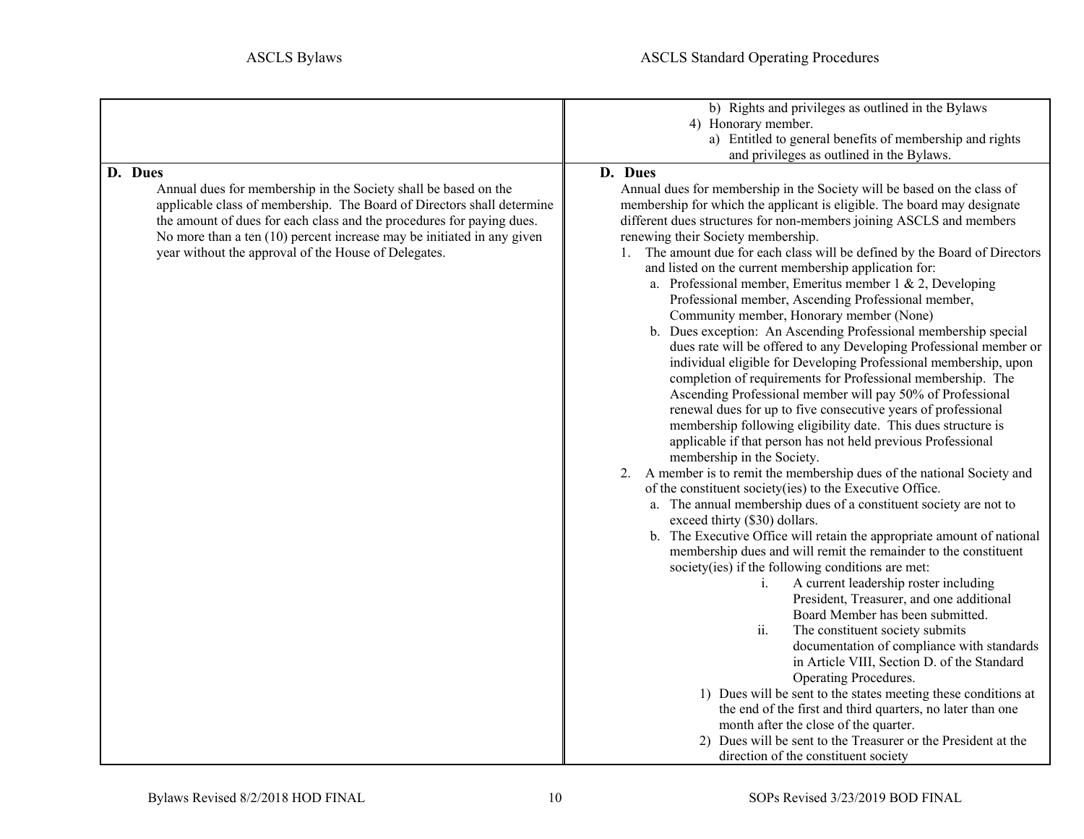<span id="page-9-0"></span>

|                                                                                                                                                                                                                                                                                                                                                        | b) Rights and privileges as outlined in the Bylaws<br>4) Honorary member.<br>a) Entitled to general benefits of membership and rights<br>and privileges as outlined in the Bylaws.                                                                                                                                                                                                                                                                                                                                                                                                                                                                                                                                                                                                                                                                                                                                                                                                                                                                                                                                                                                                                                                                                                                                                                                                                                                                                                                                                                                                                                                                                                                                                                                                                                                                                                                                                                                                                                                                                                                                                                                               |
|--------------------------------------------------------------------------------------------------------------------------------------------------------------------------------------------------------------------------------------------------------------------------------------------------------------------------------------------------------|----------------------------------------------------------------------------------------------------------------------------------------------------------------------------------------------------------------------------------------------------------------------------------------------------------------------------------------------------------------------------------------------------------------------------------------------------------------------------------------------------------------------------------------------------------------------------------------------------------------------------------------------------------------------------------------------------------------------------------------------------------------------------------------------------------------------------------------------------------------------------------------------------------------------------------------------------------------------------------------------------------------------------------------------------------------------------------------------------------------------------------------------------------------------------------------------------------------------------------------------------------------------------------------------------------------------------------------------------------------------------------------------------------------------------------------------------------------------------------------------------------------------------------------------------------------------------------------------------------------------------------------------------------------------------------------------------------------------------------------------------------------------------------------------------------------------------------------------------------------------------------------------------------------------------------------------------------------------------------------------------------------------------------------------------------------------------------------------------------------------------------------------------------------------------------|
| D. Dues                                                                                                                                                                                                                                                                                                                                                | D. Dues                                                                                                                                                                                                                                                                                                                                                                                                                                                                                                                                                                                                                                                                                                                                                                                                                                                                                                                                                                                                                                                                                                                                                                                                                                                                                                                                                                                                                                                                                                                                                                                                                                                                                                                                                                                                                                                                                                                                                                                                                                                                                                                                                                          |
| Annual dues for membership in the Society shall be based on the<br>applicable class of membership. The Board of Directors shall determine<br>the amount of dues for each class and the procedures for paying dues.<br>No more than a ten $(10)$ percent increase may be initiated in any given<br>year without the approval of the House of Delegates. | Annual dues for membership in the Society will be based on the class of<br>membership for which the applicant is eligible. The board may designate<br>different dues structures for non-members joining ASCLS and members<br>renewing their Society membership.<br>1. The amount due for each class will be defined by the Board of Directors<br>and listed on the current membership application for:<br>a. Professional member, Emeritus member 1 & 2, Developing<br>Professional member, Ascending Professional member,<br>Community member, Honorary member (None)<br>b. Dues exception: An Ascending Professional membership special<br>dues rate will be offered to any Developing Professional member or<br>individual eligible for Developing Professional membership, upon<br>completion of requirements for Professional membership. The<br>Ascending Professional member will pay 50% of Professional<br>renewal dues for up to five consecutive years of professional<br>membership following eligibility date. This dues structure is<br>applicable if that person has not held previous Professional<br>membership in the Society.<br>2. A member is to remit the membership dues of the national Society and<br>of the constituent society(ies) to the Executive Office.<br>a. The annual membership dues of a constituent society are not to<br>exceed thirty (\$30) dollars.<br>b. The Executive Office will retain the appropriate amount of national<br>membership dues and will remit the remainder to the constituent<br>society(ies) if the following conditions are met:<br>A current leadership roster including<br>i.<br>President, Treasurer, and one additional<br>Board Member has been submitted.<br>ii.<br>The constituent society submits<br>documentation of compliance with standards<br>in Article VIII, Section D. of the Standard<br>Operating Procedures.<br>1) Dues will be sent to the states meeting these conditions at<br>the end of the first and third quarters, no later than one<br>month after the close of the quarter.<br>2) Dues will be sent to the Treasurer or the President at the<br>direction of the constituent society |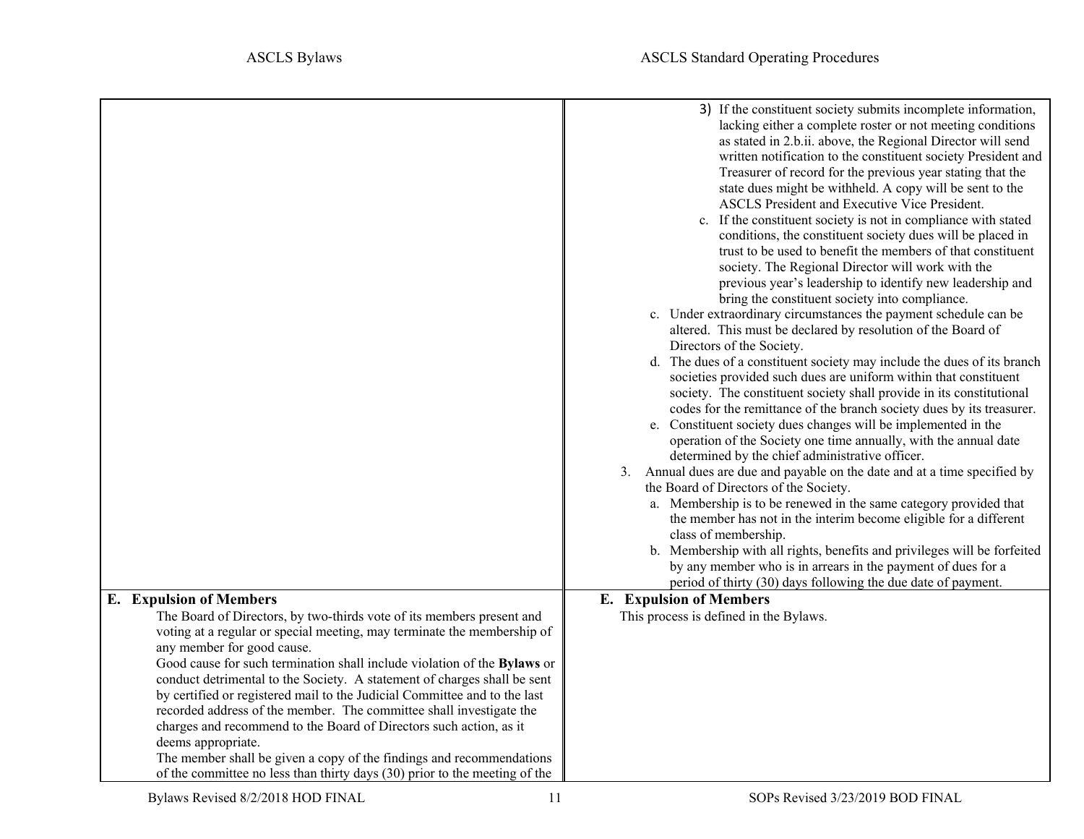<span id="page-10-0"></span>

|                                                                                                                                                                                                                                                                                                                                                                                                                                                                                                                                                                                                                                                                                                                                                                                  | 3) If the constituent society submits incomplete information,<br>lacking either a complete roster or not meeting conditions<br>as stated in 2.b.ii. above, the Regional Director will send<br>written notification to the constituent society President and<br>Treasurer of record for the previous year stating that the<br>state dues might be withheld. A copy will be sent to the<br>ASCLS President and Executive Vice President.<br>c. If the constituent society is not in compliance with stated<br>conditions, the constituent society dues will be placed in<br>trust to be used to benefit the members of that constituent<br>society. The Regional Director will work with the<br>previous year's leadership to identify new leadership and<br>bring the constituent society into compliance.<br>c. Under extraordinary circumstances the payment schedule can be<br>altered. This must be declared by resolution of the Board of<br>Directors of the Society.<br>d. The dues of a constituent society may include the dues of its branch<br>societies provided such dues are uniform within that constituent<br>society. The constituent society shall provide in its constitutional<br>codes for the remittance of the branch society dues by its treasurer.<br>e. Constituent society dues changes will be implemented in the<br>operation of the Society one time annually, with the annual date<br>determined by the chief administrative officer.<br>3. Annual dues are due and payable on the date and at a time specified by<br>the Board of Directors of the Society.<br>a. Membership is to be renewed in the same category provided that<br>the member has not in the interim become eligible for a different<br>class of membership.<br>b. Membership with all rights, benefits and privileges will be forfeited<br>by any member who is in arrears in the payment of dues for a<br>period of thirty (30) days following the due date of payment. |
|----------------------------------------------------------------------------------------------------------------------------------------------------------------------------------------------------------------------------------------------------------------------------------------------------------------------------------------------------------------------------------------------------------------------------------------------------------------------------------------------------------------------------------------------------------------------------------------------------------------------------------------------------------------------------------------------------------------------------------------------------------------------------------|---------------------------------------------------------------------------------------------------------------------------------------------------------------------------------------------------------------------------------------------------------------------------------------------------------------------------------------------------------------------------------------------------------------------------------------------------------------------------------------------------------------------------------------------------------------------------------------------------------------------------------------------------------------------------------------------------------------------------------------------------------------------------------------------------------------------------------------------------------------------------------------------------------------------------------------------------------------------------------------------------------------------------------------------------------------------------------------------------------------------------------------------------------------------------------------------------------------------------------------------------------------------------------------------------------------------------------------------------------------------------------------------------------------------------------------------------------------------------------------------------------------------------------------------------------------------------------------------------------------------------------------------------------------------------------------------------------------------------------------------------------------------------------------------------------------------------------------------------------------------------------------------------------------------------------------------------------------------------|
|                                                                                                                                                                                                                                                                                                                                                                                                                                                                                                                                                                                                                                                                                                                                                                                  |                                                                                                                                                                                                                                                                                                                                                                                                                                                                                                                                                                                                                                                                                                                                                                                                                                                                                                                                                                                                                                                                                                                                                                                                                                                                                                                                                                                                                                                                                                                                                                                                                                                                                                                                                                                                                                                                                                                                                                           |
| <b>E.</b> Expulsion of Members<br>The Board of Directors, by two-thirds vote of its members present and<br>voting at a regular or special meeting, may terminate the membership of<br>any member for good cause.<br>Good cause for such termination shall include violation of the Bylaws or<br>conduct detrimental to the Society. A statement of charges shall be sent<br>by certified or registered mail to the Judicial Committee and to the last<br>recorded address of the member. The committee shall investigate the<br>charges and recommend to the Board of Directors such action, as it<br>deems appropriate.<br>The member shall be given a copy of the findings and recommendations<br>of the committee no less than thirty days $(30)$ prior to the meeting of the | <b>E.</b> Expulsion of Members<br>This process is defined in the Bylaws.                                                                                                                                                                                                                                                                                                                                                                                                                                                                                                                                                                                                                                                                                                                                                                                                                                                                                                                                                                                                                                                                                                                                                                                                                                                                                                                                                                                                                                                                                                                                                                                                                                                                                                                                                                                                                                                                                                  |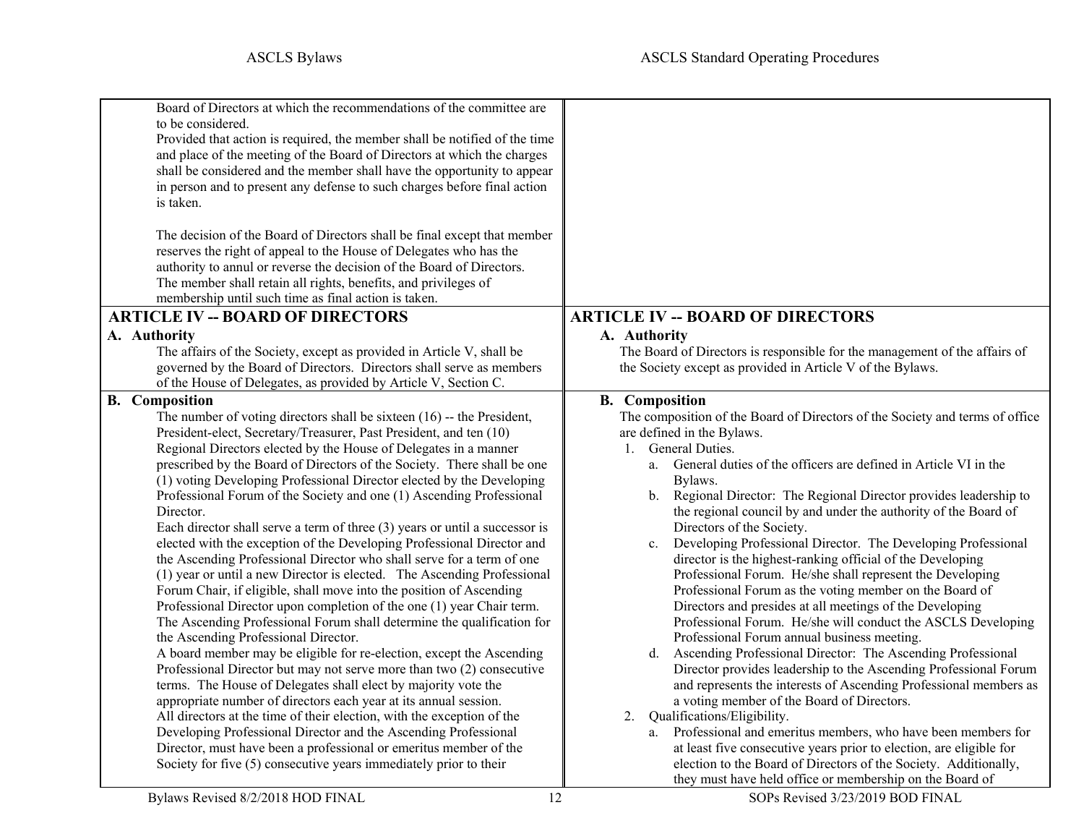<span id="page-11-4"></span><span id="page-11-3"></span><span id="page-11-2"></span><span id="page-11-1"></span><span id="page-11-0"></span>

| Board of Directors at which the recommendations of the committee are<br>to be considered.<br>Provided that action is required, the member shall be notified of the time<br>and place of the meeting of the Board of Directors at which the charges<br>shall be considered and the member shall have the opportunity to appear<br>in person and to present any defense to such charges before final action<br>is taken.<br>The decision of the Board of Directors shall be final except that member<br>reserves the right of appeal to the House of Delegates who has the |                                                                              |
|--------------------------------------------------------------------------------------------------------------------------------------------------------------------------------------------------------------------------------------------------------------------------------------------------------------------------------------------------------------------------------------------------------------------------------------------------------------------------------------------------------------------------------------------------------------------------|------------------------------------------------------------------------------|
| authority to annul or reverse the decision of the Board of Directors.                                                                                                                                                                                                                                                                                                                                                                                                                                                                                                    |                                                                              |
| The member shall retain all rights, benefits, and privileges of                                                                                                                                                                                                                                                                                                                                                                                                                                                                                                          |                                                                              |
| membership until such time as final action is taken.                                                                                                                                                                                                                                                                                                                                                                                                                                                                                                                     |                                                                              |
| <b>ARTICLE IV -- BOARD OF DIRECTORS</b>                                                                                                                                                                                                                                                                                                                                                                                                                                                                                                                                  | <b>ARTICLE IV -- BOARD OF DIRECTORS</b>                                      |
| A. Authority                                                                                                                                                                                                                                                                                                                                                                                                                                                                                                                                                             | A. Authority                                                                 |
| The affairs of the Society, except as provided in Article V, shall be                                                                                                                                                                                                                                                                                                                                                                                                                                                                                                    | The Board of Directors is responsible for the management of the affairs of   |
| governed by the Board of Directors. Directors shall serve as members                                                                                                                                                                                                                                                                                                                                                                                                                                                                                                     | the Society except as provided in Article V of the Bylaws.                   |
| of the House of Delegates, as provided by Article V, Section C.                                                                                                                                                                                                                                                                                                                                                                                                                                                                                                          |                                                                              |
| <b>B.</b> Composition                                                                                                                                                                                                                                                                                                                                                                                                                                                                                                                                                    | <b>B.</b> Composition                                                        |
| The number of voting directors shall be sixteen $(16)$ -- the President,                                                                                                                                                                                                                                                                                                                                                                                                                                                                                                 | The composition of the Board of Directors of the Society and terms of office |
| President-elect, Secretary/Treasurer, Past President, and ten (10)                                                                                                                                                                                                                                                                                                                                                                                                                                                                                                       | are defined in the Bylaws.                                                   |
| Regional Directors elected by the House of Delegates in a manner                                                                                                                                                                                                                                                                                                                                                                                                                                                                                                         | General Duties.<br>1.                                                        |
| prescribed by the Board of Directors of the Society. There shall be one                                                                                                                                                                                                                                                                                                                                                                                                                                                                                                  | General duties of the officers are defined in Article VI in the<br>a.        |
| (1) voting Developing Professional Director elected by the Developing                                                                                                                                                                                                                                                                                                                                                                                                                                                                                                    | Bylaws.                                                                      |
| Professional Forum of the Society and one (1) Ascending Professional                                                                                                                                                                                                                                                                                                                                                                                                                                                                                                     | b. Regional Director: The Regional Director provides leadership to           |
| Director.                                                                                                                                                                                                                                                                                                                                                                                                                                                                                                                                                                | the regional council by and under the authority of the Board of              |
| Each director shall serve a term of three $(3)$ years or until a successor is                                                                                                                                                                                                                                                                                                                                                                                                                                                                                            | Directors of the Society.                                                    |
| elected with the exception of the Developing Professional Director and                                                                                                                                                                                                                                                                                                                                                                                                                                                                                                   | Developing Professional Director. The Developing Professional<br>c.          |
| the Ascending Professional Director who shall serve for a term of one                                                                                                                                                                                                                                                                                                                                                                                                                                                                                                    | director is the highest-ranking official of the Developing                   |
| (1) year or until a new Director is elected. The Ascending Professional                                                                                                                                                                                                                                                                                                                                                                                                                                                                                                  | Professional Forum. He/she shall represent the Developing                    |
| Forum Chair, if eligible, shall move into the position of Ascending                                                                                                                                                                                                                                                                                                                                                                                                                                                                                                      | Professional Forum as the voting member on the Board of                      |
| Professional Director upon completion of the one (1) year Chair term.                                                                                                                                                                                                                                                                                                                                                                                                                                                                                                    | Directors and presides at all meetings of the Developing                     |
| The Ascending Professional Forum shall determine the qualification for                                                                                                                                                                                                                                                                                                                                                                                                                                                                                                   | Professional Forum. He/she will conduct the ASCLS Developing                 |
| the Ascending Professional Director.                                                                                                                                                                                                                                                                                                                                                                                                                                                                                                                                     | Professional Forum annual business meeting.                                  |
| A board member may be eligible for re-election, except the Ascending                                                                                                                                                                                                                                                                                                                                                                                                                                                                                                     | d. Ascending Professional Director: The Ascending Professional               |
| Professional Director but may not serve more than two (2) consecutive                                                                                                                                                                                                                                                                                                                                                                                                                                                                                                    | Director provides leadership to the Ascending Professional Forum             |
| terms. The House of Delegates shall elect by majority vote the                                                                                                                                                                                                                                                                                                                                                                                                                                                                                                           | and represents the interests of Ascending Professional members as            |
| appropriate number of directors each year at its annual session.                                                                                                                                                                                                                                                                                                                                                                                                                                                                                                         | a voting member of the Board of Directors.                                   |
| All directors at the time of their election, with the exception of the                                                                                                                                                                                                                                                                                                                                                                                                                                                                                                   | Qualifications/Eligibility.<br>2.                                            |
| Developing Professional Director and the Ascending Professional                                                                                                                                                                                                                                                                                                                                                                                                                                                                                                          | a. Professional and emeritus members, who have been members for              |
| Director, must have been a professional or emeritus member of the                                                                                                                                                                                                                                                                                                                                                                                                                                                                                                        | at least five consecutive years prior to election, are eligible for          |
| Society for five (5) consecutive years immediately prior to their                                                                                                                                                                                                                                                                                                                                                                                                                                                                                                        | election to the Board of Directors of the Society. Additionally,             |
|                                                                                                                                                                                                                                                                                                                                                                                                                                                                                                                                                                          | they must have held office or membership on the Board of                     |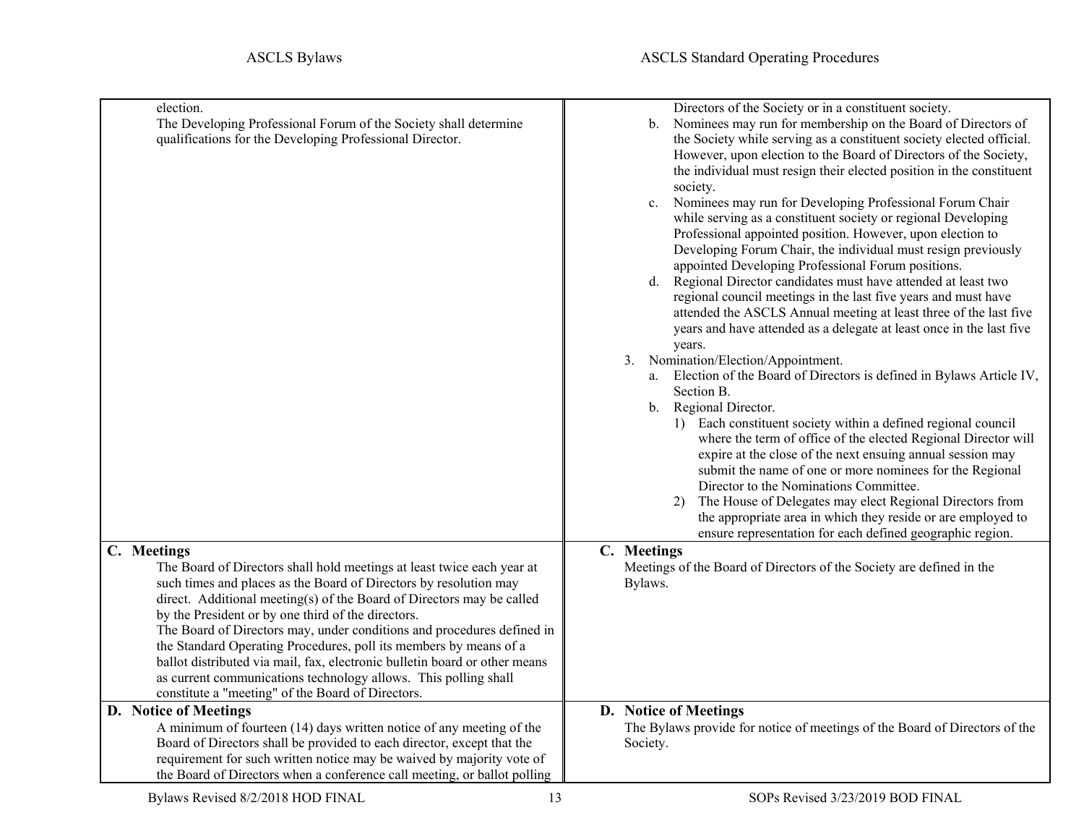<span id="page-12-2"></span><span id="page-12-1"></span><span id="page-12-0"></span>

| election.<br>The Developing Professional Forum of the Society shall determine<br>qualifications for the Developing Professional Director.                                                                                                                                                                                                                                                                                                                                                                                                                                                                                       | Directors of the Society or in a constituent society.<br>Nominees may run for membership on the Board of Directors of<br>$\mathbf{b}$ .<br>the Society while serving as a constituent society elected official.<br>However, upon election to the Board of Directors of the Society,<br>the individual must resign their elected position in the constituent<br>society.<br>Nominees may run for Developing Professional Forum Chair<br>c.<br>while serving as a constituent society or regional Developing<br>Professional appointed position. However, upon election to<br>Developing Forum Chair, the individual must resign previously<br>appointed Developing Professional Forum positions.<br>d. Regional Director candidates must have attended at least two<br>regional council meetings in the last five years and must have<br>attended the ASCLS Annual meeting at least three of the last five<br>years and have attended as a delegate at least once in the last five<br>years.<br>3. Nomination/Election/Appointment.<br>a. Election of the Board of Directors is defined in Bylaws Article IV,<br>Section B.<br>b. Regional Director.<br>1) Each constituent society within a defined regional council<br>where the term of office of the elected Regional Director will<br>expire at the close of the next ensuing annual session may<br>submit the name of one or more nominees for the Regional<br>Director to the Nominations Committee.<br>The House of Delegates may elect Regional Directors from<br>2)<br>the appropriate area in which they reside or are employed to<br>ensure representation for each defined geographic region. |
|---------------------------------------------------------------------------------------------------------------------------------------------------------------------------------------------------------------------------------------------------------------------------------------------------------------------------------------------------------------------------------------------------------------------------------------------------------------------------------------------------------------------------------------------------------------------------------------------------------------------------------|-----------------------------------------------------------------------------------------------------------------------------------------------------------------------------------------------------------------------------------------------------------------------------------------------------------------------------------------------------------------------------------------------------------------------------------------------------------------------------------------------------------------------------------------------------------------------------------------------------------------------------------------------------------------------------------------------------------------------------------------------------------------------------------------------------------------------------------------------------------------------------------------------------------------------------------------------------------------------------------------------------------------------------------------------------------------------------------------------------------------------------------------------------------------------------------------------------------------------------------------------------------------------------------------------------------------------------------------------------------------------------------------------------------------------------------------------------------------------------------------------------------------------------------------------------------------------------------------------------------------------------------------------------------|
| C. Meetings                                                                                                                                                                                                                                                                                                                                                                                                                                                                                                                                                                                                                     | C. Meetings                                                                                                                                                                                                                                                                                                                                                                                                                                                                                                                                                                                                                                                                                                                                                                                                                                                                                                                                                                                                                                                                                                                                                                                                                                                                                                                                                                                                                                                                                                                                                                                                                                               |
| The Board of Directors shall hold meetings at least twice each year at<br>such times and places as the Board of Directors by resolution may<br>direct. Additional meeting(s) of the Board of Directors may be called<br>by the President or by one third of the directors.<br>The Board of Directors may, under conditions and procedures defined in<br>the Standard Operating Procedures, poll its members by means of a<br>ballot distributed via mail, fax, electronic bulletin board or other means<br>as current communications technology allows. This polling shall<br>constitute a "meeting" of the Board of Directors. | Meetings of the Board of Directors of the Society are defined in the<br>Bylaws.                                                                                                                                                                                                                                                                                                                                                                                                                                                                                                                                                                                                                                                                                                                                                                                                                                                                                                                                                                                                                                                                                                                                                                                                                                                                                                                                                                                                                                                                                                                                                                           |
| D. Notice of Meetings<br>A minimum of fourteen (14) days written notice of any meeting of the<br>Board of Directors shall be provided to each director, except that the<br>requirement for such written notice may be waived by majority vote of<br>the Board of Directors when a conference call meeting, or ballot polling                                                                                                                                                                                                                                                                                                    | D. Notice of Meetings<br>The Bylaws provide for notice of meetings of the Board of Directors of the<br>Society.                                                                                                                                                                                                                                                                                                                                                                                                                                                                                                                                                                                                                                                                                                                                                                                                                                                                                                                                                                                                                                                                                                                                                                                                                                                                                                                                                                                                                                                                                                                                           |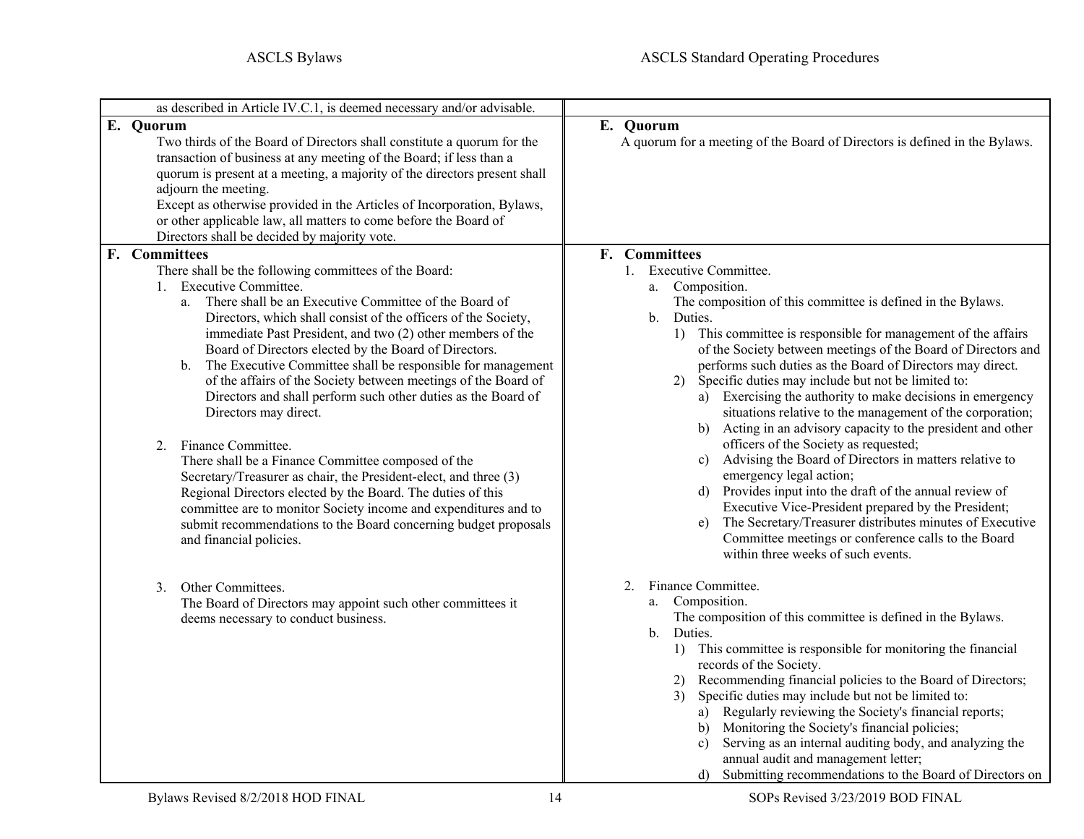<span id="page-13-3"></span><span id="page-13-2"></span><span id="page-13-1"></span><span id="page-13-0"></span>

| as described in Article IV.C.1, is deemed necessary and/or advisable.                                                                                                                                                                                                                                                                                                                                                                                                                                                                                                                                                                                                                                                                                                                                                                                                                                                                                                         |                                                                                                                                                                                                                                                                                                                                                                                                                                                                                                                                                                                                                                                                                                                                                                                                                                                                                                                                                                                                                                 |
|-------------------------------------------------------------------------------------------------------------------------------------------------------------------------------------------------------------------------------------------------------------------------------------------------------------------------------------------------------------------------------------------------------------------------------------------------------------------------------------------------------------------------------------------------------------------------------------------------------------------------------------------------------------------------------------------------------------------------------------------------------------------------------------------------------------------------------------------------------------------------------------------------------------------------------------------------------------------------------|---------------------------------------------------------------------------------------------------------------------------------------------------------------------------------------------------------------------------------------------------------------------------------------------------------------------------------------------------------------------------------------------------------------------------------------------------------------------------------------------------------------------------------------------------------------------------------------------------------------------------------------------------------------------------------------------------------------------------------------------------------------------------------------------------------------------------------------------------------------------------------------------------------------------------------------------------------------------------------------------------------------------------------|
| E. Quorum<br>Two thirds of the Board of Directors shall constitute a quorum for the<br>transaction of business at any meeting of the Board; if less than a<br>quorum is present at a meeting, a majority of the directors present shall<br>adjourn the meeting.<br>Except as otherwise provided in the Articles of Incorporation, Bylaws,<br>or other applicable law, all matters to come before the Board of<br>Directors shall be decided by majority vote.                                                                                                                                                                                                                                                                                                                                                                                                                                                                                                                 | E. Quorum<br>A quorum for a meeting of the Board of Directors is defined in the Bylaws.                                                                                                                                                                                                                                                                                                                                                                                                                                                                                                                                                                                                                                                                                                                                                                                                                                                                                                                                         |
| F. Committees<br>There shall be the following committees of the Board:<br>1. Executive Committee.<br>There shall be an Executive Committee of the Board of<br>a.<br>Directors, which shall consist of the officers of the Society,<br>immediate Past President, and two (2) other members of the<br>Board of Directors elected by the Board of Directors.<br>The Executive Committee shall be responsible for management<br>b.<br>of the affairs of the Society between meetings of the Board of<br>Directors and shall perform such other duties as the Board of<br>Directors may direct.<br>2. Finance Committee.<br>There shall be a Finance Committee composed of the<br>Secretary/Treasurer as chair, the President-elect, and three (3)<br>Regional Directors elected by the Board. The duties of this<br>committee are to monitor Society income and expenditures and to<br>submit recommendations to the Board concerning budget proposals<br>and financial policies. | F. Committees<br>1. Executive Committee.<br>Composition.<br>а.<br>The composition of this committee is defined in the Bylaws.<br>b.<br>Duties.<br>1) This committee is responsible for management of the affairs<br>of the Society between meetings of the Board of Directors and<br>performs such duties as the Board of Directors may direct.<br>Specific duties may include but not be limited to:<br>2)<br>a) Exercising the authority to make decisions in emergency<br>situations relative to the management of the corporation;<br>b) Acting in an advisory capacity to the president and other<br>officers of the Society as requested;<br>Advising the Board of Directors in matters relative to<br>c)<br>emergency legal action;<br>Provides input into the draft of the annual review of<br>d)<br>Executive Vice-President prepared by the President;<br>The Secretary/Treasurer distributes minutes of Executive<br>e)<br>Committee meetings or conference calls to the Board<br>within three weeks of such events. |
| Other Committees.<br>3.<br>The Board of Directors may appoint such other committees it<br>deems necessary to conduct business.                                                                                                                                                                                                                                                                                                                                                                                                                                                                                                                                                                                                                                                                                                                                                                                                                                                | Finance Committee.<br>2.<br>Composition.<br>a.<br>The composition of this committee is defined in the Bylaws.<br>b. Duties.<br>This committee is responsible for monitoring the financial<br>1)<br>records of the Society.<br>2) Recommending financial policies to the Board of Directors;<br>Specific duties may include but not be limited to:<br>3)<br>a) Regularly reviewing the Society's financial reports;<br>b) Monitoring the Society's financial policies;<br>Serving as an internal auditing body, and analyzing the<br>c)<br>annual audit and management letter;<br>d) Submitting recommendations to the Board of Directors on                                                                                                                                                                                                                                                                                                                                                                                     |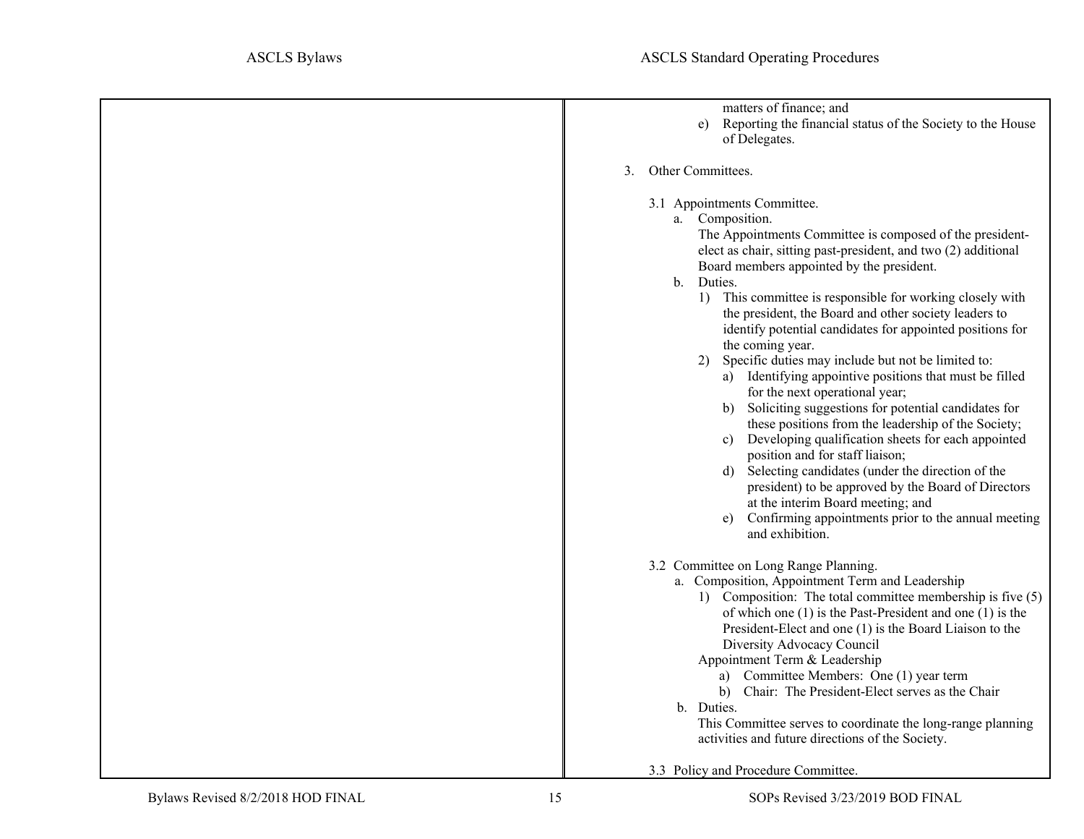<span id="page-14-3"></span><span id="page-14-2"></span><span id="page-14-1"></span><span id="page-14-0"></span>

| matters of finance; and                                                                                                                                                                                                                                                                                                                                                                                                                                                                                                                                                                                                                                                                                                                                                                                                                                                                                                                                                                                                                                                      |
|------------------------------------------------------------------------------------------------------------------------------------------------------------------------------------------------------------------------------------------------------------------------------------------------------------------------------------------------------------------------------------------------------------------------------------------------------------------------------------------------------------------------------------------------------------------------------------------------------------------------------------------------------------------------------------------------------------------------------------------------------------------------------------------------------------------------------------------------------------------------------------------------------------------------------------------------------------------------------------------------------------------------------------------------------------------------------|
| Reporting the financial status of the Society to the House<br>e)<br>of Delegates.                                                                                                                                                                                                                                                                                                                                                                                                                                                                                                                                                                                                                                                                                                                                                                                                                                                                                                                                                                                            |
| Other Committees.<br>3.                                                                                                                                                                                                                                                                                                                                                                                                                                                                                                                                                                                                                                                                                                                                                                                                                                                                                                                                                                                                                                                      |
| 3.1 Appointments Committee.<br>a. Composition.<br>The Appointments Committee is composed of the president-<br>elect as chair, sitting past-president, and two (2) additional<br>Board members appointed by the president.<br>$\mathbf{b}$ .<br>Duties.<br>1) This committee is responsible for working closely with<br>the president, the Board and other society leaders to<br>identify potential candidates for appointed positions for<br>the coming year.<br>Specific duties may include but not be limited to:<br>2)<br>a) Identifying appointive positions that must be filled<br>for the next operational year;<br>b) Soliciting suggestions for potential candidates for<br>these positions from the leadership of the Society;<br>Developing qualification sheets for each appointed<br>c)<br>position and for staff liaison;<br>Selecting candidates (under the direction of the<br>d)<br>president) to be approved by the Board of Directors<br>at the interim Board meeting; and<br>Confirming appointments prior to the annual meeting<br>e)<br>and exhibition. |
| 3.2 Committee on Long Range Planning.<br>a. Composition, Appointment Term and Leadership<br>1) Composition: The total committee membership is five (5)<br>of which one $(1)$ is the Past-President and one $(1)$ is the<br>President-Elect and one (1) is the Board Liaison to the<br>Diversity Advocacy Council<br>Appointment Term & Leadership<br>a) Committee Members: One (1) year term<br>b)<br>Chair: The President-Elect serves as the Chair<br>b. Duties.<br>This Committee serves to coordinate the long-range planning<br>activities and future directions of the Society.                                                                                                                                                                                                                                                                                                                                                                                                                                                                                        |
| 3.3 Policy and Procedure Committee.                                                                                                                                                                                                                                                                                                                                                                                                                                                                                                                                                                                                                                                                                                                                                                                                                                                                                                                                                                                                                                          |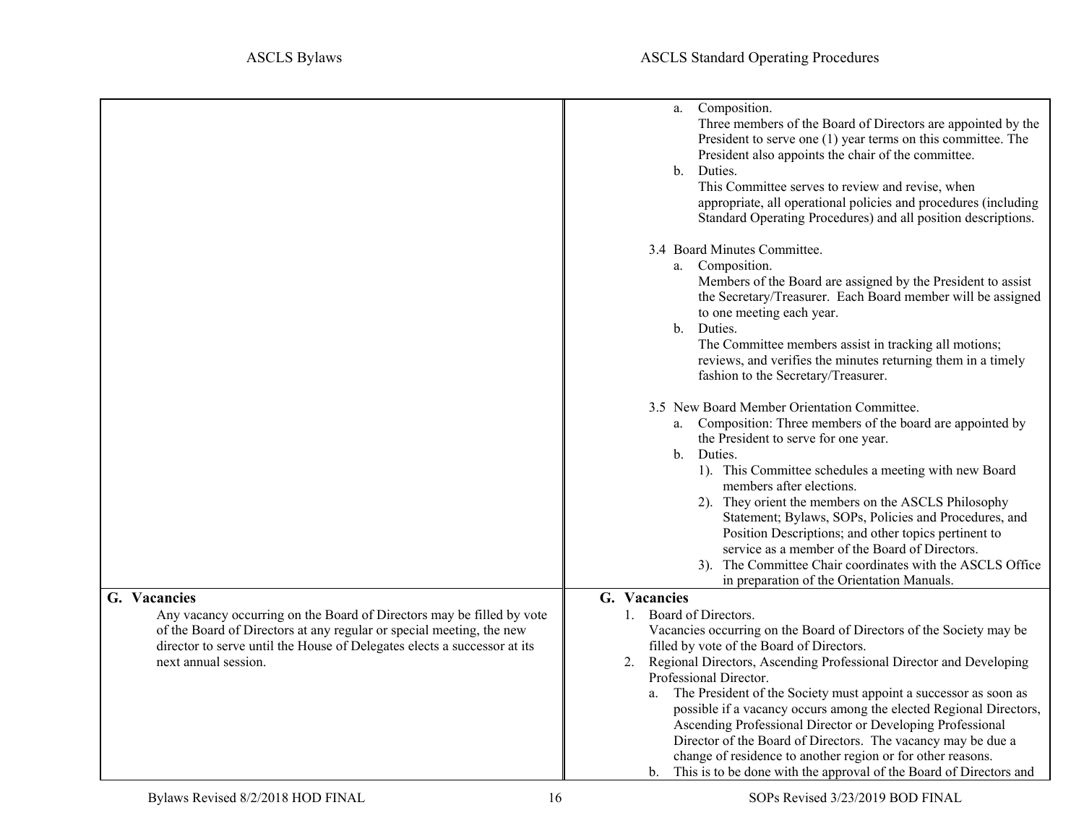<span id="page-15-4"></span><span id="page-15-3"></span><span id="page-15-2"></span><span id="page-15-1"></span><span id="page-15-0"></span>

|                                                                                                                                                                                                                                                                   | Composition.<br>a.<br>Three members of the Board of Directors are appointed by the<br>President to serve one $(1)$ year terms on this committee. The<br>President also appoints the chair of the committee.<br>$\mathbf{b}$ .<br>Duties.<br>This Committee serves to review and revise, when<br>appropriate, all operational policies and procedures (including<br>Standard Operating Procedures) and all position descriptions.                                                                                                                                                                                                                                                       |
|-------------------------------------------------------------------------------------------------------------------------------------------------------------------------------------------------------------------------------------------------------------------|----------------------------------------------------------------------------------------------------------------------------------------------------------------------------------------------------------------------------------------------------------------------------------------------------------------------------------------------------------------------------------------------------------------------------------------------------------------------------------------------------------------------------------------------------------------------------------------------------------------------------------------------------------------------------------------|
|                                                                                                                                                                                                                                                                   | 3.4 Board Minutes Committee.                                                                                                                                                                                                                                                                                                                                                                                                                                                                                                                                                                                                                                                           |
|                                                                                                                                                                                                                                                                   | a. Composition.<br>Members of the Board are assigned by the President to assist<br>the Secretary/Treasurer. Each Board member will be assigned<br>to one meeting each year.<br>$\mathbf{b}$ .<br>Duties.<br>The Committee members assist in tracking all motions;<br>reviews, and verifies the minutes returning them in a timely<br>fashion to the Secretary/Treasurer.                                                                                                                                                                                                                                                                                                               |
|                                                                                                                                                                                                                                                                   | 3.5 New Board Member Orientation Committee.<br>Composition: Three members of the board are appointed by<br>the President to serve for one year.<br>b. Duties.<br>1). This Committee schedules a meeting with new Board<br>members after elections.<br>2). They orient the members on the ASCLS Philosophy<br>Statement; Bylaws, SOPs, Policies and Procedures, and<br>Position Descriptions; and other topics pertinent to<br>service as a member of the Board of Directors.<br>3). The Committee Chair coordinates with the ASCLS Office<br>in preparation of the Orientation Manuals.                                                                                                |
| G. Vacancies<br>Any vacancy occurring on the Board of Directors may be filled by vote<br>of the Board of Directors at any regular or special meeting, the new<br>director to serve until the House of Delegates elects a successor at its<br>next annual session. | G. Vacancies<br>Board of Directors.<br>1.<br>Vacancies occurring on the Board of Directors of the Society may be<br>filled by vote of the Board of Directors.<br>2. Regional Directors, Ascending Professional Director and Developing<br>Professional Director.<br>The President of the Society must appoint a successor as soon as<br>a.<br>possible if a vacancy occurs among the elected Regional Directors,<br>Ascending Professional Director or Developing Professional<br>Director of the Board of Directors. The vacancy may be due a<br>change of residence to another region or for other reasons.<br>b. This is to be done with the approval of the Board of Directors and |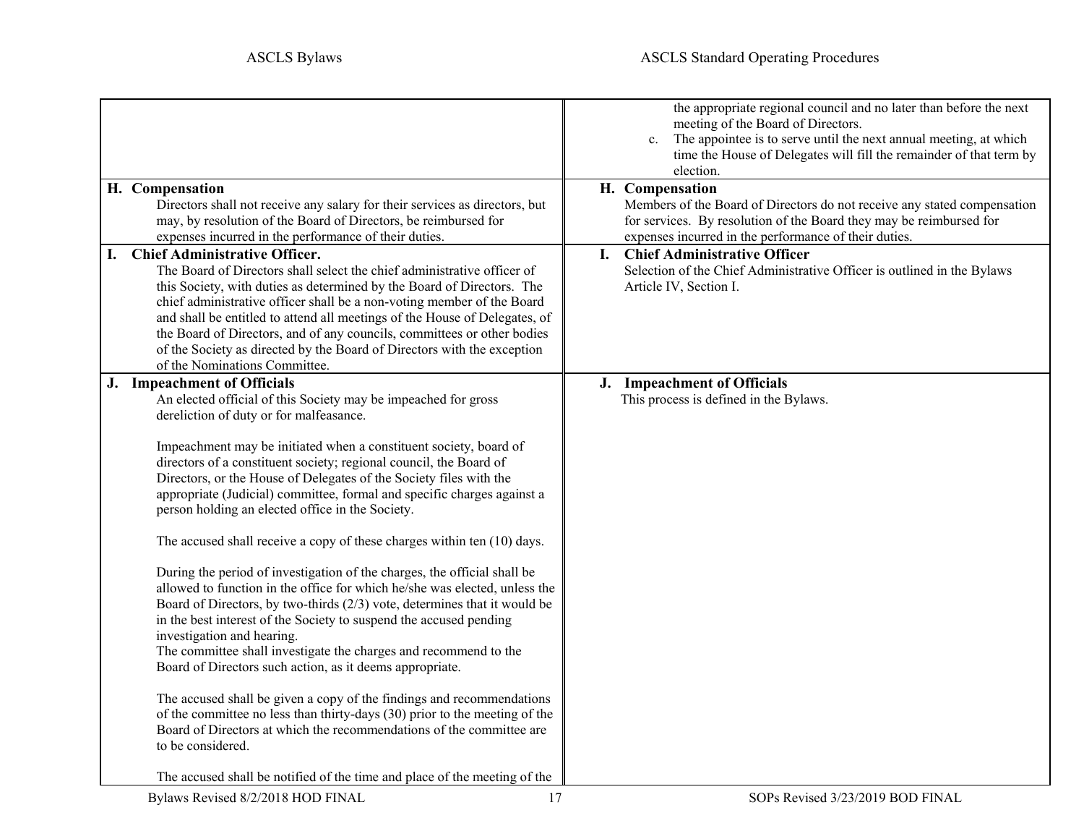<span id="page-16-2"></span><span id="page-16-1"></span><span id="page-16-0"></span>

|                                                                                                                                                                                                                                                                                                                                                                                                                                                                                                                                                                                                                                                                                                                                                                                                                                                                                                                                                                                                                                                  | the appropriate regional council and no later than before the next<br>meeting of the Board of Directors.<br>The appointee is to serve until the next annual meeting, at which<br>c.<br>time the House of Delegates will fill the remainder of that term by<br>election. |
|--------------------------------------------------------------------------------------------------------------------------------------------------------------------------------------------------------------------------------------------------------------------------------------------------------------------------------------------------------------------------------------------------------------------------------------------------------------------------------------------------------------------------------------------------------------------------------------------------------------------------------------------------------------------------------------------------------------------------------------------------------------------------------------------------------------------------------------------------------------------------------------------------------------------------------------------------------------------------------------------------------------------------------------------------|-------------------------------------------------------------------------------------------------------------------------------------------------------------------------------------------------------------------------------------------------------------------------|
| H. Compensation<br>Directors shall not receive any salary for their services as directors, but<br>may, by resolution of the Board of Directors, be reimbursed for<br>expenses incurred in the performance of their duties.                                                                                                                                                                                                                                                                                                                                                                                                                                                                                                                                                                                                                                                                                                                                                                                                                       | H. Compensation<br>Members of the Board of Directors do not receive any stated compensation<br>for services. By resolution of the Board they may be reimbursed for<br>expenses incurred in the performance of their duties.                                             |
| <b>Chief Administrative Officer.</b><br>1.<br>The Board of Directors shall select the chief administrative officer of<br>this Society, with duties as determined by the Board of Directors. The<br>chief administrative officer shall be a non-voting member of the Board<br>and shall be entitled to attend all meetings of the House of Delegates, of<br>the Board of Directors, and of any councils, committees or other bodies<br>of the Society as directed by the Board of Directors with the exception<br>of the Nominations Committee.                                                                                                                                                                                                                                                                                                                                                                                                                                                                                                   | <b>Chief Administrative Officer</b><br>I.<br>Selection of the Chief Administrative Officer is outlined in the Bylaws<br>Article IV, Section I.                                                                                                                          |
| J. Impeachment of Officials<br>An elected official of this Society may be impeached for gross<br>dereliction of duty or for malfeasance.<br>Impeachment may be initiated when a constituent society, board of<br>directors of a constituent society; regional council, the Board of<br>Directors, or the House of Delegates of the Society files with the<br>appropriate (Judicial) committee, formal and specific charges against a<br>person holding an elected office in the Society.<br>The accused shall receive a copy of these charges within ten (10) days.<br>During the period of investigation of the charges, the official shall be<br>allowed to function in the office for which he/she was elected, unless the<br>Board of Directors, by two-thirds $(2/3)$ vote, determines that it would be<br>in the best interest of the Society to suspend the accused pending<br>investigation and hearing.<br>The committee shall investigate the charges and recommend to the<br>Board of Directors such action, as it deems appropriate. | J. Impeachment of Officials<br>This process is defined in the Bylaws.                                                                                                                                                                                                   |
| The accused shall be given a copy of the findings and recommendations<br>of the committee no less than thirty-days (30) prior to the meeting of the<br>Board of Directors at which the recommendations of the committee are<br>to be considered.                                                                                                                                                                                                                                                                                                                                                                                                                                                                                                                                                                                                                                                                                                                                                                                                 |                                                                                                                                                                                                                                                                         |
| The accused shall be notified of the time and place of the meeting of the                                                                                                                                                                                                                                                                                                                                                                                                                                                                                                                                                                                                                                                                                                                                                                                                                                                                                                                                                                        |                                                                                                                                                                                                                                                                         |
| Bylaws Revised 8/2/2018 HOD FINAL<br>17                                                                                                                                                                                                                                                                                                                                                                                                                                                                                                                                                                                                                                                                                                                                                                                                                                                                                                                                                                                                          | SOPs Revised 3/23/2019 BOD FINAL                                                                                                                                                                                                                                        |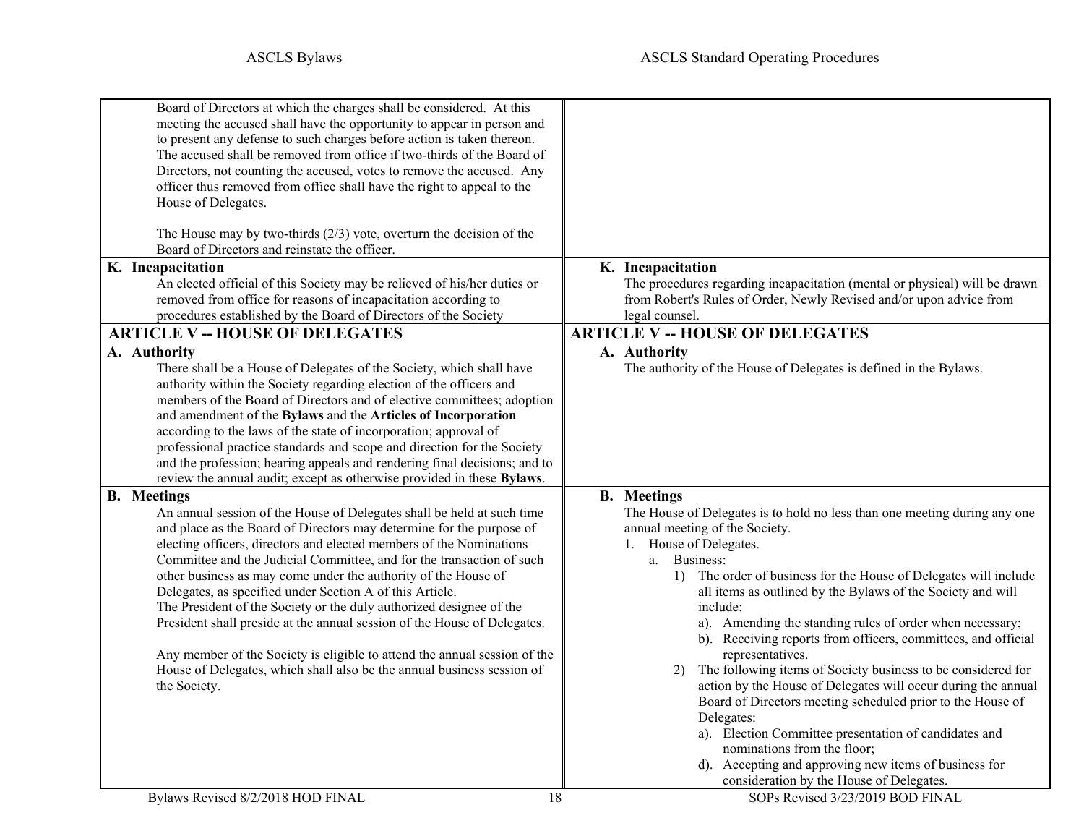<span id="page-17-4"></span><span id="page-17-3"></span><span id="page-17-2"></span><span id="page-17-1"></span><span id="page-17-0"></span>

| Board of Directors at which the charges shall be considered. At this<br>meeting the accused shall have the opportunity to appear in person and<br>to present any defense to such charges before action is taken thereon.<br>The accused shall be removed from office if two-thirds of the Board of<br>Directors, not counting the accused, votes to remove the accused. Any<br>officer thus removed from office shall have the right to appeal to the<br>House of Delegates.                                                                                                                                                                                                                                                                           |                                                                                                                                                                                                                                                                                                                                                                                                                                                                                                                                                                                                                                                                                                                                                                                                                                                                          |
|--------------------------------------------------------------------------------------------------------------------------------------------------------------------------------------------------------------------------------------------------------------------------------------------------------------------------------------------------------------------------------------------------------------------------------------------------------------------------------------------------------------------------------------------------------------------------------------------------------------------------------------------------------------------------------------------------------------------------------------------------------|--------------------------------------------------------------------------------------------------------------------------------------------------------------------------------------------------------------------------------------------------------------------------------------------------------------------------------------------------------------------------------------------------------------------------------------------------------------------------------------------------------------------------------------------------------------------------------------------------------------------------------------------------------------------------------------------------------------------------------------------------------------------------------------------------------------------------------------------------------------------------|
| The House may by two-thirds $(2/3)$ vote, overturn the decision of the<br>Board of Directors and reinstate the officer.                                                                                                                                                                                                                                                                                                                                                                                                                                                                                                                                                                                                                                |                                                                                                                                                                                                                                                                                                                                                                                                                                                                                                                                                                                                                                                                                                                                                                                                                                                                          |
| K. Incapacitation                                                                                                                                                                                                                                                                                                                                                                                                                                                                                                                                                                                                                                                                                                                                      | K. Incapacitation                                                                                                                                                                                                                                                                                                                                                                                                                                                                                                                                                                                                                                                                                                                                                                                                                                                        |
| An elected official of this Society may be relieved of his/her duties or<br>removed from office for reasons of incapacitation according to                                                                                                                                                                                                                                                                                                                                                                                                                                                                                                                                                                                                             | The procedures regarding incapacitation (mental or physical) will be drawn<br>from Robert's Rules of Order, Newly Revised and/or upon advice from                                                                                                                                                                                                                                                                                                                                                                                                                                                                                                                                                                                                                                                                                                                        |
| procedures established by the Board of Directors of the Society                                                                                                                                                                                                                                                                                                                                                                                                                                                                                                                                                                                                                                                                                        | legal counsel.                                                                                                                                                                                                                                                                                                                                                                                                                                                                                                                                                                                                                                                                                                                                                                                                                                                           |
| <b>ARTICLE V -- HOUSE OF DELEGATES</b>                                                                                                                                                                                                                                                                                                                                                                                                                                                                                                                                                                                                                                                                                                                 | <b>ARTICLE V -- HOUSE OF DELEGATES</b>                                                                                                                                                                                                                                                                                                                                                                                                                                                                                                                                                                                                                                                                                                                                                                                                                                   |
| A. Authority                                                                                                                                                                                                                                                                                                                                                                                                                                                                                                                                                                                                                                                                                                                                           | A. Authority                                                                                                                                                                                                                                                                                                                                                                                                                                                                                                                                                                                                                                                                                                                                                                                                                                                             |
| There shall be a House of Delegates of the Society, which shall have<br>authority within the Society regarding election of the officers and<br>members of the Board of Directors and of elective committees; adoption<br>and amendment of the Bylaws and the Articles of Incorporation<br>according to the laws of the state of incorporation; approval of<br>professional practice standards and scope and direction for the Society<br>and the profession; hearing appeals and rendering final decisions; and to<br>review the annual audit; except as otherwise provided in these Bylaws.                                                                                                                                                           | The authority of the House of Delegates is defined in the Bylaws.                                                                                                                                                                                                                                                                                                                                                                                                                                                                                                                                                                                                                                                                                                                                                                                                        |
| <b>B.</b> Meetings                                                                                                                                                                                                                                                                                                                                                                                                                                                                                                                                                                                                                                                                                                                                     | <b>B.</b> Meetings                                                                                                                                                                                                                                                                                                                                                                                                                                                                                                                                                                                                                                                                                                                                                                                                                                                       |
| An annual session of the House of Delegates shall be held at such time<br>and place as the Board of Directors may determine for the purpose of<br>electing officers, directors and elected members of the Nominations<br>Committee and the Judicial Committee, and for the transaction of such<br>other business as may come under the authority of the House of<br>Delegates, as specified under Section A of this Article.<br>The President of the Society or the duly authorized designee of the<br>President shall preside at the annual session of the House of Delegates.<br>Any member of the Society is eligible to attend the annual session of the<br>House of Delegates, which shall also be the annual business session of<br>the Society. | The House of Delegates is to hold no less than one meeting during any one<br>annual meeting of the Society.<br>1. House of Delegates.<br>a. Business:<br>The order of business for the House of Delegates will include<br>1)<br>all items as outlined by the Bylaws of the Society and will<br>include:<br>a). Amending the standing rules of order when necessary;<br>b). Receiving reports from officers, committees, and official<br>representatives.<br>The following items of Society business to be considered for<br>2)<br>action by the House of Delegates will occur during the annual<br>Board of Directors meeting scheduled prior to the House of<br>Delegates:<br>a). Election Committee presentation of candidates and<br>nominations from the floor;<br>d). Accepting and approving new items of business for<br>consideration by the House of Delegates. |
| Bylaws Revised 8/2/2018 HOD FINAL<br>18                                                                                                                                                                                                                                                                                                                                                                                                                                                                                                                                                                                                                                                                                                                | SOPs Revised 3/23/2019 BOD FINAL                                                                                                                                                                                                                                                                                                                                                                                                                                                                                                                                                                                                                                                                                                                                                                                                                                         |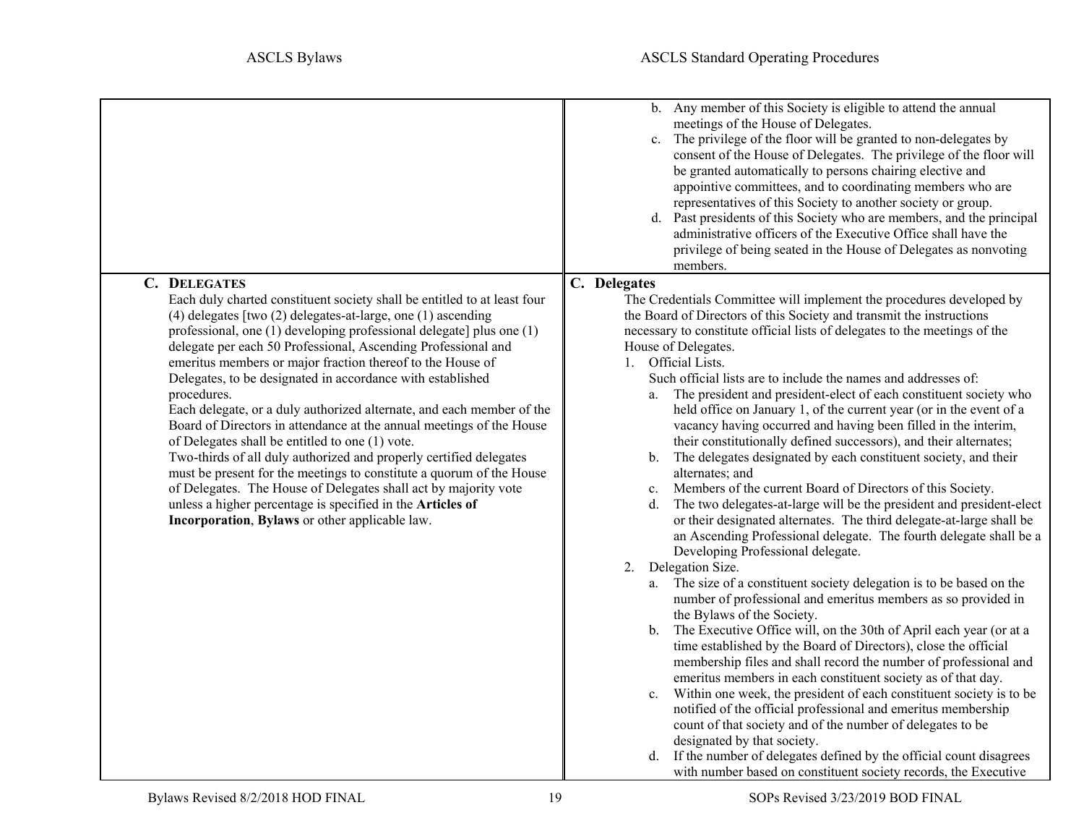<span id="page-18-2"></span><span id="page-18-1"></span><span id="page-18-0"></span>

|                                                                                                                                                                                                                                                                                                                                                                                                                                                                                                                                                                                                                                                                                                                                                                                                                                                                                                                                                                                   | b. Any member of this Society is eligible to attend the annual<br>meetings of the House of Delegates.<br>c. The privilege of the floor will be granted to non-delegates by<br>consent of the House of Delegates. The privilege of the floor will<br>be granted automatically to persons chairing elective and<br>appointive committees, and to coordinating members who are<br>representatives of this Society to another society or group.<br>d. Past presidents of this Society who are members, and the principal<br>administrative officers of the Executive Office shall have the<br>privilege of being seated in the House of Delegates as nonvoting<br>members.                                                                                                                                                                                                                                                                                                                                                                                                                                                                                                                                                                                                                                                                                                                                                                                                                                                                                                                                                                                                                                                                                                                                                                                                                                                                           |
|-----------------------------------------------------------------------------------------------------------------------------------------------------------------------------------------------------------------------------------------------------------------------------------------------------------------------------------------------------------------------------------------------------------------------------------------------------------------------------------------------------------------------------------------------------------------------------------------------------------------------------------------------------------------------------------------------------------------------------------------------------------------------------------------------------------------------------------------------------------------------------------------------------------------------------------------------------------------------------------|--------------------------------------------------------------------------------------------------------------------------------------------------------------------------------------------------------------------------------------------------------------------------------------------------------------------------------------------------------------------------------------------------------------------------------------------------------------------------------------------------------------------------------------------------------------------------------------------------------------------------------------------------------------------------------------------------------------------------------------------------------------------------------------------------------------------------------------------------------------------------------------------------------------------------------------------------------------------------------------------------------------------------------------------------------------------------------------------------------------------------------------------------------------------------------------------------------------------------------------------------------------------------------------------------------------------------------------------------------------------------------------------------------------------------------------------------------------------------------------------------------------------------------------------------------------------------------------------------------------------------------------------------------------------------------------------------------------------------------------------------------------------------------------------------------------------------------------------------------------------------------------------------------------------------------------------------|
|                                                                                                                                                                                                                                                                                                                                                                                                                                                                                                                                                                                                                                                                                                                                                                                                                                                                                                                                                                                   |                                                                                                                                                                                                                                                                                                                                                                                                                                                                                                                                                                                                                                                                                                                                                                                                                                                                                                                                                                                                                                                                                                                                                                                                                                                                                                                                                                                                                                                                                                                                                                                                                                                                                                                                                                                                                                                                                                                                                  |
| C. DELEGATES<br>Each duly charted constituent society shall be entitled to at least four<br>(4) delegates [two (2) delegates-at-large, one (1) ascending<br>professional, one (1) developing professional delegate] plus one (1)<br>delegate per each 50 Professional, Ascending Professional and<br>emeritus members or major fraction thereof to the House of<br>Delegates, to be designated in accordance with established<br>procedures.<br>Each delegate, or a duly authorized alternate, and each member of the<br>Board of Directors in attendance at the annual meetings of the House<br>of Delegates shall be entitled to one (1) vote.<br>Two-thirds of all duly authorized and properly certified delegates<br>must be present for the meetings to constitute a quorum of the House<br>of Delegates. The House of Delegates shall act by majority vote<br>unless a higher percentage is specified in the Articles of<br>Incorporation, Bylaws or other applicable law. | C. Delegates<br>The Credentials Committee will implement the procedures developed by<br>the Board of Directors of this Society and transmit the instructions<br>necessary to constitute official lists of delegates to the meetings of the<br>House of Delegates.<br>1. Official Lists.<br>Such official lists are to include the names and addresses of:<br>The president and president-elect of each constituent society who<br>a.<br>held office on January 1, of the current year (or in the event of a<br>vacancy having occurred and having been filled in the interim,<br>their constitutionally defined successors), and their alternates;<br>b. The delegates designated by each constituent society, and their<br>alternates; and<br>Members of the current Board of Directors of this Society.<br>c.<br>The two delegates-at-large will be the president and president-elect<br>or their designated alternates. The third delegate-at-large shall be<br>an Ascending Professional delegate. The fourth delegate shall be a<br>Developing Professional delegate.<br>2. Delegation Size.<br>a. The size of a constituent society delegation is to be based on the<br>number of professional and emeritus members as so provided in<br>the Bylaws of the Society.<br>b. The Executive Office will, on the 30th of April each year (or at a<br>time established by the Board of Directors), close the official<br>membership files and shall record the number of professional and<br>emeritus members in each constituent society as of that day.<br>Within one week, the president of each constituent society is to be<br>c.<br>notified of the official professional and emeritus membership<br>count of that society and of the number of delegates to be<br>designated by that society.<br>d. If the number of delegates defined by the official count disagrees<br>with number based on constituent society records, the Executive |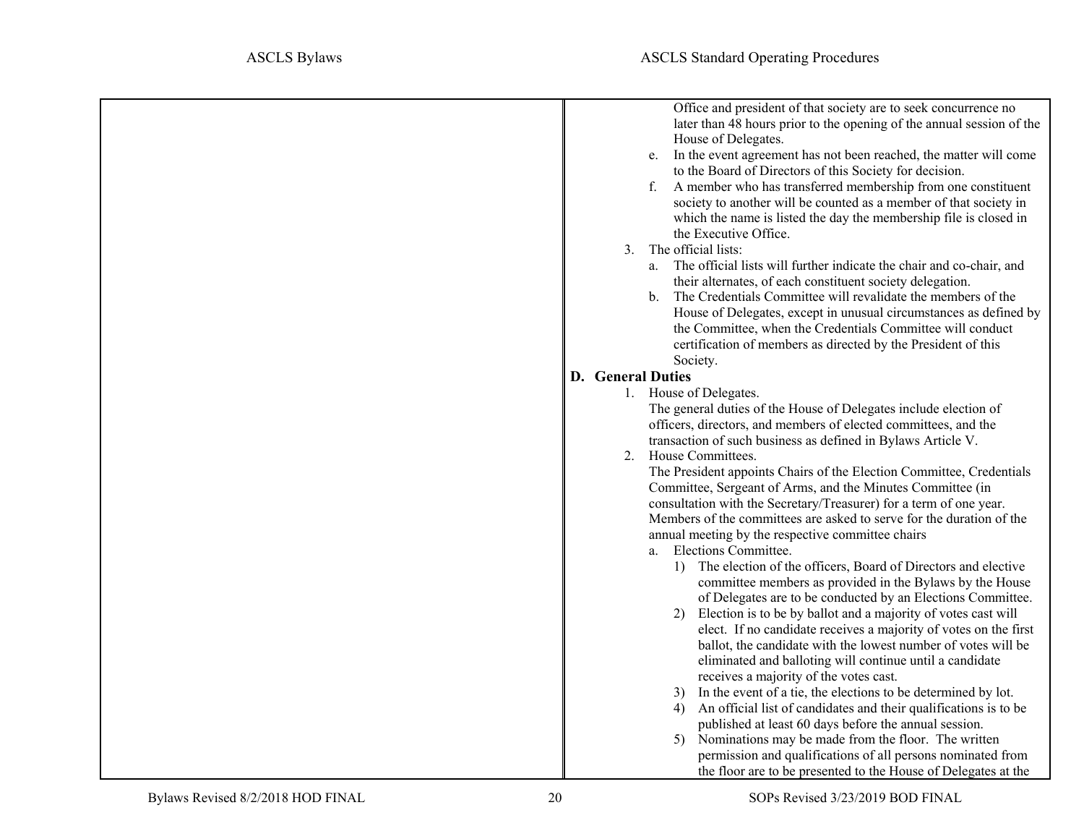<span id="page-19-3"></span><span id="page-19-2"></span><span id="page-19-1"></span><span id="page-19-0"></span>

| Office and president of that society are to seek concurrence no<br>later than 48 hours prior to the opening of the annual session of the<br>House of Delegates.<br>In the event agreement has not been reached, the matter will come<br>e.<br>to the Board of Directors of this Society for decision.<br>A member who has transferred membership from one constituent<br>f.<br>society to another will be counted as a member of that society in<br>which the name is listed the day the membership file is closed in<br>the Executive Office.<br>The official lists:<br>3.<br>The official lists will further indicate the chair and co-chair, and<br>a.<br>their alternates, of each constituent society delegation.<br>The Credentials Committee will revalidate the members of the<br>$\mathbf{b}$ .<br>House of Delegates, except in unusual circumstances as defined by<br>the Committee, when the Credentials Committee will conduct<br>certification of members as directed by the President of this<br>Society.                                                                                                                                                                                                                                                                                                                                   |
|------------------------------------------------------------------------------------------------------------------------------------------------------------------------------------------------------------------------------------------------------------------------------------------------------------------------------------------------------------------------------------------------------------------------------------------------------------------------------------------------------------------------------------------------------------------------------------------------------------------------------------------------------------------------------------------------------------------------------------------------------------------------------------------------------------------------------------------------------------------------------------------------------------------------------------------------------------------------------------------------------------------------------------------------------------------------------------------------------------------------------------------------------------------------------------------------------------------------------------------------------------------------------------------------------------------------------------------------------------|
| <b>D.</b> General Duties                                                                                                                                                                                                                                                                                                                                                                                                                                                                                                                                                                                                                                                                                                                                                                                                                                                                                                                                                                                                                                                                                                                                                                                                                                                                                                                                   |
| 1. House of Delegates.<br>The general duties of the House of Delegates include election of<br>officers, directors, and members of elected committees, and the<br>transaction of such business as defined in Bylaws Article V.<br>2.<br>House Committees.<br>The President appoints Chairs of the Election Committee, Credentials<br>Committee, Sergeant of Arms, and the Minutes Committee (in<br>consultation with the Secretary/Treasurer) for a term of one year.<br>Members of the committees are asked to serve for the duration of the<br>annual meeting by the respective committee chairs<br>Elections Committee.<br>a.<br>1) The election of the officers, Board of Directors and elective<br>committee members as provided in the Bylaws by the House<br>of Delegates are to be conducted by an Elections Committee.<br>Election is to be by ballot and a majority of votes cast will<br>2)<br>elect. If no candidate receives a majority of votes on the first<br>ballot, the candidate with the lowest number of votes will be<br>eliminated and balloting will continue until a candidate<br>receives a majority of the votes cast.<br>In the event of a tie, the elections to be determined by lot.<br>3)<br>An official list of candidates and their qualifications is to be<br>4)<br>published at least 60 days before the annual session. |
| Nominations may be made from the floor. The written<br>5)<br>permission and qualifications of all persons nominated from<br>the floor are to be presented to the House of Delegates at the                                                                                                                                                                                                                                                                                                                                                                                                                                                                                                                                                                                                                                                                                                                                                                                                                                                                                                                                                                                                                                                                                                                                                                 |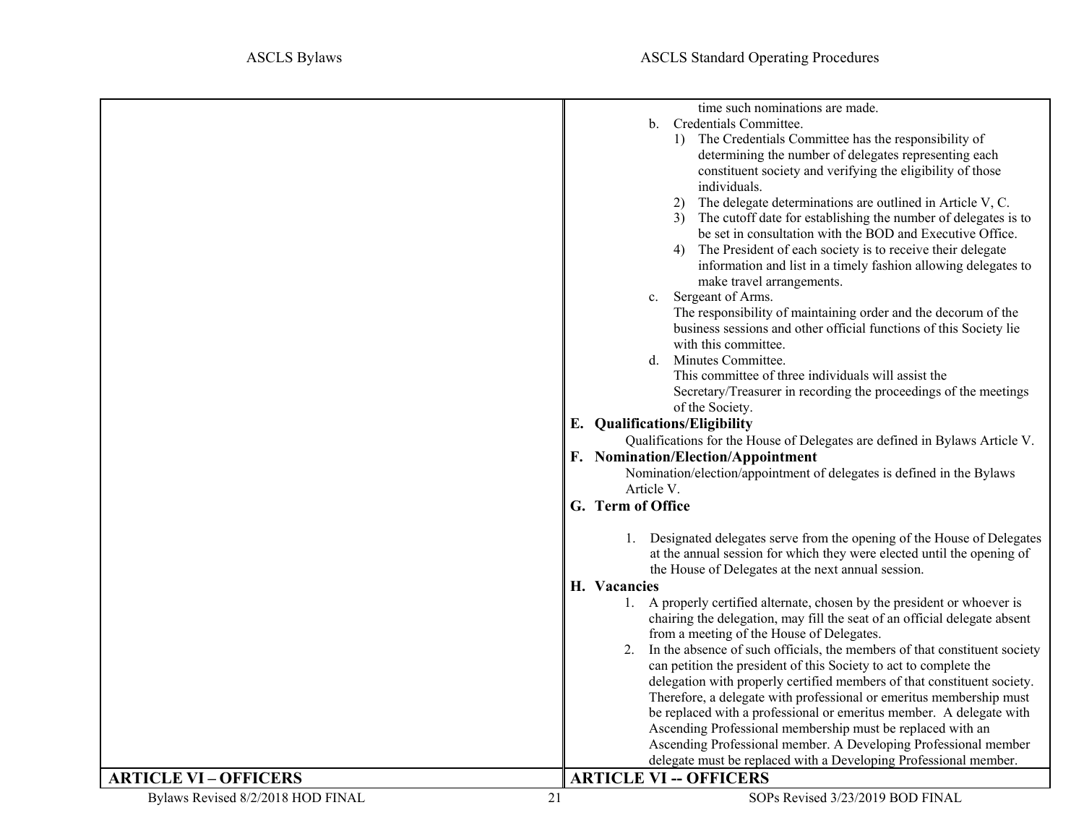<span id="page-20-4"></span><span id="page-20-3"></span><span id="page-20-2"></span><span id="page-20-1"></span><span id="page-20-0"></span>

|                            | time such nominations are made.                                                 |
|----------------------------|---------------------------------------------------------------------------------|
|                            | Credentials Committee.<br>$\mathbf{b}$ .                                        |
|                            | The Credentials Committee has the responsibility of<br>1)                       |
|                            | determining the number of delegates representing each                           |
|                            | constituent society and verifying the eligibility of those                      |
|                            | individuals.                                                                    |
|                            | The delegate determinations are outlined in Article V, C.<br>2)                 |
|                            | 3) The cutoff date for establishing the number of delegates is to               |
|                            | be set in consultation with the BOD and Executive Office.                       |
|                            | The President of each society is to receive their delegate<br>4)                |
|                            | information and list in a timely fashion allowing delegates to                  |
|                            | make travel arrangements.                                                       |
|                            | Sergeant of Arms.<br>$c_{\cdot}$                                                |
|                            | The responsibility of maintaining order and the decorum of the                  |
|                            | business sessions and other official functions of this Society lie              |
|                            | with this committee.                                                            |
|                            | Minutes Committee.<br>$d_{\cdot}$                                               |
|                            | This committee of three individuals will assist the                             |
|                            | Secretary/Treasurer in recording the proceedings of the meetings                |
|                            | of the Society.                                                                 |
|                            | E. Qualifications/Eligibility                                                   |
|                            | Qualifications for the House of Delegates are defined in Bylaws Article V.      |
|                            | F. Nomination/Election/Appointment                                              |
|                            | Nomination/election/appointment of delegates is defined in the Bylaws           |
|                            | Article V.                                                                      |
|                            | G. Term of Office                                                               |
|                            | 1. Designated delegates serve from the opening of the House of Delegates        |
|                            | at the annual session for which they were elected until the opening of          |
|                            | the House of Delegates at the next annual session.                              |
|                            | H. Vacancies                                                                    |
|                            | 1. A properly certified alternate, chosen by the president or whoever is        |
|                            | chairing the delegation, may fill the seat of an official delegate absent       |
|                            | from a meeting of the House of Delegates.                                       |
|                            | In the absence of such officials, the members of that constituent society<br>2. |
|                            | can petition the president of this Society to act to complete the               |
|                            | delegation with properly certified members of that constituent society.         |
|                            | Therefore, a delegate with professional or emeritus membership must             |
|                            | be replaced with a professional or emeritus member. A delegate with             |
|                            | Ascending Professional membership must be replaced with an                      |
|                            | Ascending Professional member. A Developing Professional member                 |
|                            | delegate must be replaced with a Developing Professional member.                |
|                            |                                                                                 |
| <b>ARTICLE VI-OFFICERS</b> | <b>ARTICLE VI -- OFFICERS</b>                                                   |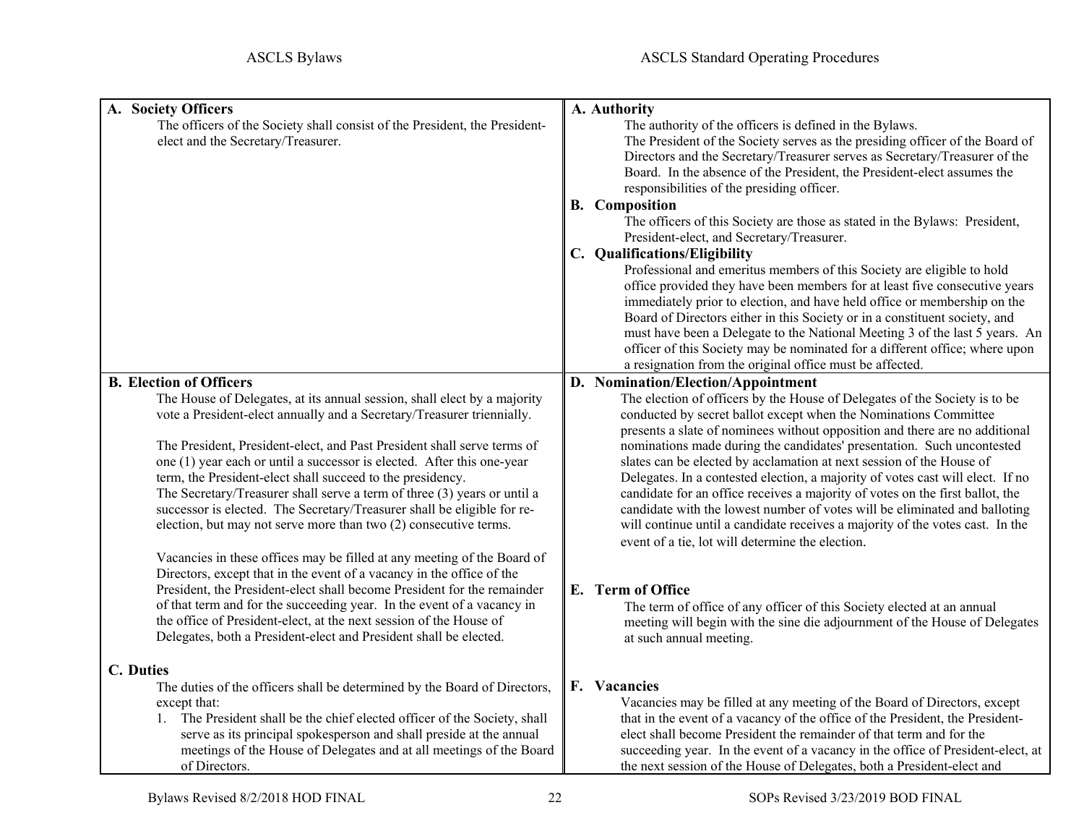<span id="page-21-5"></span><span id="page-21-4"></span><span id="page-21-3"></span><span id="page-21-2"></span><span id="page-21-1"></span><span id="page-21-0"></span>

| A. Society Officers                                                                                                                                                                                                                                                                                                                                                                                                                                                                                                                                                                                                                                                         | A. Authority                                                                                                                                                                                                                                                                                                                                                                                                                                                                                                                                                                                                                                                                                                                                                                                                                                          |
|-----------------------------------------------------------------------------------------------------------------------------------------------------------------------------------------------------------------------------------------------------------------------------------------------------------------------------------------------------------------------------------------------------------------------------------------------------------------------------------------------------------------------------------------------------------------------------------------------------------------------------------------------------------------------------|-------------------------------------------------------------------------------------------------------------------------------------------------------------------------------------------------------------------------------------------------------------------------------------------------------------------------------------------------------------------------------------------------------------------------------------------------------------------------------------------------------------------------------------------------------------------------------------------------------------------------------------------------------------------------------------------------------------------------------------------------------------------------------------------------------------------------------------------------------|
| The officers of the Society shall consist of the President, the President-<br>elect and the Secretary/Treasurer.                                                                                                                                                                                                                                                                                                                                                                                                                                                                                                                                                            | The authority of the officers is defined in the Bylaws.<br>The President of the Society serves as the presiding officer of the Board of<br>Directors and the Secretary/Treasurer serves as Secretary/Treasurer of the<br>Board. In the absence of the President, the President-elect assumes the<br>responsibilities of the presiding officer.<br><b>B.</b> Composition<br>The officers of this Society are those as stated in the Bylaws: President,<br>President-elect, and Secretary/Treasurer.<br>C. Qualifications/Eligibility<br>Professional and emeritus members of this Society are eligible to hold<br>office provided they have been members for at least five consecutive years<br>immediately prior to election, and have held office or membership on the<br>Board of Directors either in this Society or in a constituent society, and |
|                                                                                                                                                                                                                                                                                                                                                                                                                                                                                                                                                                                                                                                                             | must have been a Delegate to the National Meeting 3 of the last 5 years. An<br>officer of this Society may be nominated for a different office; where upon<br>a resignation from the original office must be affected.                                                                                                                                                                                                                                                                                                                                                                                                                                                                                                                                                                                                                                |
| <b>B.</b> Election of Officers                                                                                                                                                                                                                                                                                                                                                                                                                                                                                                                                                                                                                                              | D. Nomination/Election/Appointment                                                                                                                                                                                                                                                                                                                                                                                                                                                                                                                                                                                                                                                                                                                                                                                                                    |
| The House of Delegates, at its annual session, shall elect by a majority<br>vote a President-elect annually and a Secretary/Treasurer triennially.<br>The President, President-elect, and Past President shall serve terms of<br>one (1) year each or until a successor is elected. After this one-year<br>term, the President-elect shall succeed to the presidency.<br>The Secretary/Treasurer shall serve a term of three (3) years or until a<br>successor is elected. The Secretary/Treasurer shall be eligible for re-<br>election, but may not serve more than two (2) consecutive terms.<br>Vacancies in these offices may be filled at any meeting of the Board of | The election of officers by the House of Delegates of the Society is to be<br>conducted by secret ballot except when the Nominations Committee<br>presents a slate of nominees without opposition and there are no additional<br>nominations made during the candidates' presentation. Such uncontested<br>slates can be elected by acclamation at next session of the House of<br>Delegates. In a contested election, a majority of votes cast will elect. If no<br>candidate for an office receives a majority of votes on the first ballot, the<br>candidate with the lowest number of votes will be eliminated and balloting<br>will continue until a candidate receives a majority of the votes cast. In the<br>event of a tie, lot will determine the election.                                                                                 |
| Directors, except that in the event of a vacancy in the office of the<br>President, the President-elect shall become President for the remainder<br>of that term and for the succeeding year. In the event of a vacancy in<br>the office of President-elect, at the next session of the House of<br>Delegates, both a President-elect and President shall be elected.                                                                                                                                                                                                                                                                                                       | E. Term of Office<br>The term of office of any officer of this Society elected at an annual<br>meeting will begin with the sine die adjournment of the House of Delegates<br>at such annual meeting.                                                                                                                                                                                                                                                                                                                                                                                                                                                                                                                                                                                                                                                  |
| <b>C.</b> Duties                                                                                                                                                                                                                                                                                                                                                                                                                                                                                                                                                                                                                                                            |                                                                                                                                                                                                                                                                                                                                                                                                                                                                                                                                                                                                                                                                                                                                                                                                                                                       |
| The duties of the officers shall be determined by the Board of Directors,<br>except that:<br>1. The President shall be the chief elected officer of the Society, shall<br>serve as its principal spokesperson and shall preside at the annual<br>meetings of the House of Delegates and at all meetings of the Board<br>of Directors.                                                                                                                                                                                                                                                                                                                                       | F. Vacancies<br>Vacancies may be filled at any meeting of the Board of Directors, except<br>that in the event of a vacancy of the office of the President, the President-<br>elect shall become President the remainder of that term and for the<br>succeeding year. In the event of a vacancy in the office of President-elect, at<br>the next session of the House of Delegates, both a President-elect and                                                                                                                                                                                                                                                                                                                                                                                                                                         |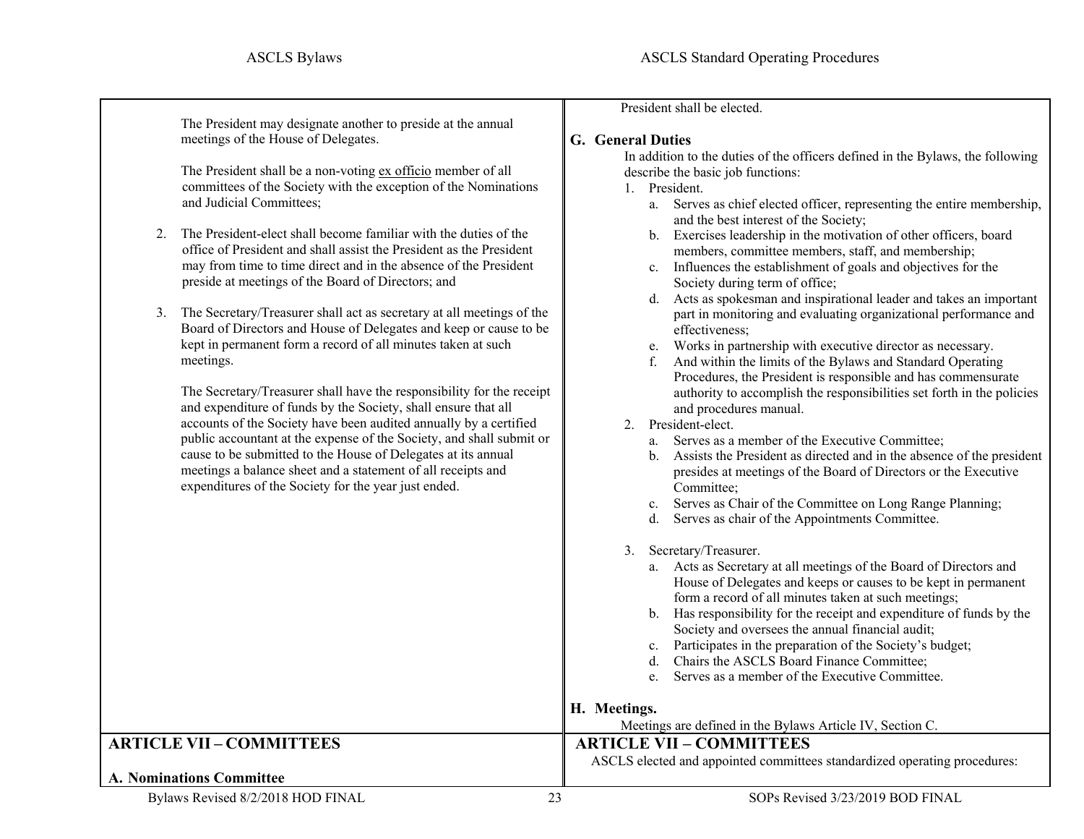<span id="page-22-5"></span><span id="page-22-4"></span><span id="page-22-3"></span><span id="page-22-2"></span><span id="page-22-1"></span><span id="page-22-0"></span>

|                                                                                                                                                                                                                                                                                                                                                                                                                                                                                                                                                                                                                                                                                                                | President shall be elected.                                                                                                                                                                                                                                                                                                                                                                                                                                                                                                                                                                                                                                                                                                                                                                                                                                                                                                                                                                                                                                                                                                                                                                                                                                                                                                                                            |
|----------------------------------------------------------------------------------------------------------------------------------------------------------------------------------------------------------------------------------------------------------------------------------------------------------------------------------------------------------------------------------------------------------------------------------------------------------------------------------------------------------------------------------------------------------------------------------------------------------------------------------------------------------------------------------------------------------------|------------------------------------------------------------------------------------------------------------------------------------------------------------------------------------------------------------------------------------------------------------------------------------------------------------------------------------------------------------------------------------------------------------------------------------------------------------------------------------------------------------------------------------------------------------------------------------------------------------------------------------------------------------------------------------------------------------------------------------------------------------------------------------------------------------------------------------------------------------------------------------------------------------------------------------------------------------------------------------------------------------------------------------------------------------------------------------------------------------------------------------------------------------------------------------------------------------------------------------------------------------------------------------------------------------------------------------------------------------------------|
| The President may designate another to preside at the annual<br>meetings of the House of Delegates.<br>The President shall be a non-voting ex officio member of all<br>committees of the Society with the exception of the Nominations<br>and Judicial Committees;                                                                                                                                                                                                                                                                                                                                                                                                                                             | <b>G.</b> General Duties<br>In addition to the duties of the officers defined in the Bylaws, the following<br>describe the basic job functions:<br>President.<br>1.<br>a. Serves as chief elected officer, representing the entire membership,<br>and the best interest of the Society;                                                                                                                                                                                                                                                                                                                                                                                                                                                                                                                                                                                                                                                                                                                                                                                                                                                                                                                                                                                                                                                                                |
| The President-elect shall become familiar with the duties of the<br>office of President and shall assist the President as the President<br>may from time to time direct and in the absence of the President<br>preside at meetings of the Board of Directors; and                                                                                                                                                                                                                                                                                                                                                                                                                                              | b. Exercises leadership in the motivation of other officers, board<br>members, committee members, staff, and membership;<br>c. Influences the establishment of goals and objectives for the<br>Society during term of office;                                                                                                                                                                                                                                                                                                                                                                                                                                                                                                                                                                                                                                                                                                                                                                                                                                                                                                                                                                                                                                                                                                                                          |
| The Secretary/Treasurer shall act as secretary at all meetings of the<br>3.<br>Board of Directors and House of Delegates and keep or cause to be<br>kept in permanent form a record of all minutes taken at such<br>meetings.<br>The Secretary/Treasurer shall have the responsibility for the receipt<br>and expenditure of funds by the Society, shall ensure that all<br>accounts of the Society have been audited annually by a certified<br>public accountant at the expense of the Society, and shall submit or<br>cause to be submitted to the House of Delegates at its annual<br>meetings a balance sheet and a statement of all receipts and<br>expenditures of the Society for the year just ended. | d. Acts as spokesman and inspirational leader and takes an important<br>part in monitoring and evaluating organizational performance and<br>effectiveness;<br>e. Works in partnership with executive director as necessary.<br>And within the limits of the Bylaws and Standard Operating<br>f.<br>Procedures, the President is responsible and has commensurate<br>authority to accomplish the responsibilities set forth in the policies<br>and procedures manual.<br>2. President-elect.<br>Serves as a member of the Executive Committee;<br>a.<br>b. Assists the President as directed and in the absence of the president<br>presides at meetings of the Board of Directors or the Executive<br>Committee:<br>c. Serves as Chair of the Committee on Long Range Planning;<br>d. Serves as chair of the Appointments Committee.<br>Secretary/Treasurer.<br>3.<br>a. Acts as Secretary at all meetings of the Board of Directors and<br>House of Delegates and keeps or causes to be kept in permanent<br>form a record of all minutes taken at such meetings;<br>b. Has responsibility for the receipt and expenditure of funds by the<br>Society and oversees the annual financial audit;<br>c. Participates in the preparation of the Society's budget;<br>d. Chairs the ASCLS Board Finance Committee;<br>Serves as a member of the Executive Committee.<br>e. |
| <b>ARTICLE VII - COMMITTEES</b>                                                                                                                                                                                                                                                                                                                                                                                                                                                                                                                                                                                                                                                                                | H. Meetings.<br>Meetings are defined in the Bylaws Article IV, Section C.<br><b>ARTICLE VII - COMMITTEES</b><br>ASCLS elected and appointed committees standardized operating procedures:                                                                                                                                                                                                                                                                                                                                                                                                                                                                                                                                                                                                                                                                                                                                                                                                                                                                                                                                                                                                                                                                                                                                                                              |
| <b>A. Nominations Committee</b>                                                                                                                                                                                                                                                                                                                                                                                                                                                                                                                                                                                                                                                                                |                                                                                                                                                                                                                                                                                                                                                                                                                                                                                                                                                                                                                                                                                                                                                                                                                                                                                                                                                                                                                                                                                                                                                                                                                                                                                                                                                                        |
| Bylaws Revised 8/2/2018 HOD FINAL<br>23                                                                                                                                                                                                                                                                                                                                                                                                                                                                                                                                                                                                                                                                        | SOPs Revised 3/23/2019 BOD FINAL                                                                                                                                                                                                                                                                                                                                                                                                                                                                                                                                                                                                                                                                                                                                                                                                                                                                                                                                                                                                                                                                                                                                                                                                                                                                                                                                       |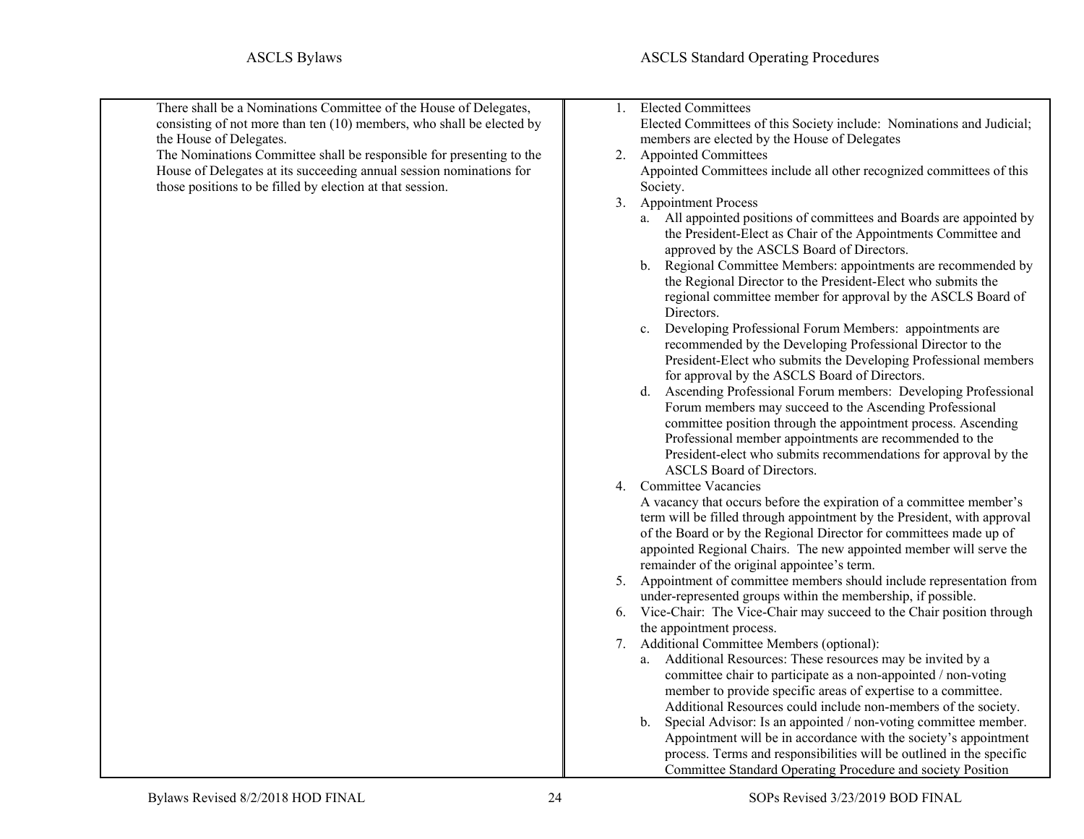<span id="page-23-3"></span><span id="page-23-2"></span><span id="page-23-1"></span><span id="page-23-0"></span>

| There shall be a Nominations Committee of the House of Delegates,<br>consisting of not more than ten (10) members, who shall be elected by<br>the House of Delegates.<br>The Nominations Committee shall be responsible for presenting to the<br>House of Delegates at its succeeding annual session nominations for<br>those positions to be filled by election at that session. | 1. Elected Committees<br>Elected Committees of this Society include: Nominations and Judicial;<br>members are elected by the House of Delegates<br><b>Appointed Committees</b><br>2.<br>Appointed Committees include all other recognized committees of this<br>Society.<br>3.<br><b>Appointment Process</b><br>All appointed positions of committees and Boards are appointed by<br>а.<br>the President-Elect as Chair of the Appointments Committee and<br>approved by the ASCLS Board of Directors.<br>Regional Committee Members: appointments are recommended by<br>$\mathbf{b}$ .                                                                                                                                                                                                                                                                                                                                                                                                                                                                                                                                                                                                                                                            |
|-----------------------------------------------------------------------------------------------------------------------------------------------------------------------------------------------------------------------------------------------------------------------------------------------------------------------------------------------------------------------------------|----------------------------------------------------------------------------------------------------------------------------------------------------------------------------------------------------------------------------------------------------------------------------------------------------------------------------------------------------------------------------------------------------------------------------------------------------------------------------------------------------------------------------------------------------------------------------------------------------------------------------------------------------------------------------------------------------------------------------------------------------------------------------------------------------------------------------------------------------------------------------------------------------------------------------------------------------------------------------------------------------------------------------------------------------------------------------------------------------------------------------------------------------------------------------------------------------------------------------------------------------|
|                                                                                                                                                                                                                                                                                                                                                                                   | the Regional Director to the President-Elect who submits the<br>regional committee member for approval by the ASCLS Board of<br>Directors.<br>Developing Professional Forum Members: appointments are<br>c.<br>recommended by the Developing Professional Director to the<br>President-Elect who submits the Developing Professional members<br>for approval by the ASCLS Board of Directors.<br>Ascending Professional Forum members: Developing Professional<br>d.<br>Forum members may succeed to the Ascending Professional<br>committee position through the appointment process. Ascending<br>Professional member appointments are recommended to the<br>President-elect who submits recommendations for approval by the<br>ASCLS Board of Directors.                                                                                                                                                                                                                                                                                                                                                                                                                                                                                        |
|                                                                                                                                                                                                                                                                                                                                                                                   | <b>Committee Vacancies</b><br>4.<br>A vacancy that occurs before the expiration of a committee member's<br>term will be filled through appointment by the President, with approval<br>of the Board or by the Regional Director for committees made up of<br>appointed Regional Chairs. The new appointed member will serve the<br>remainder of the original appointee's term.<br>Appointment of committee members should include representation from<br>5.<br>under-represented groups within the membership, if possible.<br>Vice-Chair: The Vice-Chair may succeed to the Chair position through<br>6.<br>the appointment process.<br>Additional Committee Members (optional):<br>7.<br>Additional Resources: These resources may be invited by a<br>a.<br>committee chair to participate as a non-appointed / non-voting<br>member to provide specific areas of expertise to a committee.<br>Additional Resources could include non-members of the society.<br>Special Advisor: Is an appointed / non-voting committee member.<br>b.<br>Appointment will be in accordance with the society's appointment<br>process. Terms and responsibilities will be outlined in the specific<br>Committee Standard Operating Procedure and society Position |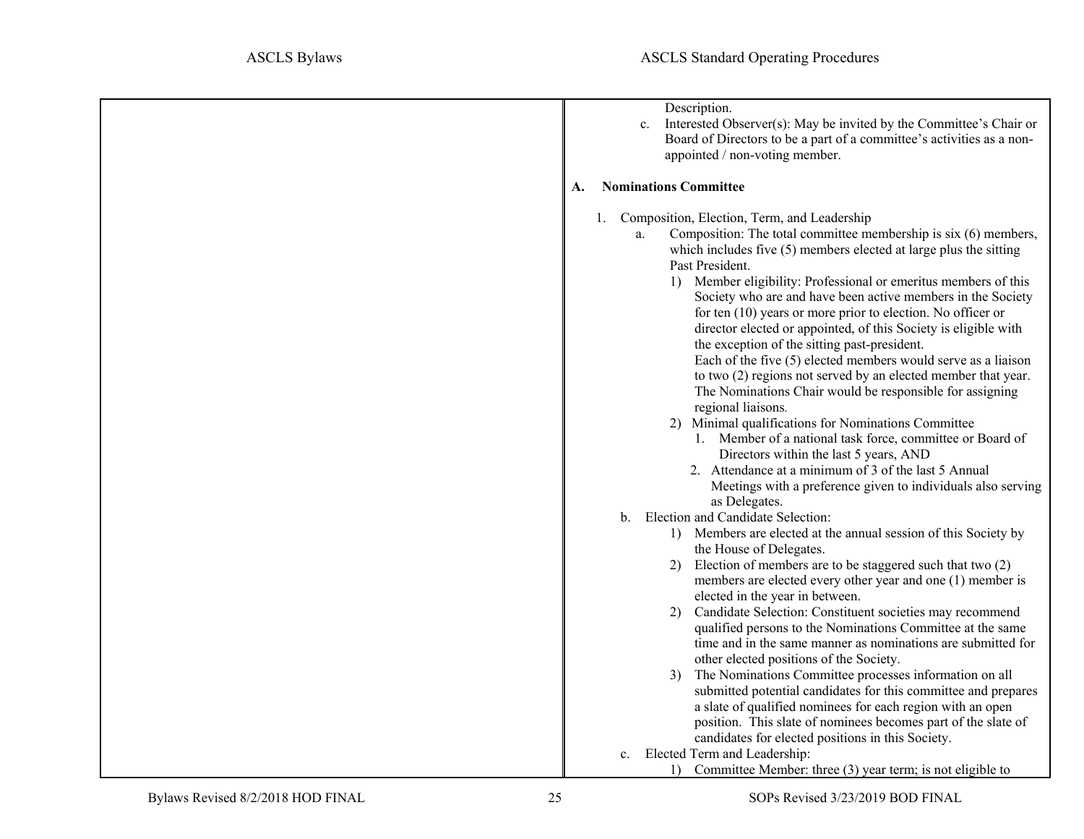| Description.<br>Interested Observer(s): May be invited by the Committee's Chair or<br>c.<br>Board of Directors to be a part of a committee's activities as a non-<br>appointed / non-voting member.                                                                                                                                                                                                                                                                                                                                                                                                                                                                                                                                                                                                                                                                                                                                                                                                                                                                  |
|----------------------------------------------------------------------------------------------------------------------------------------------------------------------------------------------------------------------------------------------------------------------------------------------------------------------------------------------------------------------------------------------------------------------------------------------------------------------------------------------------------------------------------------------------------------------------------------------------------------------------------------------------------------------------------------------------------------------------------------------------------------------------------------------------------------------------------------------------------------------------------------------------------------------------------------------------------------------------------------------------------------------------------------------------------------------|
| <b>Nominations Committee</b><br>А.                                                                                                                                                                                                                                                                                                                                                                                                                                                                                                                                                                                                                                                                                                                                                                                                                                                                                                                                                                                                                                   |
| 1. Composition, Election, Term, and Leadership<br>Composition: The total committee membership is six (6) members,<br>a.<br>which includes five $(5)$ members elected at large plus the sitting<br>Past President.<br>1) Member eligibility: Professional or emeritus members of this<br>Society who are and have been active members in the Society<br>for ten $(10)$ years or more prior to election. No officer or<br>director elected or appointed, of this Society is eligible with<br>the exception of the sitting past-president.<br>Each of the five $(5)$ elected members would serve as a liaison<br>to two (2) regions not served by an elected member that year.<br>The Nominations Chair would be responsible for assigning<br>regional liaisons.<br>2) Minimal qualifications for Nominations Committee<br>1. Member of a national task force, committee or Board of<br>Directors within the last 5 years, AND<br>2. Attendance at a minimum of 3 of the last 5 Annual<br>Meetings with a preference given to individuals also serving<br>as Delegates. |
| Election and Candidate Selection:<br>$\mathbf{b}$ .                                                                                                                                                                                                                                                                                                                                                                                                                                                                                                                                                                                                                                                                                                                                                                                                                                                                                                                                                                                                                  |
| 1) Members are elected at the annual session of this Society by<br>the House of Delegates.<br>Election of members are to be staggered such that two $(2)$<br>2)<br>members are elected every other year and one (1) member is<br>elected in the year in between.<br>Candidate Selection: Constituent societies may recommend<br>2)<br>qualified persons to the Nominations Committee at the same<br>time and in the same manner as nominations are submitted for<br>other elected positions of the Society.<br>The Nominations Committee processes information on all<br>3)<br>submitted potential candidates for this committee and prepares<br>a slate of qualified nominees for each region with an open<br>position. This slate of nominees becomes part of the slate of<br>candidates for elected positions in this Society.<br>Elected Term and Leadership:<br>$c_{\cdot}$                                                                                                                                                                                     |
| 1) Committee Member: three (3) year term; is not eligible to                                                                                                                                                                                                                                                                                                                                                                                                                                                                                                                                                                                                                                                                                                                                                                                                                                                                                                                                                                                                         |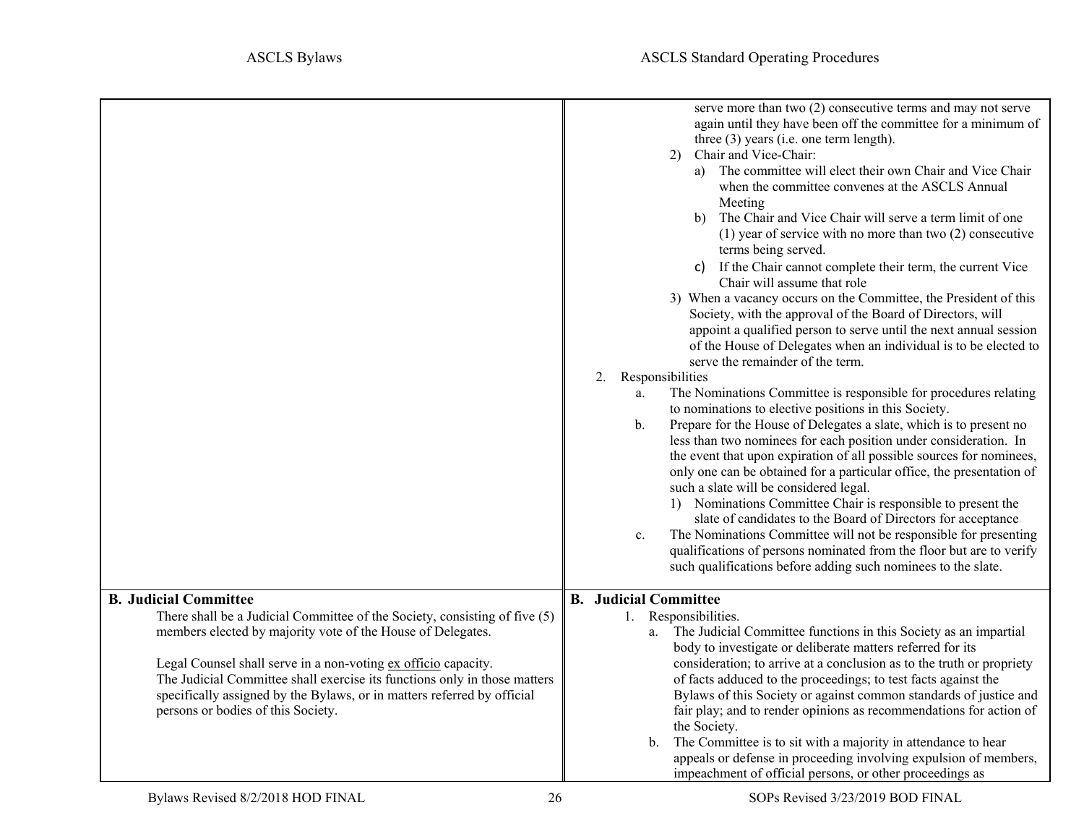<span id="page-25-1"></span><span id="page-25-0"></span>

|                                                                                                            | serve more than two (2) consecutive terms and may not serve<br>again until they have been off the committee for a minimum of<br>three $(3)$ years (i.e. one term length).<br>2) Chair and Vice-Chair:<br>a) The committee will elect their own Chair and Vice Chair<br>when the committee convenes at the ASCLS Annual<br>Meeting<br>The Chair and Vice Chair will serve a term limit of one<br>b)<br>(1) year of service with no more than two $(2)$ consecutive<br>terms being served.<br>c) If the Chair cannot complete their term, the current Vice<br>Chair will assume that role<br>3) When a vacancy occurs on the Committee, the President of this<br>Society, with the approval of the Board of Directors, will<br>appoint a qualified person to serve until the next annual session<br>of the House of Delegates when an individual is to be elected to<br>serve the remainder of the term.<br>Responsibilities<br>2.<br>The Nominations Committee is responsible for procedures relating<br>a.<br>to nominations to elective positions in this Society.<br>Prepare for the House of Delegates a slate, which is to present no<br>b.<br>less than two nominees for each position under consideration. In<br>the event that upon expiration of all possible sources for nominees,<br>only one can be obtained for a particular office, the presentation of<br>such a slate will be considered legal.<br>1) Nominations Committee Chair is responsible to present the<br>slate of candidates to the Board of Directors for acceptance<br>The Nominations Committee will not be responsible for presenting<br>c.<br>qualifications of persons nominated from the floor but are to verify<br>such qualifications before adding such nominees to the slate. |
|------------------------------------------------------------------------------------------------------------|-------------------------------------------------------------------------------------------------------------------------------------------------------------------------------------------------------------------------------------------------------------------------------------------------------------------------------------------------------------------------------------------------------------------------------------------------------------------------------------------------------------------------------------------------------------------------------------------------------------------------------------------------------------------------------------------------------------------------------------------------------------------------------------------------------------------------------------------------------------------------------------------------------------------------------------------------------------------------------------------------------------------------------------------------------------------------------------------------------------------------------------------------------------------------------------------------------------------------------------------------------------------------------------------------------------------------------------------------------------------------------------------------------------------------------------------------------------------------------------------------------------------------------------------------------------------------------------------------------------------------------------------------------------------------------------------------------------------------------------------------------------------|
|                                                                                                            |                                                                                                                                                                                                                                                                                                                                                                                                                                                                                                                                                                                                                                                                                                                                                                                                                                                                                                                                                                                                                                                                                                                                                                                                                                                                                                                                                                                                                                                                                                                                                                                                                                                                                                                                                                   |
| <b>B. Judicial Committee</b><br>There shall be a Judicial Committee of the Society, consisting of five (5) | <b>B.</b> Judicial Committee                                                                                                                                                                                                                                                                                                                                                                                                                                                                                                                                                                                                                                                                                                                                                                                                                                                                                                                                                                                                                                                                                                                                                                                                                                                                                                                                                                                                                                                                                                                                                                                                                                                                                                                                      |
| members elected by majority vote of the House of Delegates.                                                | 1. Responsibilities.<br>a. The Judicial Committee functions in this Society as an impartial                                                                                                                                                                                                                                                                                                                                                                                                                                                                                                                                                                                                                                                                                                                                                                                                                                                                                                                                                                                                                                                                                                                                                                                                                                                                                                                                                                                                                                                                                                                                                                                                                                                                       |
|                                                                                                            | body to investigate or deliberate matters referred for its                                                                                                                                                                                                                                                                                                                                                                                                                                                                                                                                                                                                                                                                                                                                                                                                                                                                                                                                                                                                                                                                                                                                                                                                                                                                                                                                                                                                                                                                                                                                                                                                                                                                                                        |
| Legal Counsel shall serve in a non-voting ex officio capacity.                                             | consideration; to arrive at a conclusion as to the truth or propriety                                                                                                                                                                                                                                                                                                                                                                                                                                                                                                                                                                                                                                                                                                                                                                                                                                                                                                                                                                                                                                                                                                                                                                                                                                                                                                                                                                                                                                                                                                                                                                                                                                                                                             |
| The Judicial Committee shall exercise its functions only in those matters                                  | of facts adduced to the proceedings; to test facts against the                                                                                                                                                                                                                                                                                                                                                                                                                                                                                                                                                                                                                                                                                                                                                                                                                                                                                                                                                                                                                                                                                                                                                                                                                                                                                                                                                                                                                                                                                                                                                                                                                                                                                                    |
| specifically assigned by the Bylaws, or in matters referred by official                                    | Bylaws of this Society or against common standards of justice and                                                                                                                                                                                                                                                                                                                                                                                                                                                                                                                                                                                                                                                                                                                                                                                                                                                                                                                                                                                                                                                                                                                                                                                                                                                                                                                                                                                                                                                                                                                                                                                                                                                                                                 |
| persons or bodies of this Society.                                                                         | fair play; and to render opinions as recommendations for action of<br>the Society.                                                                                                                                                                                                                                                                                                                                                                                                                                                                                                                                                                                                                                                                                                                                                                                                                                                                                                                                                                                                                                                                                                                                                                                                                                                                                                                                                                                                                                                                                                                                                                                                                                                                                |
|                                                                                                            | The Committee is to sit with a majority in attendance to hear<br>$\mathbf{b}$ .                                                                                                                                                                                                                                                                                                                                                                                                                                                                                                                                                                                                                                                                                                                                                                                                                                                                                                                                                                                                                                                                                                                                                                                                                                                                                                                                                                                                                                                                                                                                                                                                                                                                                   |
|                                                                                                            | appeals or defense in proceeding involving expulsion of members,                                                                                                                                                                                                                                                                                                                                                                                                                                                                                                                                                                                                                                                                                                                                                                                                                                                                                                                                                                                                                                                                                                                                                                                                                                                                                                                                                                                                                                                                                                                                                                                                                                                                                                  |
|                                                                                                            | impeachment of official persons, or other proceedings as                                                                                                                                                                                                                                                                                                                                                                                                                                                                                                                                                                                                                                                                                                                                                                                                                                                                                                                                                                                                                                                                                                                                                                                                                                                                                                                                                                                                                                                                                                                                                                                                                                                                                                          |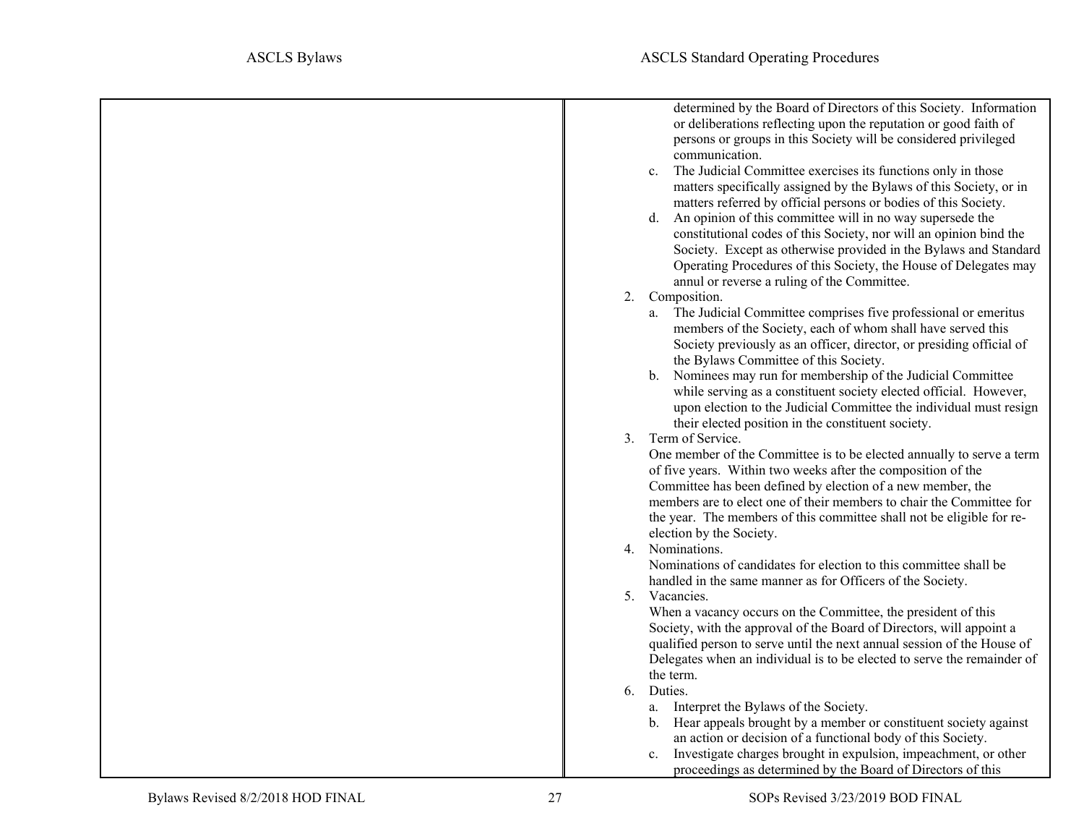<span id="page-26-4"></span><span id="page-26-3"></span><span id="page-26-2"></span><span id="page-26-1"></span><span id="page-26-0"></span>

| determined by the Board of Directors of this Society. Information<br>or deliberations reflecting upon the reputation or good faith of<br>persons or groups in this Society will be considered privileged<br>communication.<br>The Judicial Committee exercises its functions only in those<br>$c_{\cdot}$<br>matters specifically assigned by the Bylaws of this Society, or in<br>matters referred by official persons or bodies of this Society.<br>An opinion of this committee will in no way supersede the<br>d.<br>constitutional codes of this Society, nor will an opinion bind the<br>Society. Except as otherwise provided in the Bylaws and Standard<br>Operating Procedures of this Society, the House of Delegates may |
|-------------------------------------------------------------------------------------------------------------------------------------------------------------------------------------------------------------------------------------------------------------------------------------------------------------------------------------------------------------------------------------------------------------------------------------------------------------------------------------------------------------------------------------------------------------------------------------------------------------------------------------------------------------------------------------------------------------------------------------|
| annul or reverse a ruling of the Committee.                                                                                                                                                                                                                                                                                                                                                                                                                                                                                                                                                                                                                                                                                         |
| 2. Composition.                                                                                                                                                                                                                                                                                                                                                                                                                                                                                                                                                                                                                                                                                                                     |
| The Judicial Committee comprises five professional or emeritus<br>a.<br>members of the Society, each of whom shall have served this<br>Society previously as an officer, director, or presiding official of<br>the Bylaws Committee of this Society.                                                                                                                                                                                                                                                                                                                                                                                                                                                                                |
| Nominees may run for membership of the Judicial Committee<br>b.                                                                                                                                                                                                                                                                                                                                                                                                                                                                                                                                                                                                                                                                     |
| while serving as a constituent society elected official. However,                                                                                                                                                                                                                                                                                                                                                                                                                                                                                                                                                                                                                                                                   |
| upon election to the Judicial Committee the individual must resign                                                                                                                                                                                                                                                                                                                                                                                                                                                                                                                                                                                                                                                                  |
| their elected position in the constituent society.                                                                                                                                                                                                                                                                                                                                                                                                                                                                                                                                                                                                                                                                                  |
| 3. Term of Service.                                                                                                                                                                                                                                                                                                                                                                                                                                                                                                                                                                                                                                                                                                                 |
| One member of the Committee is to be elected annually to serve a term                                                                                                                                                                                                                                                                                                                                                                                                                                                                                                                                                                                                                                                               |
| of five years. Within two weeks after the composition of the                                                                                                                                                                                                                                                                                                                                                                                                                                                                                                                                                                                                                                                                        |
| Committee has been defined by election of a new member, the                                                                                                                                                                                                                                                                                                                                                                                                                                                                                                                                                                                                                                                                         |
| members are to elect one of their members to chair the Committee for                                                                                                                                                                                                                                                                                                                                                                                                                                                                                                                                                                                                                                                                |
| the year. The members of this committee shall not be eligible for re-                                                                                                                                                                                                                                                                                                                                                                                                                                                                                                                                                                                                                                                               |
| election by the Society.                                                                                                                                                                                                                                                                                                                                                                                                                                                                                                                                                                                                                                                                                                            |
| 4. Nominations.                                                                                                                                                                                                                                                                                                                                                                                                                                                                                                                                                                                                                                                                                                                     |
| Nominations of candidates for election to this committee shall be                                                                                                                                                                                                                                                                                                                                                                                                                                                                                                                                                                                                                                                                   |
| handled in the same manner as for Officers of the Society.                                                                                                                                                                                                                                                                                                                                                                                                                                                                                                                                                                                                                                                                          |
| 5. Vacancies.                                                                                                                                                                                                                                                                                                                                                                                                                                                                                                                                                                                                                                                                                                                       |
| When a vacancy occurs on the Committee, the president of this<br>Society, with the approval of the Board of Directors, will appoint a                                                                                                                                                                                                                                                                                                                                                                                                                                                                                                                                                                                               |
| qualified person to serve until the next annual session of the House of                                                                                                                                                                                                                                                                                                                                                                                                                                                                                                                                                                                                                                                             |
| Delegates when an individual is to be elected to serve the remainder of                                                                                                                                                                                                                                                                                                                                                                                                                                                                                                                                                                                                                                                             |
| the term.                                                                                                                                                                                                                                                                                                                                                                                                                                                                                                                                                                                                                                                                                                                           |
| Duties.<br>6.                                                                                                                                                                                                                                                                                                                                                                                                                                                                                                                                                                                                                                                                                                                       |
| Interpret the Bylaws of the Society.<br>a.                                                                                                                                                                                                                                                                                                                                                                                                                                                                                                                                                                                                                                                                                          |
| Hear appeals brought by a member or constituent society against<br>b.                                                                                                                                                                                                                                                                                                                                                                                                                                                                                                                                                                                                                                                               |
| an action or decision of a functional body of this Society.                                                                                                                                                                                                                                                                                                                                                                                                                                                                                                                                                                                                                                                                         |
| Investigate charges brought in expulsion, impeachment, or other                                                                                                                                                                                                                                                                                                                                                                                                                                                                                                                                                                                                                                                                     |
| proceedings as determined by the Board of Directors of this                                                                                                                                                                                                                                                                                                                                                                                                                                                                                                                                                                                                                                                                         |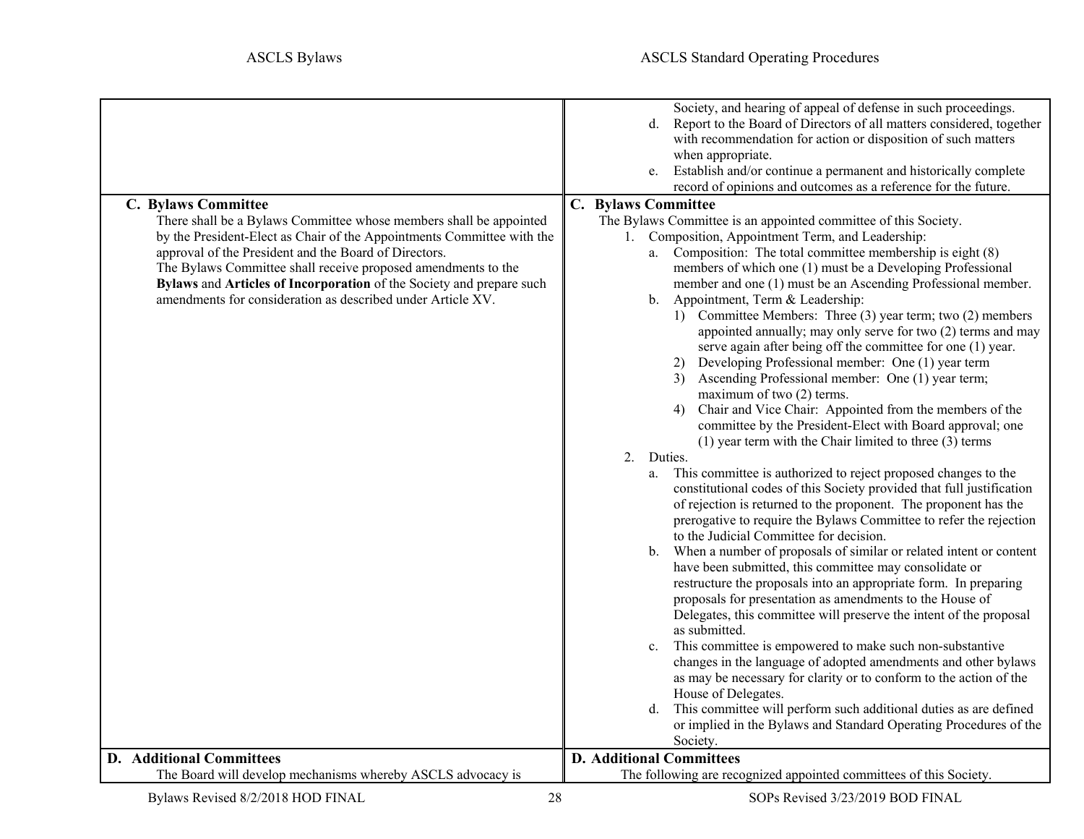<span id="page-27-3"></span><span id="page-27-2"></span><span id="page-27-1"></span><span id="page-27-0"></span>

|                                                                                                                                                                                                                                                                                                                                                                                                                                                                         | Society, and hearing of appeal of defense in such proceedings.<br>d. Report to the Board of Directors of all matters considered, together<br>with recommendation for action or disposition of such matters<br>when appropriate.<br>Establish and/or continue a permanent and historically complete<br>e.<br>record of opinions and outcomes as a reference for the future.                                                                                                                                                                                                                                                                                                                                                                                                                                                                                                                                                                                                                                                                                                                                                                                                                                                                                                                                                                                                                                                                                                                                                                                                                                                                                                                                                                                                                                                                                                                                                                                                                                                                                                         |
|-------------------------------------------------------------------------------------------------------------------------------------------------------------------------------------------------------------------------------------------------------------------------------------------------------------------------------------------------------------------------------------------------------------------------------------------------------------------------|------------------------------------------------------------------------------------------------------------------------------------------------------------------------------------------------------------------------------------------------------------------------------------------------------------------------------------------------------------------------------------------------------------------------------------------------------------------------------------------------------------------------------------------------------------------------------------------------------------------------------------------------------------------------------------------------------------------------------------------------------------------------------------------------------------------------------------------------------------------------------------------------------------------------------------------------------------------------------------------------------------------------------------------------------------------------------------------------------------------------------------------------------------------------------------------------------------------------------------------------------------------------------------------------------------------------------------------------------------------------------------------------------------------------------------------------------------------------------------------------------------------------------------------------------------------------------------------------------------------------------------------------------------------------------------------------------------------------------------------------------------------------------------------------------------------------------------------------------------------------------------------------------------------------------------------------------------------------------------------------------------------------------------------------------------------------------------|
| C. Bylaws Committee<br>There shall be a Bylaws Committee whose members shall be appointed<br>by the President-Elect as Chair of the Appointments Committee with the<br>approval of the President and the Board of Directors.<br>The Bylaws Committee shall receive proposed amendments to the<br>Bylaws and Articles of Incorporation of the Society and prepare such<br>amendments for consideration as described under Article XV.<br><b>D.</b> Additional Committees | C. Bylaws Committee<br>The Bylaws Committee is an appointed committee of this Society.<br>1. Composition, Appointment Term, and Leadership:<br>a. Composition: The total committee membership is eight (8)<br>members of which one (1) must be a Developing Professional<br>member and one (1) must be an Ascending Professional member.<br>b. Appointment, Term & Leadership:<br>1) Committee Members: Three (3) year term; two (2) members<br>appointed annually; may only serve for two (2) terms and may<br>serve again after being off the committee for one (1) year.<br>2) Developing Professional member: One (1) year term<br>3) Ascending Professional member: One (1) year term;<br>maximum of two (2) terms.<br>Chair and Vice Chair: Appointed from the members of the<br>4)<br>committee by the President-Elect with Board approval; one<br>$(1)$ year term with the Chair limited to three $(3)$ terms<br>2.<br>Duties.<br>This committee is authorized to reject proposed changes to the<br>a.<br>constitutional codes of this Society provided that full justification<br>of rejection is returned to the proponent. The proponent has the<br>prerogative to require the Bylaws Committee to refer the rejection<br>to the Judicial Committee for decision.<br>b. When a number of proposals of similar or related intent or content<br>have been submitted, this committee may consolidate or<br>restructure the proposals into an appropriate form. In preparing<br>proposals for presentation as amendments to the House of<br>Delegates, this committee will preserve the intent of the proposal<br>as submitted.<br>This committee is empowered to make such non-substantive<br>$\mathbf{c}$ .<br>changes in the language of adopted amendments and other bylaws<br>as may be necessary for clarity or to conform to the action of the<br>House of Delegates.<br>This committee will perform such additional duties as are defined<br>d.<br>or implied in the Bylaws and Standard Operating Procedures of the<br>Society.<br><b>D.</b> Additional Committees |
| The Board will develop mechanisms whereby ASCLS advocacy is                                                                                                                                                                                                                                                                                                                                                                                                             | The following are recognized appointed committees of this Society.                                                                                                                                                                                                                                                                                                                                                                                                                                                                                                                                                                                                                                                                                                                                                                                                                                                                                                                                                                                                                                                                                                                                                                                                                                                                                                                                                                                                                                                                                                                                                                                                                                                                                                                                                                                                                                                                                                                                                                                                                 |
| 28<br>Bylaws Revised 8/2/2018 HOD FINAL                                                                                                                                                                                                                                                                                                                                                                                                                                 | SOPs Revised 3/23/2019 BOD FINAL                                                                                                                                                                                                                                                                                                                                                                                                                                                                                                                                                                                                                                                                                                                                                                                                                                                                                                                                                                                                                                                                                                                                                                                                                                                                                                                                                                                                                                                                                                                                                                                                                                                                                                                                                                                                                                                                                                                                                                                                                                                   |
|                                                                                                                                                                                                                                                                                                                                                                                                                                                                         |                                                                                                                                                                                                                                                                                                                                                                                                                                                                                                                                                                                                                                                                                                                                                                                                                                                                                                                                                                                                                                                                                                                                                                                                                                                                                                                                                                                                                                                                                                                                                                                                                                                                                                                                                                                                                                                                                                                                                                                                                                                                                    |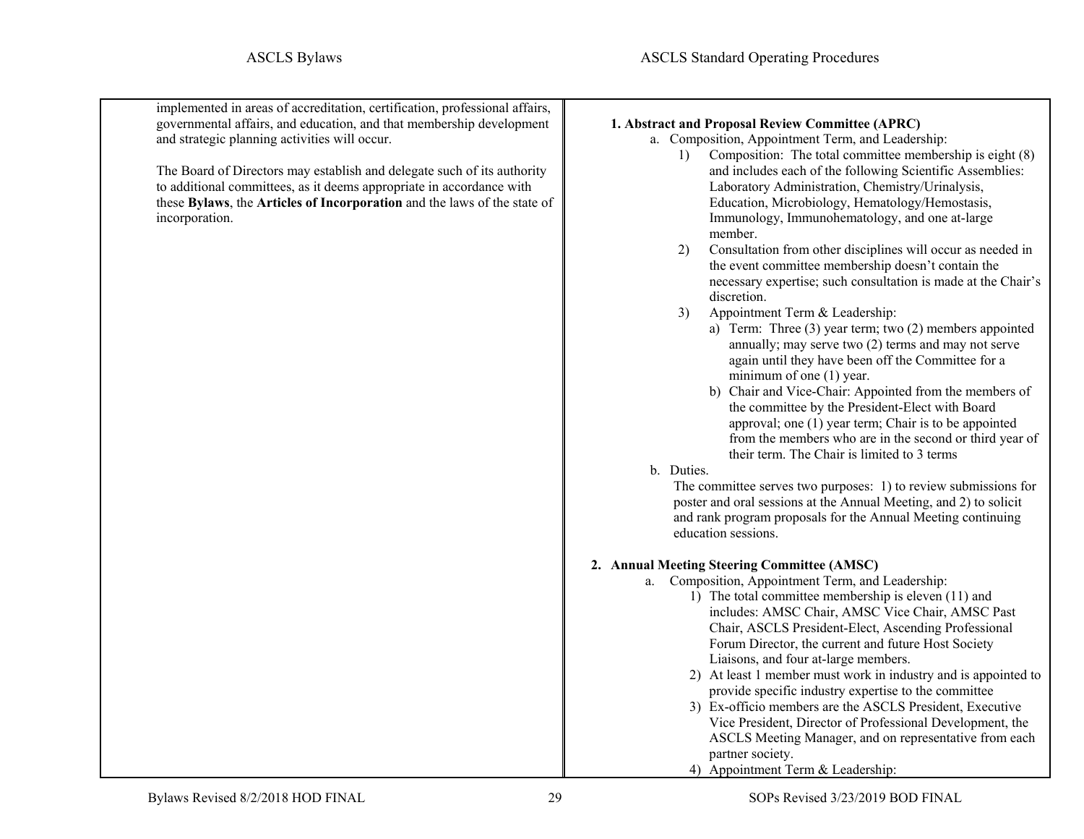<span id="page-28-1"></span><span id="page-28-0"></span>

| implemented in areas of accreditation, certification, professional affairs,<br>governmental affairs, and education, and that membership development<br>and strategic planning activities will occur.                                          | 1. Abstract and Proposal Review Committee (APRC)<br>a. Composition, Appointment Term, and Leadership:<br>Composition: The total committee membership is eight (8)<br>$\left  \right $                                                                                                                                                                                                                                                                                                                                                                                                                                                                                              |
|-----------------------------------------------------------------------------------------------------------------------------------------------------------------------------------------------------------------------------------------------|------------------------------------------------------------------------------------------------------------------------------------------------------------------------------------------------------------------------------------------------------------------------------------------------------------------------------------------------------------------------------------------------------------------------------------------------------------------------------------------------------------------------------------------------------------------------------------------------------------------------------------------------------------------------------------|
| The Board of Directors may establish and delegate such of its authority<br>to additional committees, as it deems appropriate in accordance with<br>these Bylaws, the Articles of Incorporation and the laws of the state of<br>incorporation. | and includes each of the following Scientific Assemblies:<br>Laboratory Administration, Chemistry/Urinalysis,<br>Education, Microbiology, Hematology/Hemostasis,<br>Immunology, Immunohematology, and one at-large                                                                                                                                                                                                                                                                                                                                                                                                                                                                 |
|                                                                                                                                                                                                                                               | member.                                                                                                                                                                                                                                                                                                                                                                                                                                                                                                                                                                                                                                                                            |
|                                                                                                                                                                                                                                               | Consultation from other disciplines will occur as needed in<br>2)<br>the event committee membership doesn't contain the<br>necessary expertise; such consultation is made at the Chair's<br>discretion.                                                                                                                                                                                                                                                                                                                                                                                                                                                                            |
|                                                                                                                                                                                                                                               | Appointment Term & Leadership:<br>3)<br>a) Term: Three $(3)$ year term; two $(2)$ members appointed<br>annually; may serve two (2) terms and may not serve<br>again until they have been off the Committee for a<br>minimum of one (1) year.<br>b) Chair and Vice-Chair: Appointed from the members of<br>the committee by the President-Elect with Board<br>approval; one (1) year term; Chair is to be appointed<br>from the members who are in the second or third year of<br>their term. The Chair is limited to 3 terms<br>b. Duties.<br>The committee serves two purposes: 1) to review submissions for<br>poster and oral sessions at the Annual Meeting, and 2) to solicit |
|                                                                                                                                                                                                                                               | and rank program proposals for the Annual Meeting continuing<br>education sessions.                                                                                                                                                                                                                                                                                                                                                                                                                                                                                                                                                                                                |
|                                                                                                                                                                                                                                               | 2. Annual Meeting Steering Committee (AMSC)                                                                                                                                                                                                                                                                                                                                                                                                                                                                                                                                                                                                                                        |
|                                                                                                                                                                                                                                               | a. Composition, Appointment Term, and Leadership:<br>1) The total committee membership is eleven (11) and<br>includes: AMSC Chair, AMSC Vice Chair, AMSC Past<br>Chair, ASCLS President-Elect, Ascending Professional                                                                                                                                                                                                                                                                                                                                                                                                                                                              |
|                                                                                                                                                                                                                                               | Forum Director, the current and future Host Society<br>Liaisons, and four at-large members.                                                                                                                                                                                                                                                                                                                                                                                                                                                                                                                                                                                        |
|                                                                                                                                                                                                                                               | 2) At least 1 member must work in industry and is appointed to<br>provide specific industry expertise to the committee                                                                                                                                                                                                                                                                                                                                                                                                                                                                                                                                                             |
|                                                                                                                                                                                                                                               | 3) Ex-officio members are the ASCLS President, Executive<br>Vice President, Director of Professional Development, the<br>ASCLS Meeting Manager, and on representative from each<br>partner society.                                                                                                                                                                                                                                                                                                                                                                                                                                                                                |
|                                                                                                                                                                                                                                               | 4) Appointment Term & Leadership:                                                                                                                                                                                                                                                                                                                                                                                                                                                                                                                                                                                                                                                  |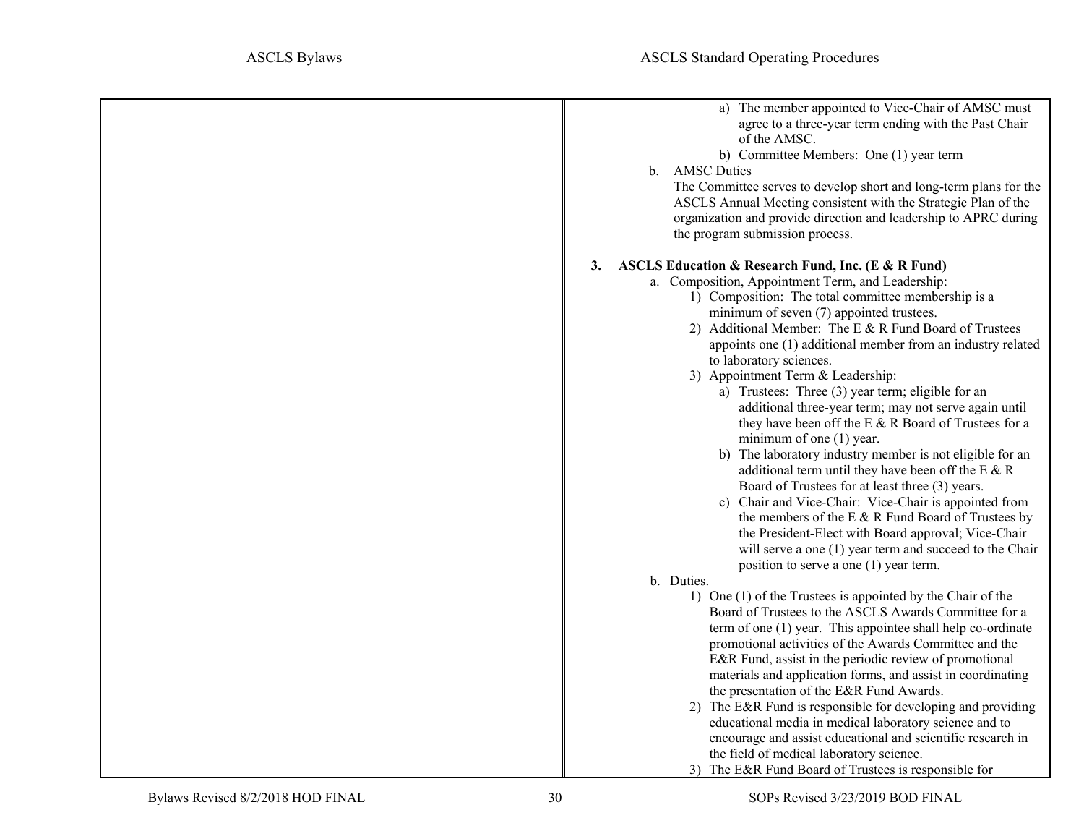<span id="page-29-0"></span>

| a) The member appointed to Vice-Chair of AMSC must                |
|-------------------------------------------------------------------|
| agree to a three-year term ending with the Past Chair             |
| of the AMSC.                                                      |
| b) Committee Members: One (1) year term                           |
| b. AMSC Duties                                                    |
| The Committee serves to develop short and long-term plans for the |
| ASCLS Annual Meeting consistent with the Strategic Plan of the    |
| organization and provide direction and leadership to APRC during  |
| the program submission process.                                   |
|                                                                   |
| ASCLS Education & Research Fund, Inc. (E & R Fund)<br>3.          |
| a. Composition, Appointment Term, and Leadership:                 |
| 1) Composition: The total committee membership is a               |
| minimum of seven $(7)$ appointed trustees.                        |
| 2) Additional Member: The E & R Fund Board of Trustees            |
| appoints one (1) additional member from an industry related       |
| to laboratory sciences.                                           |
| 3) Appointment Term & Leadership:                                 |
| a) Trustees: Three (3) year term; eligible for an                 |
| additional three-year term; may not serve again until             |
| they have been off the E & R Board of Trustees for a              |
| minimum of one (1) year.                                          |
| b) The laboratory industry member is not eligible for an          |
| additional term until they have been off the E $&R$               |
| Board of Trustees for at least three (3) years.                   |
| c) Chair and Vice-Chair: Vice-Chair is appointed from             |
| the members of the E & R Fund Board of Trustees by                |
| the President-Elect with Board approval; Vice-Chair               |
| will serve a one (1) year term and succeed to the Chair           |
| position to serve a one $(1)$ year term.                          |
| b. Duties.                                                        |
| 1) One (1) of the Trustees is appointed by the Chair of the       |
| Board of Trustees to the ASCLS Awards Committee for a             |
| term of one (1) year. This appointee shall help co-ordinate       |
| promotional activities of the Awards Committee and the            |
| E&R Fund, assist in the periodic review of promotional            |
| materials and application forms, and assist in coordinating       |
| the presentation of the E&R Fund Awards.                          |
| 2) The E&R Fund is responsible for developing and providing       |
| educational media in medical laboratory science and to            |
| encourage and assist educational and scientific research in       |
|                                                                   |
| the field of medical laboratory science.                          |
| 3) The E&R Fund Board of Trustees is responsible for              |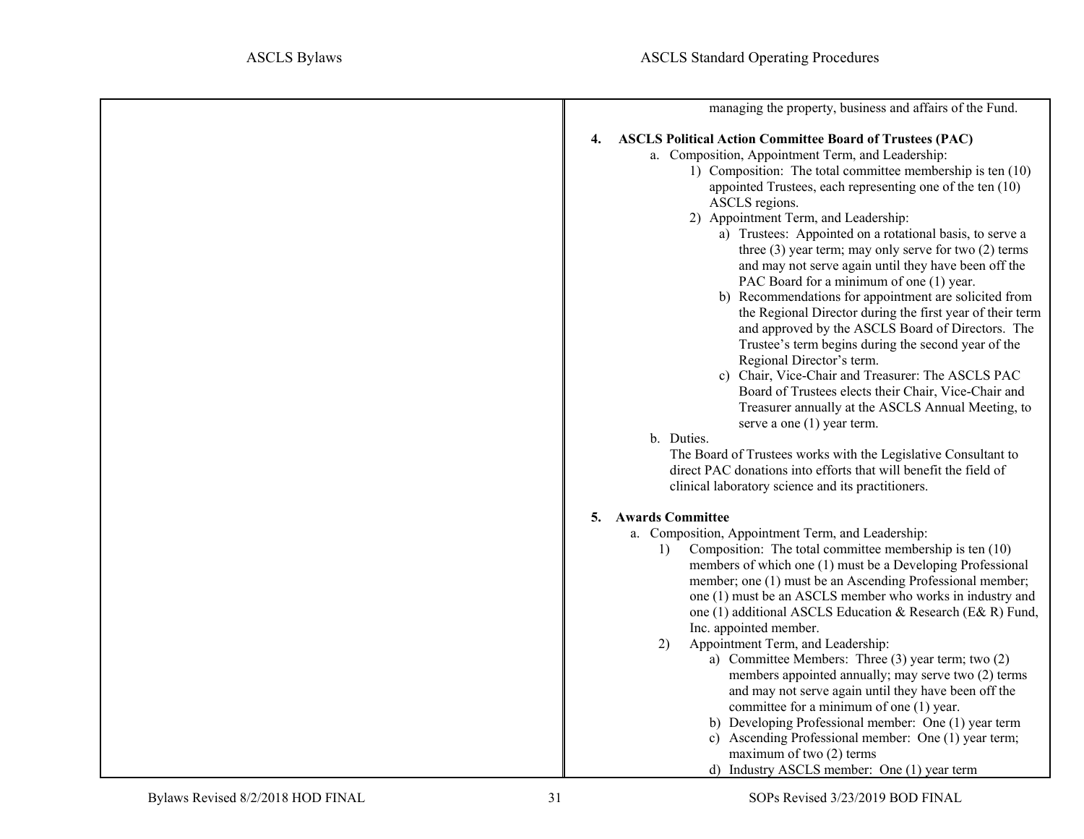<span id="page-30-1"></span><span id="page-30-0"></span>

| managing the property, business and affairs of the Fund.                                                                                                                                                                                                                                                                                                                                                                                                                                                                                                                                                                                                                                                                                                                                                                                                                                                                                                                                                                                                                                                                                                           |
|--------------------------------------------------------------------------------------------------------------------------------------------------------------------------------------------------------------------------------------------------------------------------------------------------------------------------------------------------------------------------------------------------------------------------------------------------------------------------------------------------------------------------------------------------------------------------------------------------------------------------------------------------------------------------------------------------------------------------------------------------------------------------------------------------------------------------------------------------------------------------------------------------------------------------------------------------------------------------------------------------------------------------------------------------------------------------------------------------------------------------------------------------------------------|
| <b>ASCLS Political Action Committee Board of Trustees (PAC)</b><br>4.<br>a. Composition, Appointment Term, and Leadership:<br>1) Composition: The total committee membership is ten (10)<br>appointed Trustees, each representing one of the ten (10)<br>ASCLS regions.<br>2) Appointment Term, and Leadership:<br>a) Trustees: Appointed on a rotational basis, to serve a<br>three $(3)$ year term; may only serve for two $(2)$ terms<br>and may not serve again until they have been off the<br>PAC Board for a minimum of one (1) year.<br>b) Recommendations for appointment are solicited from<br>the Regional Director during the first year of their term<br>and approved by the ASCLS Board of Directors. The<br>Trustee's term begins during the second year of the<br>Regional Director's term.<br>c) Chair, Vice-Chair and Treasurer: The ASCLS PAC<br>Board of Trustees elects their Chair, Vice-Chair and<br>Treasurer annually at the ASCLS Annual Meeting, to<br>serve a one $(1)$ year term.<br>b. Duties.<br>The Board of Trustees works with the Legislative Consultant to<br>direct PAC donations into efforts that will benefit the field of |
| clinical laboratory science and its practitioners.<br><b>Awards Committee</b><br>5.<br>a. Composition, Appointment Term, and Leadership:<br>Composition: The total committee membership is ten $(10)$<br>1)<br>members of which one (1) must be a Developing Professional<br>member; one (1) must be an Ascending Professional member;<br>one (1) must be an ASCLS member who works in industry and<br>one (1) additional ASCLS Education & Research (E& R) Fund,<br>Inc. appointed member.<br>Appointment Term, and Leadership:<br>2)                                                                                                                                                                                                                                                                                                                                                                                                                                                                                                                                                                                                                             |
| a) Committee Members: Three (3) year term; two (2)<br>members appointed annually; may serve two (2) terms<br>and may not serve again until they have been off the<br>committee for a minimum of one (1) year.<br>b) Developing Professional member: One (1) year term<br>c) Ascending Professional member: One (1) year term;<br>maximum of two (2) terms<br>d) Industry ASCLS member: One (1) year term                                                                                                                                                                                                                                                                                                                                                                                                                                                                                                                                                                                                                                                                                                                                                           |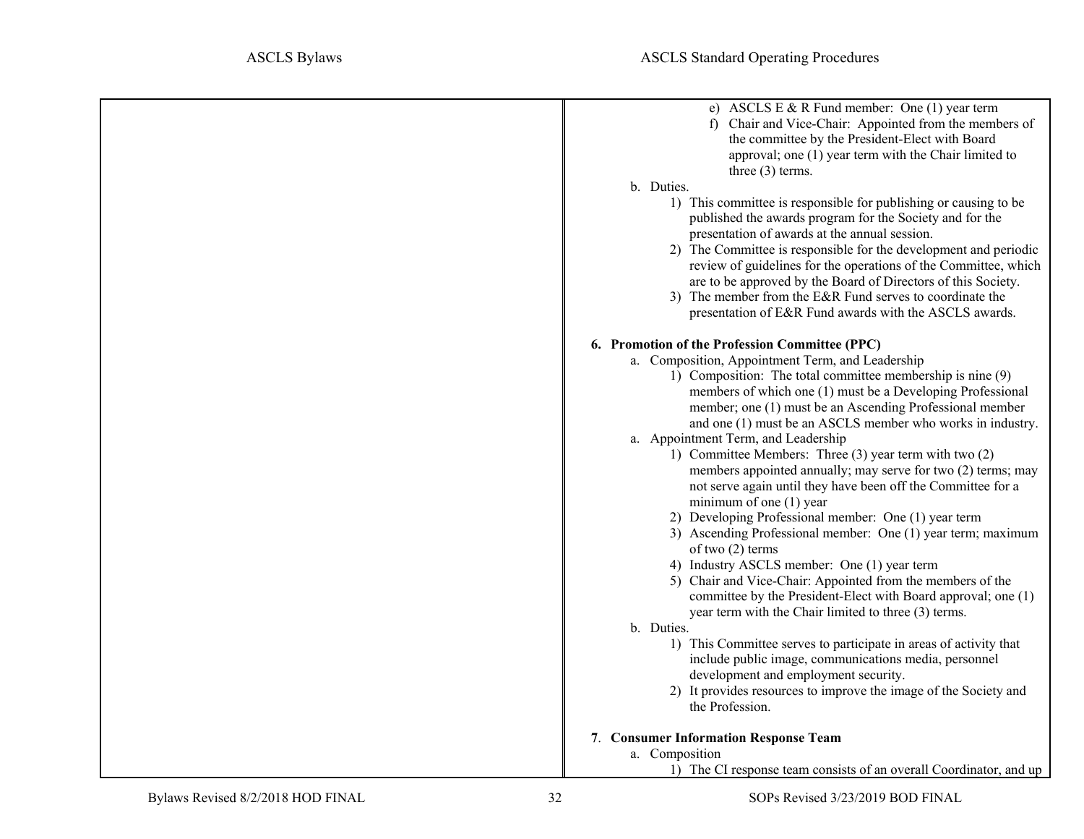<span id="page-31-0"></span>

| e) ASCLS E & R Fund member: One $(1)$ year term<br>f) Chair and Vice-Chair: Appointed from the members of<br>the committee by the President-Elect with Board<br>approval; one (1) year term with the Chair limited to<br>three $(3)$ terms.<br>b. Duties.<br>1) This committee is responsible for publishing or causing to be<br>published the awards program for the Society and for the<br>presentation of awards at the annual session.<br>2) The Committee is responsible for the development and periodic<br>review of guidelines for the operations of the Committee, which<br>are to be approved by the Board of Directors of this Society.<br>3) The member from the E&R Fund serves to coordinate the<br>presentation of E&R Fund awards with the ASCLS awards. |
|--------------------------------------------------------------------------------------------------------------------------------------------------------------------------------------------------------------------------------------------------------------------------------------------------------------------------------------------------------------------------------------------------------------------------------------------------------------------------------------------------------------------------------------------------------------------------------------------------------------------------------------------------------------------------------------------------------------------------------------------------------------------------|
|                                                                                                                                                                                                                                                                                                                                                                                                                                                                                                                                                                                                                                                                                                                                                                          |
| 6. Promotion of the Profession Committee (PPC)                                                                                                                                                                                                                                                                                                                                                                                                                                                                                                                                                                                                                                                                                                                           |
| a. Composition, Appointment Term, and Leadership                                                                                                                                                                                                                                                                                                                                                                                                                                                                                                                                                                                                                                                                                                                         |
| 1) Composition: The total committee membership is nine (9)                                                                                                                                                                                                                                                                                                                                                                                                                                                                                                                                                                                                                                                                                                               |
| members of which one (1) must be a Developing Professional<br>member; one (1) must be an Ascending Professional member                                                                                                                                                                                                                                                                                                                                                                                                                                                                                                                                                                                                                                                   |
| and one (1) must be an ASCLS member who works in industry.                                                                                                                                                                                                                                                                                                                                                                                                                                                                                                                                                                                                                                                                                                               |
| a. Appointment Term, and Leadership                                                                                                                                                                                                                                                                                                                                                                                                                                                                                                                                                                                                                                                                                                                                      |
| 1) Committee Members: Three (3) year term with two (2)                                                                                                                                                                                                                                                                                                                                                                                                                                                                                                                                                                                                                                                                                                                   |
| members appointed annually; may serve for two (2) terms; may<br>not serve again until they have been off the Committee for a<br>minimum of one $(1)$ year                                                                                                                                                                                                                                                                                                                                                                                                                                                                                                                                                                                                                |
| 2) Developing Professional member: One (1) year term                                                                                                                                                                                                                                                                                                                                                                                                                                                                                                                                                                                                                                                                                                                     |
| 3) Ascending Professional member: One (1) year term; maximum<br>of two (2) terms                                                                                                                                                                                                                                                                                                                                                                                                                                                                                                                                                                                                                                                                                         |
| 4) Industry ASCLS member: One (1) year term                                                                                                                                                                                                                                                                                                                                                                                                                                                                                                                                                                                                                                                                                                                              |
| 5) Chair and Vice-Chair: Appointed from the members of the<br>committee by the President-Elect with Board approval; one (1)<br>year term with the Chair limited to three (3) terms.                                                                                                                                                                                                                                                                                                                                                                                                                                                                                                                                                                                      |
| b. Duties.                                                                                                                                                                                                                                                                                                                                                                                                                                                                                                                                                                                                                                                                                                                                                               |
| 1) This Committee serves to participate in areas of activity that                                                                                                                                                                                                                                                                                                                                                                                                                                                                                                                                                                                                                                                                                                        |
| include public image, communications media, personnel<br>development and employment security.                                                                                                                                                                                                                                                                                                                                                                                                                                                                                                                                                                                                                                                                            |
| 2) It provides resources to improve the image of the Society and<br>the Profession.                                                                                                                                                                                                                                                                                                                                                                                                                                                                                                                                                                                                                                                                                      |
| 7. Consumer Information Response Team                                                                                                                                                                                                                                                                                                                                                                                                                                                                                                                                                                                                                                                                                                                                    |
| a. Composition                                                                                                                                                                                                                                                                                                                                                                                                                                                                                                                                                                                                                                                                                                                                                           |
| 1) The CI response team consists of an overall Coordinator, and up                                                                                                                                                                                                                                                                                                                                                                                                                                                                                                                                                                                                                                                                                                       |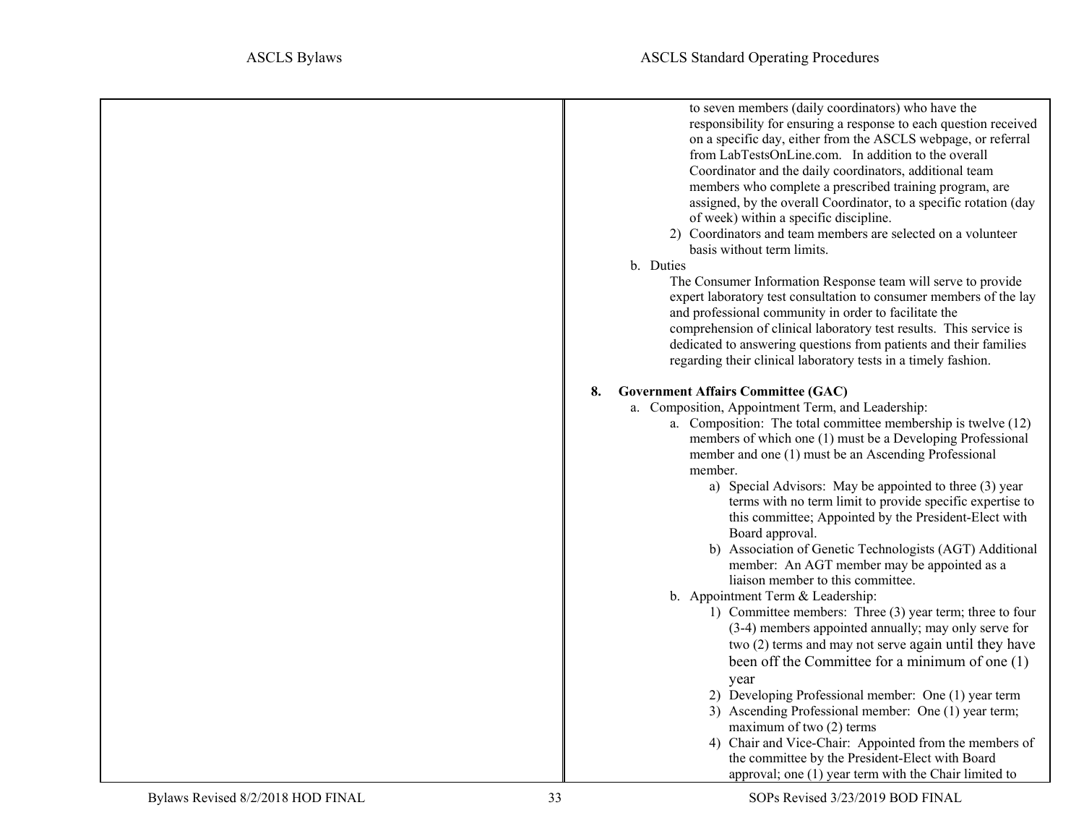<span id="page-32-0"></span>

| to seven members (daily coordinators) who have the<br>responsibility for ensuring a response to each question received<br>on a specific day, either from the ASCLS webpage, or referral<br>from LabTestsOnLine.com. In addition to the overall<br>Coordinator and the daily coordinators, additional team<br>members who complete a prescribed training program, are<br>assigned, by the overall Coordinator, to a specific rotation (day<br>2) Coordinators and team members are selected on a volunteer |
|-----------------------------------------------------------------------------------------------------------------------------------------------------------------------------------------------------------------------------------------------------------------------------------------------------------------------------------------------------------------------------------------------------------------------------------------------------------------------------------------------------------|
|                                                                                                                                                                                                                                                                                                                                                                                                                                                                                                           |
| The Consumer Information Response team will serve to provide<br>expert laboratory test consultation to consumer members of the lay<br>and professional community in order to facilitate the<br>comprehension of clinical laboratory test results. This service is<br>dedicated to answering questions from patients and their families<br>regarding their clinical laboratory tests in a timely fashion.                                                                                                  |
|                                                                                                                                                                                                                                                                                                                                                                                                                                                                                                           |
|                                                                                                                                                                                                                                                                                                                                                                                                                                                                                                           |
| a. Composition: The total committee membership is twelve (12)                                                                                                                                                                                                                                                                                                                                                                                                                                             |
| members of which one (1) must be a Developing Professional                                                                                                                                                                                                                                                                                                                                                                                                                                                |
| member and one (1) must be an Ascending Professional                                                                                                                                                                                                                                                                                                                                                                                                                                                      |
|                                                                                                                                                                                                                                                                                                                                                                                                                                                                                                           |
| a) Special Advisors: May be appointed to three (3) year                                                                                                                                                                                                                                                                                                                                                                                                                                                   |
| terms with no term limit to provide specific expertise to<br>this committee; Appointed by the President-Elect with                                                                                                                                                                                                                                                                                                                                                                                        |
| b) Association of Genetic Technologists (AGT) Additional                                                                                                                                                                                                                                                                                                                                                                                                                                                  |
| member: An AGT member may be appointed as a                                                                                                                                                                                                                                                                                                                                                                                                                                                               |
|                                                                                                                                                                                                                                                                                                                                                                                                                                                                                                           |
|                                                                                                                                                                                                                                                                                                                                                                                                                                                                                                           |
| 1) Committee members: Three (3) year term; three to four                                                                                                                                                                                                                                                                                                                                                                                                                                                  |
| (3-4) members appointed annually; may only serve for                                                                                                                                                                                                                                                                                                                                                                                                                                                      |
| two (2) terms and may not serve again until they have                                                                                                                                                                                                                                                                                                                                                                                                                                                     |
|                                                                                                                                                                                                                                                                                                                                                                                                                                                                                                           |
| been off the Committee for a minimum of one (1)                                                                                                                                                                                                                                                                                                                                                                                                                                                           |
| 2) Developing Professional member: One (1) year term                                                                                                                                                                                                                                                                                                                                                                                                                                                      |
| 3) Ascending Professional member: One (1) year term;                                                                                                                                                                                                                                                                                                                                                                                                                                                      |
| 4) Chair and Vice-Chair: Appointed from the members of<br>the committee by the President-Elect with Board                                                                                                                                                                                                                                                                                                                                                                                                 |
|                                                                                                                                                                                                                                                                                                                                                                                                                                                                                                           |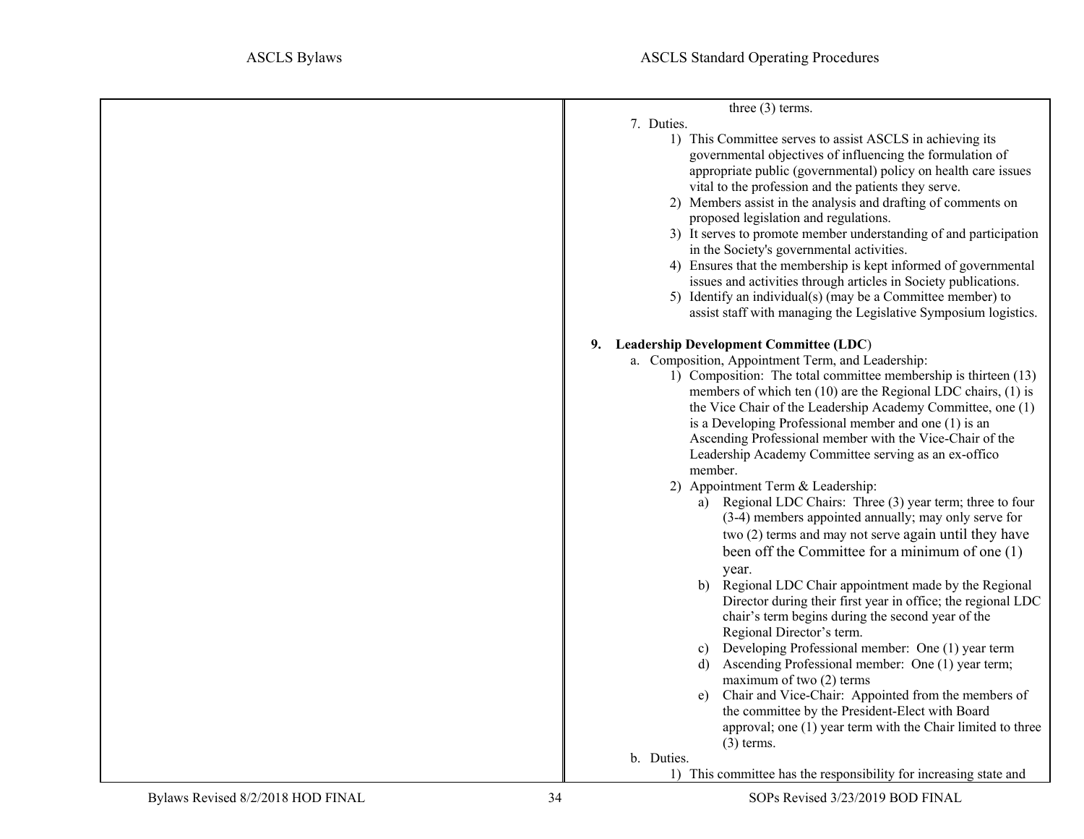<span id="page-33-0"></span>

| three $(3)$ terms.                                                                                                                                                                                                                                                                                                                                                                                                                                                                                                                                                                                                                                                                                                                                                 |
|--------------------------------------------------------------------------------------------------------------------------------------------------------------------------------------------------------------------------------------------------------------------------------------------------------------------------------------------------------------------------------------------------------------------------------------------------------------------------------------------------------------------------------------------------------------------------------------------------------------------------------------------------------------------------------------------------------------------------------------------------------------------|
|                                                                                                                                                                                                                                                                                                                                                                                                                                                                                                                                                                                                                                                                                                                                                                    |
| 7. Duties.<br>1) This Committee serves to assist ASCLS in achieving its<br>governmental objectives of influencing the formulation of<br>appropriate public (governmental) policy on health care issues<br>vital to the profession and the patients they serve.<br>2) Members assist in the analysis and drafting of comments on<br>proposed legislation and regulations.<br>3) It serves to promote member understanding of and participation<br>in the Society's governmental activities.<br>4) Ensures that the membership is kept informed of governmental<br>issues and activities through articles in Society publications.<br>5) Identify an individual(s) (may be a Committee member) to<br>assist staff with managing the Legislative Symposium logistics. |
|                                                                                                                                                                                                                                                                                                                                                                                                                                                                                                                                                                                                                                                                                                                                                                    |
| 9. Leadership Development Committee (LDC)<br>a. Composition, Appointment Term, and Leadership:<br>1) Composition: The total committee membership is thirteen (13)<br>members of which ten (10) are the Regional LDC chairs, (1) is<br>the Vice Chair of the Leadership Academy Committee, one (1)<br>is a Developing Professional member and one (1) is an<br>Ascending Professional member with the Vice-Chair of the<br>Leadership Academy Committee serving as an ex-offico<br>member.<br>2) Appointment Term & Leadership:<br>a) Regional LDC Chairs: Three (3) year term; three to four<br>(3-4) members appointed annually; may only serve for<br>two (2) terms and may not serve again until they have<br>been off the Committee for a minimum of one (1)   |
| year.<br>b) Regional LDC Chair appointment made by the Regional<br>Director during their first year in office; the regional LDC<br>chair's term begins during the second year of the<br>Regional Director's term.<br>Developing Professional member: One (1) year term<br>c)<br>Ascending Professional member: One (1) year term;<br>d)<br>maximum of two (2) terms<br>Chair and Vice-Chair: Appointed from the members of<br>e)<br>the committee by the President-Elect with Board<br>approval; one (1) year term with the Chair limited to three<br>$(3)$ terms.                                                                                                                                                                                                 |
| b. Duties.                                                                                                                                                                                                                                                                                                                                                                                                                                                                                                                                                                                                                                                                                                                                                         |
| 1) This committee has the responsibility for increasing state and                                                                                                                                                                                                                                                                                                                                                                                                                                                                                                                                                                                                                                                                                                  |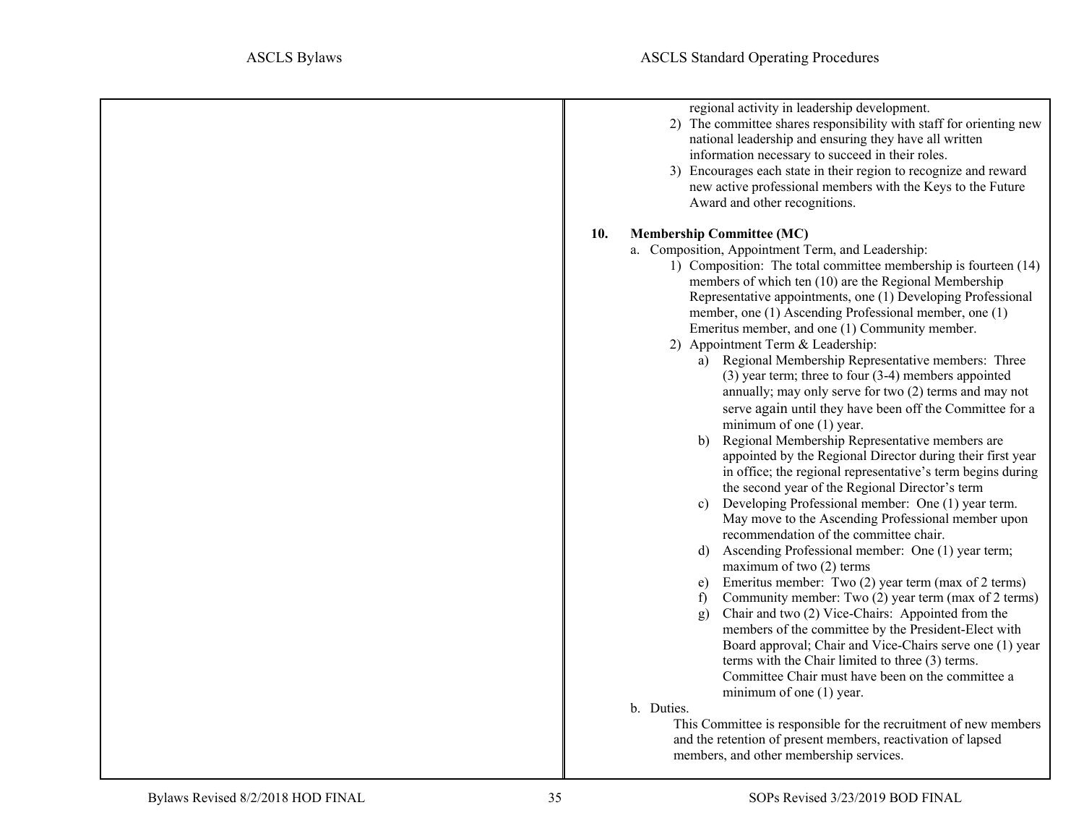<span id="page-34-0"></span>

|     | regional activity in leadership development.<br>2) The committee shares responsibility with staff for orienting new<br>national leadership and ensuring they have all written<br>information necessary to succeed in their roles.<br>3) Encourages each state in their region to recognize and reward<br>new active professional members with the Keys to the Future<br>Award and other recognitions.                                                                                                                                                                                                                                                                                                                                                                                                                                                                                                                                                                                                                                                                                                                                                                                                                                                                                                                                                                                                                                                                                                                                                   |
|-----|---------------------------------------------------------------------------------------------------------------------------------------------------------------------------------------------------------------------------------------------------------------------------------------------------------------------------------------------------------------------------------------------------------------------------------------------------------------------------------------------------------------------------------------------------------------------------------------------------------------------------------------------------------------------------------------------------------------------------------------------------------------------------------------------------------------------------------------------------------------------------------------------------------------------------------------------------------------------------------------------------------------------------------------------------------------------------------------------------------------------------------------------------------------------------------------------------------------------------------------------------------------------------------------------------------------------------------------------------------------------------------------------------------------------------------------------------------------------------------------------------------------------------------------------------------|
| 10. | <b>Membership Committee (MC)</b><br>a. Composition, Appointment Term, and Leadership:<br>1) Composition: The total committee membership is fourteen (14)<br>members of which ten (10) are the Regional Membership<br>Representative appointments, one (1) Developing Professional<br>member, one (1) Ascending Professional member, one (1)<br>Emeritus member, and one (1) Community member.<br>2) Appointment Term & Leadership:<br>a) Regional Membership Representative members: Three<br>$(3)$ year term; three to four $(3-4)$ members appointed<br>annually; may only serve for two (2) terms and may not<br>serve again until they have been off the Committee for a<br>minimum of one (1) year.<br>Regional Membership Representative members are<br>b)<br>appointed by the Regional Director during their first year<br>in office; the regional representative's term begins during<br>the second year of the Regional Director's term<br>c) Developing Professional member: One (1) year term.<br>May move to the Ascending Professional member upon<br>recommendation of the committee chair.<br>d) Ascending Professional member: One (1) year term;<br>maximum of two (2) terms<br>e) Emeritus member: Two (2) year term (max of 2 terms)<br>Community member: Two (2) year term (max of 2 terms)<br>f<br>Chair and two (2) Vice-Chairs: Appointed from the<br>g)<br>members of the committee by the President-Elect with<br>Board approval; Chair and Vice-Chairs serve one (1) year<br>terms with the Chair limited to three (3) terms. |
|     | Committee Chair must have been on the committee a<br>minimum of one (1) year.<br>b. Duties.<br>This Committee is responsible for the recruitment of new members<br>and the retention of present members, reactivation of lapsed<br>members, and other membership services.                                                                                                                                                                                                                                                                                                                                                                                                                                                                                                                                                                                                                                                                                                                                                                                                                                                                                                                                                                                                                                                                                                                                                                                                                                                                              |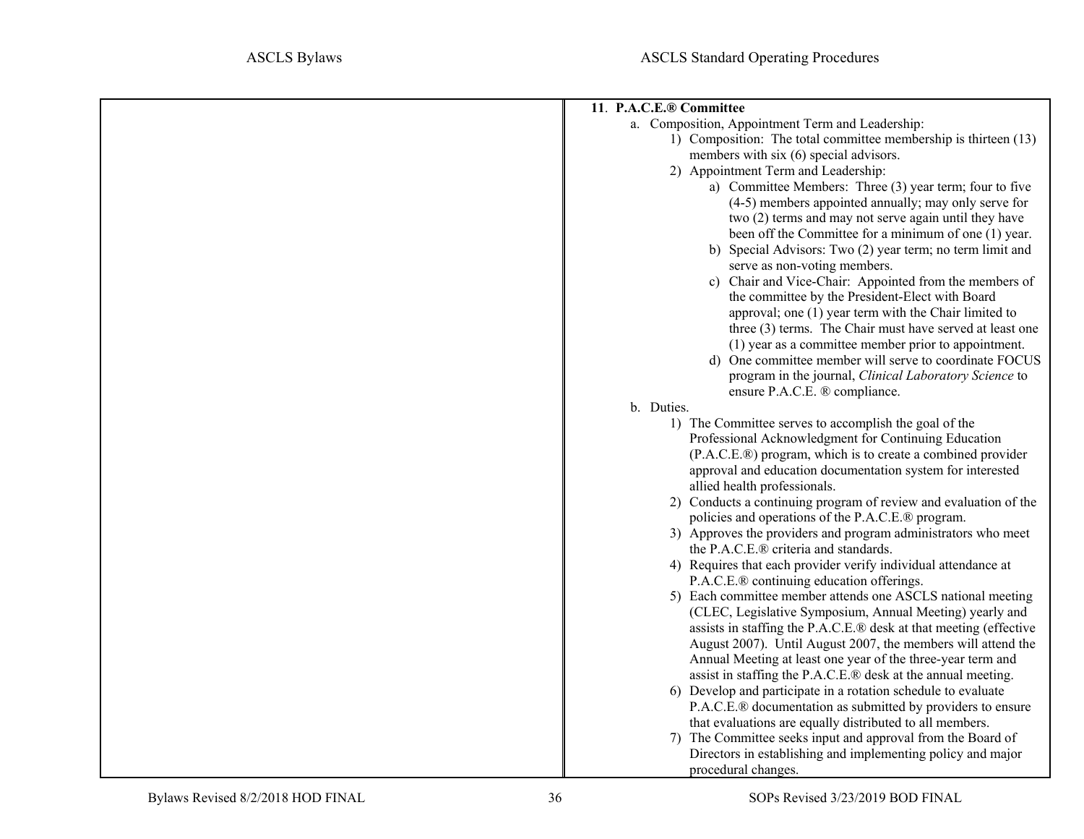<span id="page-35-0"></span>

| 11. P.A.C.E.® Committee                                                                                               |
|-----------------------------------------------------------------------------------------------------------------------|
| a. Composition, Appointment Term and Leadership:                                                                      |
| 1) Composition: The total committee membership is thirteen (13)                                                       |
| members with six (6) special advisors.                                                                                |
| 2) Appointment Term and Leadership:                                                                                   |
| a) Committee Members: Three (3) year term; four to five                                                               |
| (4-5) members appointed annually; may only serve for                                                                  |
| two (2) terms and may not serve again until they have                                                                 |
| been off the Committee for a minimum of one (1) year.                                                                 |
| b) Special Advisors: Two (2) year term; no term limit and<br>serve as non-voting members.                             |
| c) Chair and Vice-Chair: Appointed from the members of                                                                |
| the committee by the President-Elect with Board                                                                       |
| approval; one (1) year term with the Chair limited to                                                                 |
| three (3) terms. The Chair must have served at least one                                                              |
| (1) year as a committee member prior to appointment.                                                                  |
| d) One committee member will serve to coordinate FOCUS                                                                |
| program in the journal, Clinical Laboratory Science to                                                                |
| ensure P.A.C.E. ® compliance.                                                                                         |
| b. Duties.                                                                                                            |
| 1) The Committee serves to accomplish the goal of the                                                                 |
| Professional Acknowledgment for Continuing Education                                                                  |
| (P.A.C.E.®) program, which is to create a combined provider                                                           |
| approval and education documentation system for interested                                                            |
| allied health professionals.                                                                                          |
| 2) Conducts a continuing program of review and evaluation of the<br>policies and operations of the P.A.C.E.® program. |
| 3) Approves the providers and program administrators who meet                                                         |
| the P.A.C.E.® criteria and standards.                                                                                 |
| 4) Requires that each provider verify individual attendance at                                                        |
| P.A.C.E.® continuing education offerings.                                                                             |
| 5) Each committee member attends one ASCLS national meeting                                                           |
| (CLEC, Legislative Symposium, Annual Meeting) yearly and                                                              |
| assists in staffing the P.A.C.E.® desk at that meeting (effective                                                     |
| August 2007). Until August 2007, the members will attend the                                                          |
| Annual Meeting at least one year of the three-year term and                                                           |
| assist in staffing the P.A.C.E.® desk at the annual meeting.                                                          |
| 6) Develop and participate in a rotation schedule to evaluate                                                         |
| P.A.C.E.® documentation as submitted by providers to ensure                                                           |
| that evaluations are equally distributed to all members.                                                              |
| 7) The Committee seeks input and approval from the Board of                                                           |
| Directors in establishing and implementing policy and major                                                           |
| procedural changes.                                                                                                   |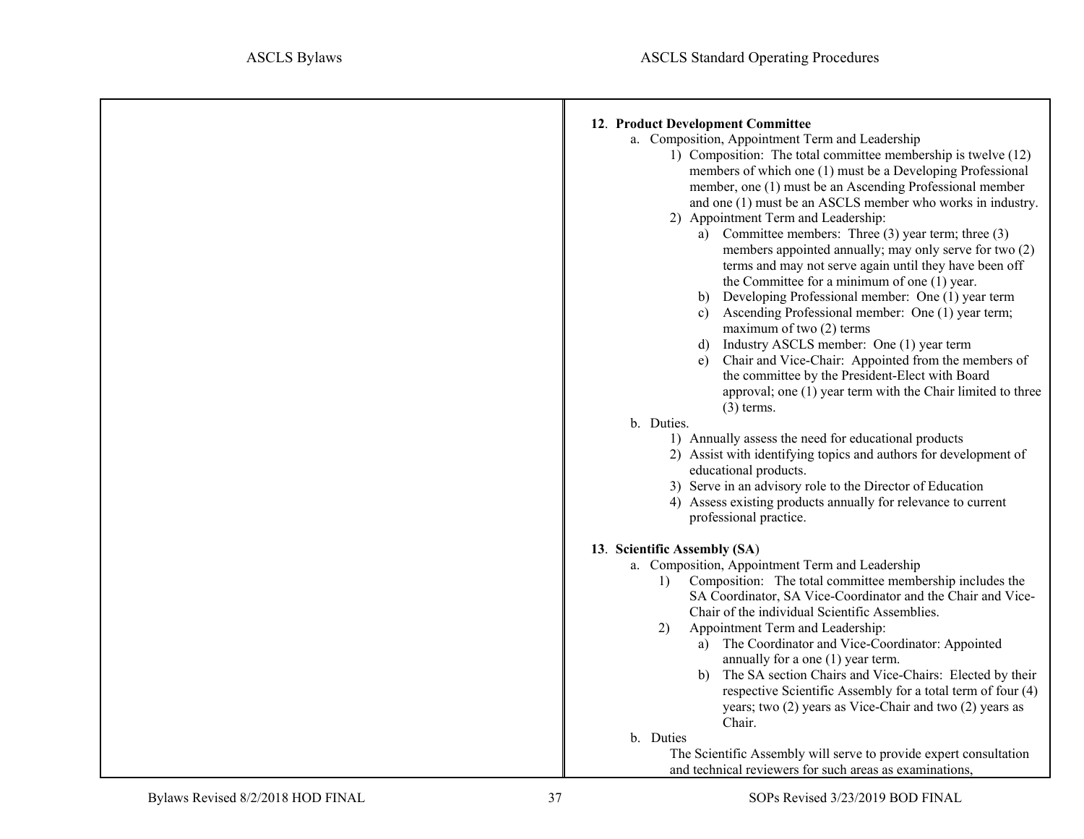<span id="page-36-1"></span><span id="page-36-0"></span>

| 12. Product Development Committee                                                                            |  |
|--------------------------------------------------------------------------------------------------------------|--|
| a. Composition, Appointment Term and Leadership                                                              |  |
| 1) Composition: The total committee membership is twelve (12)                                                |  |
| members of which one (1) must be a Developing Professional                                                   |  |
| member, one (1) must be an Ascending Professional member                                                     |  |
| and one (1) must be an ASCLS member who works in industry.                                                   |  |
| 2) Appointment Term and Leadership:                                                                          |  |
| a) Committee members: Three $(3)$ year term; three $(3)$                                                     |  |
| members appointed annually; may only serve for two (2)                                                       |  |
| terms and may not serve again until they have been off                                                       |  |
| the Committee for a minimum of one (1) year.                                                                 |  |
| b) Developing Professional member: One (1) year term                                                         |  |
| Ascending Professional member: One (1) year term;                                                            |  |
| c)<br>maximum of two (2) terms                                                                               |  |
| Industry ASCLS member: One (1) year term<br>d)                                                               |  |
|                                                                                                              |  |
| Chair and Vice-Chair: Appointed from the members of<br>e)<br>the committee by the President-Elect with Board |  |
|                                                                                                              |  |
| approval; one (1) year term with the Chair limited to three                                                  |  |
| $(3)$ terms.                                                                                                 |  |
| b. Duties.                                                                                                   |  |
| 1) Annually assess the need for educational products                                                         |  |
| 2) Assist with identifying topics and authors for development of                                             |  |
| educational products.                                                                                        |  |
| 3) Serve in an advisory role to the Director of Education                                                    |  |
| 4) Assess existing products annually for relevance to current                                                |  |
| professional practice.                                                                                       |  |
| 13. Scientific Assembly (SA)                                                                                 |  |
| a. Composition, Appointment Term and Leadership                                                              |  |
| Composition: The total committee membership includes the<br>1)                                               |  |
| SA Coordinator, SA Vice-Coordinator and the Chair and Vice-                                                  |  |
| Chair of the individual Scientific Assemblies.                                                               |  |
| Appointment Term and Leadership:<br>2)                                                                       |  |
| a) The Coordinator and Vice-Coordinator: Appointed                                                           |  |
| annually for a one $(1)$ year term.                                                                          |  |
| b) The SA section Chairs and Vice-Chairs: Elected by their                                                   |  |
| respective Scientific Assembly for a total term of four (4)                                                  |  |
| years; two (2) years as Vice-Chair and two (2) years as                                                      |  |
| Chair.                                                                                                       |  |
| b. Duties                                                                                                    |  |
| The Scientific Assembly will serve to provide expert consultation                                            |  |
| and technical reviewers for such areas as examinations,                                                      |  |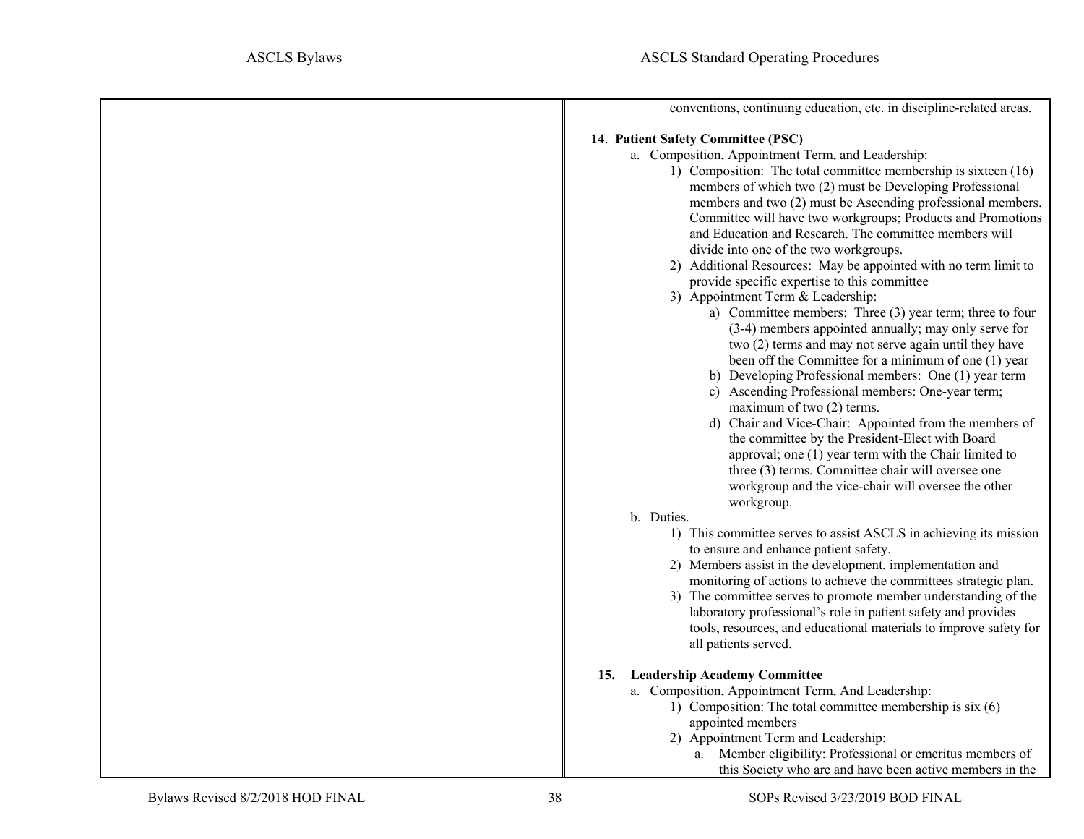<span id="page-37-0"></span>

| conventions, continuing education, etc. in discipline-related areas. |
|----------------------------------------------------------------------|
|                                                                      |
| 14. Patient Safety Committee (PSC)                                   |
| a. Composition, Appointment Term, and Leadership:                    |
| 1) Composition: The total committee membership is sixteen (16)       |
| members of which two (2) must be Developing Professional             |
| members and two (2) must be Ascending professional members.          |
| Committee will have two workgroups; Products and Promotions          |
| and Education and Research. The committee members will               |
| divide into one of the two workgroups.                               |
| 2) Additional Resources: May be appointed with no term limit to      |
| provide specific expertise to this committee                         |
| 3) Appointment Term & Leadership:                                    |
| a) Committee members: Three (3) year term; three to four             |
| (3-4) members appointed annually; may only serve for                 |
| two (2) terms and may not serve again until they have                |
| been off the Committee for a minimum of one (1) year                 |
| b) Developing Professional members: One (1) year term                |
| c) Ascending Professional members: One-year term;                    |
| maximum of two (2) terms.                                            |
| d) Chair and Vice-Chair: Appointed from the members of               |
|                                                                      |
| the committee by the President-Elect with Board                      |
| approval; one (1) year term with the Chair limited to                |
| three (3) terms. Committee chair will oversee one                    |
| workgroup and the vice-chair will oversee the other                  |
| workgroup.                                                           |
| b. Duties.                                                           |
| 1) This committee serves to assist ASCLS in achieving its mission    |
| to ensure and enhance patient safety.                                |
| 2) Members assist in the development, implementation and             |
| monitoring of actions to achieve the committees strategic plan.      |
| 3) The committee serves to promote member understanding of the       |
| laboratory professional's role in patient safety and provides        |
| tools, resources, and educational materials to improve safety for    |
| all patients served.                                                 |
|                                                                      |
| <b>Leadership Academy Committee</b><br>15.                           |
| a. Composition, Appointment Term, And Leadership:                    |
| 1) Composition: The total committee membership is six (6)            |
| appointed members                                                    |
| 2) Appointment Term and Leadership:                                  |
| a. Member eligibility: Professional or emeritus members of           |
| this Society who are and have been active members in the             |
|                                                                      |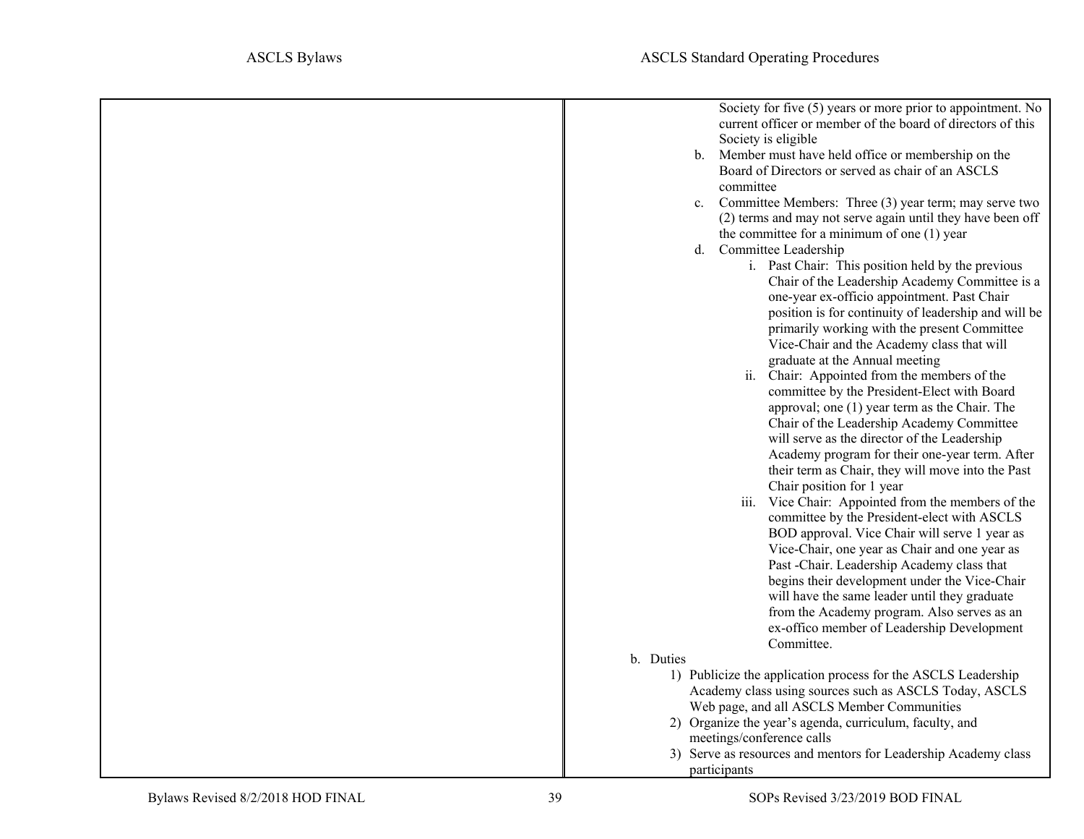| Society for five (5) years or more prior to appointment. No<br>current officer or member of the board of directors of this<br>Society is eligible<br>Member must have held office or membership on the<br>$\mathbf{b}$ .<br>Board of Directors or served as chair of an ASCLS<br>committee<br>Committee Members: Three (3) year term; may serve two<br>$c_{\cdot}$<br>(2) terms and may not serve again until they have been off<br>the committee for a minimum of one $(1)$ year<br>d. Committee Leadership<br>i. Past Chair: This position held by the previous<br>Chair of the Leadership Academy Committee is a<br>one-year ex-officio appointment. Past Chair<br>position is for continuity of leadership and will be<br>primarily working with the present Committee<br>Vice-Chair and the Academy class that will<br>graduate at the Annual meeting<br>ii.<br>Chair: Appointed from the members of the<br>committee by the President-Elect with Board<br>approval; one $(1)$ year term as the Chair. The<br>Chair of the Leadership Academy Committee<br>will serve as the director of the Leadership<br>Academy program for their one-year term. After<br>their term as Chair, they will move into the Past<br>Chair position for 1 year<br>Vice Chair: Appointed from the members of the<br>iii.<br>committee by the President-elect with ASCLS<br>BOD approval. Vice Chair will serve 1 year as<br>Vice-Chair, one year as Chair and one year as<br>Past -Chair. Leadership Academy class that<br>begins their development under the Vice-Chair<br>will have the same leader until they graduate<br>from the Academy program. Also serves as an<br>ex-offico member of Leadership Development |
|---------------------------------------------------------------------------------------------------------------------------------------------------------------------------------------------------------------------------------------------------------------------------------------------------------------------------------------------------------------------------------------------------------------------------------------------------------------------------------------------------------------------------------------------------------------------------------------------------------------------------------------------------------------------------------------------------------------------------------------------------------------------------------------------------------------------------------------------------------------------------------------------------------------------------------------------------------------------------------------------------------------------------------------------------------------------------------------------------------------------------------------------------------------------------------------------------------------------------------------------------------------------------------------------------------------------------------------------------------------------------------------------------------------------------------------------------------------------------------------------------------------------------------------------------------------------------------------------------------------------------------------------------------------------------------------------------------|
| Committee.                                                                                                                                                                                                                                                                                                                                                                                                                                                                                                                                                                                                                                                                                                                                                                                                                                                                                                                                                                                                                                                                                                                                                                                                                                                                                                                                                                                                                                                                                                                                                                                                                                                                                              |
| b. Duties                                                                                                                                                                                                                                                                                                                                                                                                                                                                                                                                                                                                                                                                                                                                                                                                                                                                                                                                                                                                                                                                                                                                                                                                                                                                                                                                                                                                                                                                                                                                                                                                                                                                                               |
| 1) Publicize the application process for the ASCLS Leadership<br>Academy class using sources such as ASCLS Today, ASCLS<br>Web page, and all ASCLS Member Communities<br>2) Organize the year's agenda, curriculum, faculty, and<br>meetings/conference calls<br>3) Serve as resources and mentors for Leadership Academy class                                                                                                                                                                                                                                                                                                                                                                                                                                                                                                                                                                                                                                                                                                                                                                                                                                                                                                                                                                                                                                                                                                                                                                                                                                                                                                                                                                         |
| participants                                                                                                                                                                                                                                                                                                                                                                                                                                                                                                                                                                                                                                                                                                                                                                                                                                                                                                                                                                                                                                                                                                                                                                                                                                                                                                                                                                                                                                                                                                                                                                                                                                                                                            |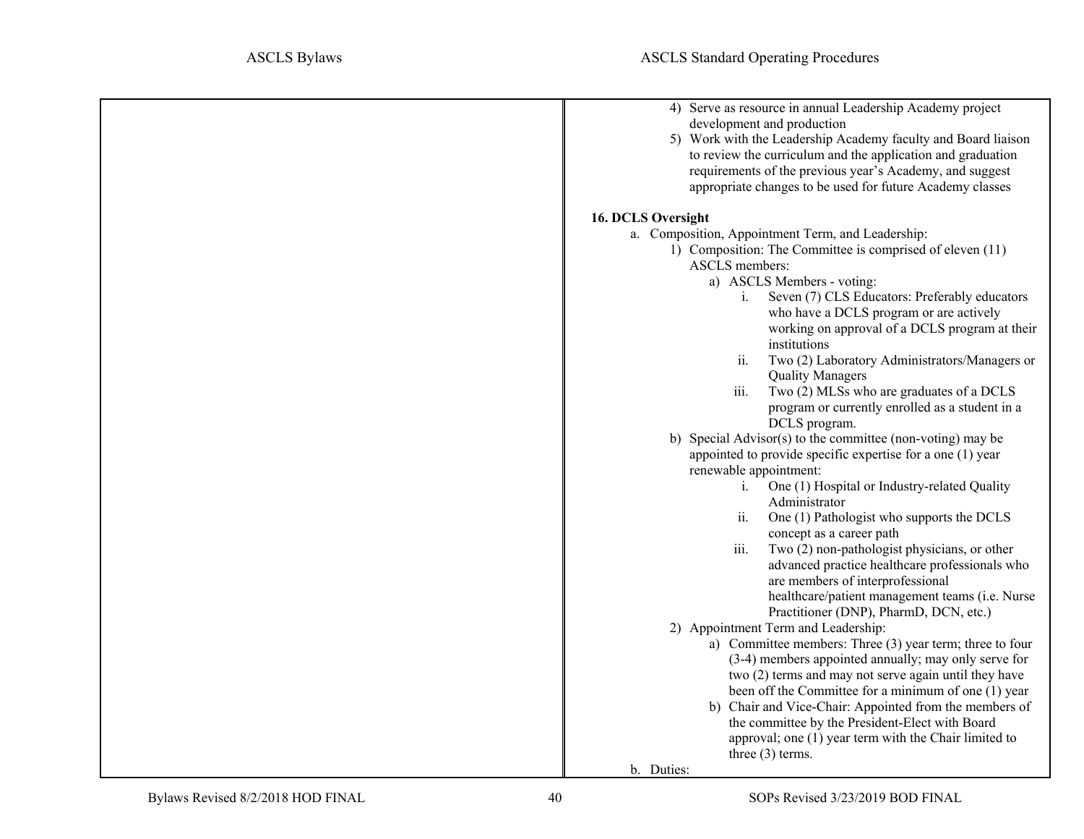| 4) Serve as resource in annual Leadership Academy project     |
|---------------------------------------------------------------|
| development and production                                    |
| 5) Work with the Leadership Academy faculty and Board liaison |
| to review the curriculum and the application and graduation   |
| requirements of the previous year's Academy, and suggest      |
| appropriate changes to be used for future Academy classes     |
|                                                               |
| 16. DCLS Oversight                                            |
| a. Composition, Appointment Term, and Leadership:             |
| 1) Composition: The Committee is comprised of eleven (11)     |
| ASCLS members:                                                |
| a) ASCLS Members - voting:                                    |
| Seven (7) CLS Educators: Preferably educators<br>i.           |
| who have a DCLS program or are actively                       |
| working on approval of a DCLS program at their                |
| institutions                                                  |
| ii.<br>Two (2) Laboratory Administrators/Managers or          |
| <b>Quality Managers</b>                                       |
| Two (2) MLSs who are graduates of a DCLS<br>iii.              |
| program or currently enrolled as a student in a               |
| DCLS program.                                                 |
| b) Special Advisor(s) to the committee (non-voting) may be    |
| appointed to provide specific expertise for a one (1) year    |
| renewable appointment:                                        |
| One (1) Hospital or Industry-related Quality<br>i.            |
| Administrator                                                 |
| One (1) Pathologist who supports the DCLS<br>ii.              |
| concept as a career path                                      |
| iii.<br>Two (2) non-pathologist physicians, or other          |
| advanced practice healthcare professionals who                |
| are members of interprofessional                              |
| healthcare/patient management teams (i.e. Nurse               |
| Practitioner (DNP), PharmD, DCN, etc.)                        |
| 2) Appointment Term and Leadership:                           |
| a) Committee members: Three (3) year term; three to four      |
| (3-4) members appointed annually; may only serve for          |
| two (2) terms and may not serve again until they have         |
| been off the Committee for a minimum of one (1) year          |
| b) Chair and Vice-Chair: Appointed from the members of        |
| the committee by the President-Elect with Board               |
| approval; one (1) year term with the Chair limited to         |
| three $(3)$ terms.                                            |
| b. Duties:                                                    |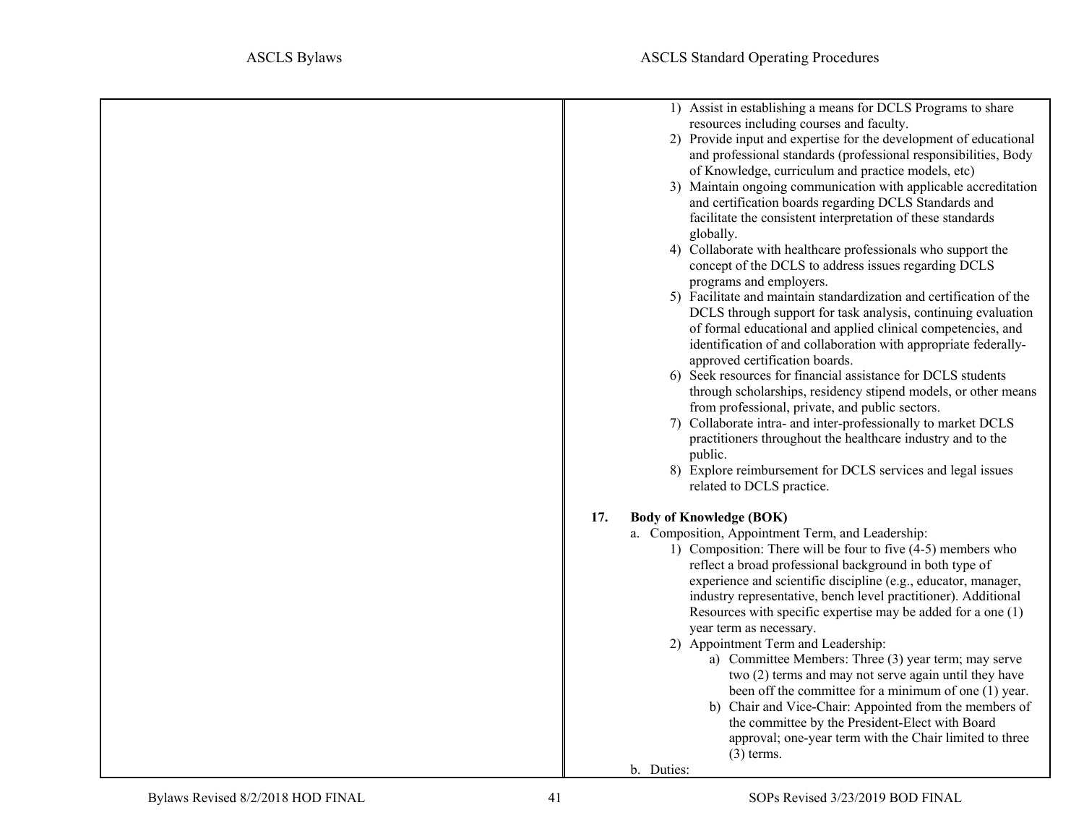| 1) Assist in establishing a means for DCLS Programs to share        |
|---------------------------------------------------------------------|
| resources including courses and faculty.                            |
| 2) Provide input and expertise for the development of educational   |
| and professional standards (professional responsibilities, Body     |
| of Knowledge, curriculum and practice models, etc)                  |
| 3) Maintain ongoing communication with applicable accreditation     |
| and certification boards regarding DCLS Standards and               |
| facilitate the consistent interpretation of these standards         |
| globally.                                                           |
| 4) Collaborate with healthcare professionals who support the        |
| concept of the DCLS to address issues regarding DCLS                |
| programs and employers.                                             |
| 5) Facilitate and maintain standardization and certification of the |
| DCLS through support for task analysis, continuing evaluation       |
| of formal educational and applied clinical competencies, and        |
| identification of and collaboration with appropriate federally-     |
| approved certification boards.                                      |
| 6) Seek resources for financial assistance for DCLS students        |
| through scholarships, residency stipend models, or other means      |
| from professional, private, and public sectors.                     |
| 7) Collaborate intra- and inter-professionally to market DCLS       |
| practitioners throughout the healthcare industry and to the         |
| public.                                                             |
| 8) Explore reimbursement for DCLS services and legal issues         |
| related to DCLS practice.                                           |
| <b>Body of Knowledge (BOK)</b><br>17.                               |
| a. Composition, Appointment Term, and Leadership:                   |
| 1) Composition: There will be four to five (4-5) members who        |
| reflect a broad professional background in both type of             |
| experience and scientific discipline (e.g., educator, manager,      |
| industry representative, bench level practitioner). Additional      |
| Resources with specific expertise may be added for a one (1)        |
| year term as necessary.                                             |
| 2) Appointment Term and Leadership:                                 |
| a) Committee Members: Three (3) year term; may serve                |
| two (2) terms and may not serve again until they have               |
| been off the committee for a minimum of one (1) year.               |
| b) Chair and Vice-Chair: Appointed from the members of              |
| the committee by the President-Elect with Board                     |
| approval; one-year term with the Chair limited to three             |
| $(3)$ terms.                                                        |
| b. Duties:                                                          |
|                                                                     |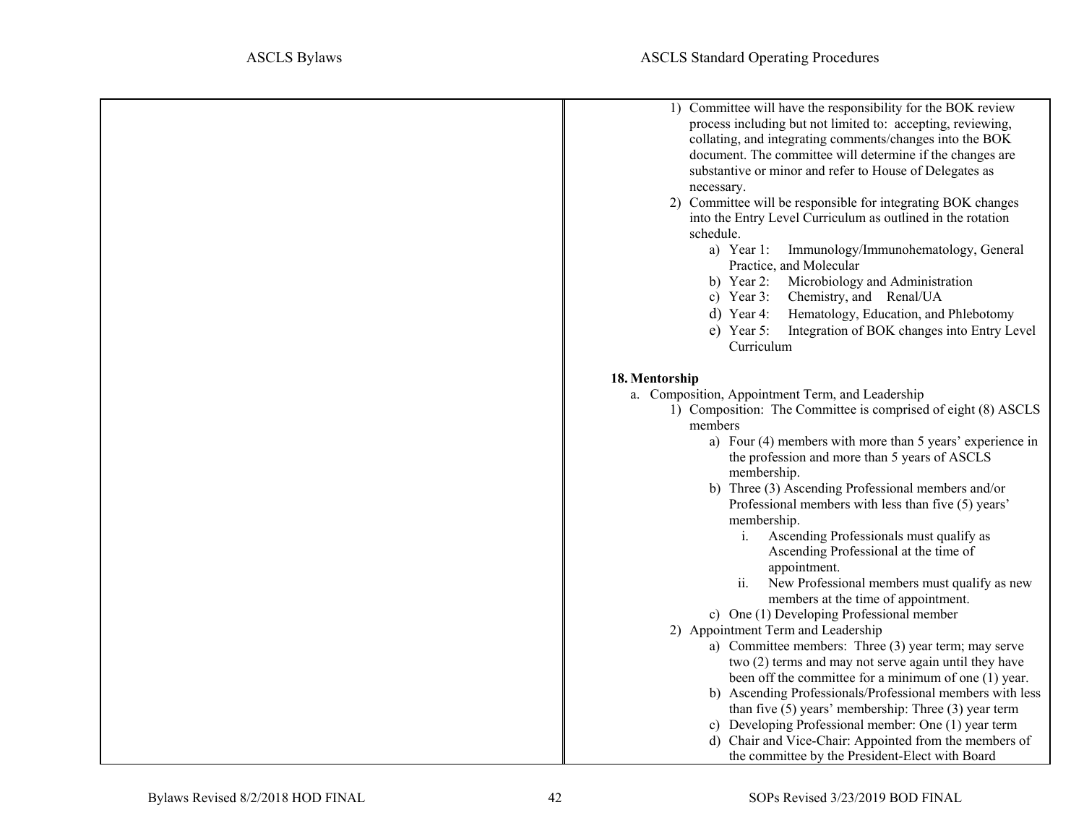| 1) Committee will have the responsibility for the BOK review             |
|--------------------------------------------------------------------------|
| process including but not limited to: accepting, reviewing,              |
| collating, and integrating comments/changes into the BOK                 |
| document. The committee will determine if the changes are                |
|                                                                          |
| substantive or minor and refer to House of Delegates as                  |
| necessary.                                                               |
| 2) Committee will be responsible for integrating BOK changes             |
| into the Entry Level Curriculum as outlined in the rotation<br>schedule. |
| a) Year 1: Immunology/Immunohematology, General                          |
| Practice, and Molecular                                                  |
| b) Year 2: Microbiology and Administration                               |
| Chemistry, and Renal/UA<br>c) Year 3:                                    |
| Hematology, Education, and Phlebotomy<br>d) Year 4:                      |
| Integration of BOK changes into Entry Level<br>$e)$ Year 5:              |
| Curriculum                                                               |
|                                                                          |
| 18. Mentorship                                                           |
| a. Composition, Appointment Term, and Leadership                         |
| 1) Composition: The Committee is comprised of eight (8) ASCLS            |
| members                                                                  |
| a) Four (4) members with more than 5 years' experience in                |
| the profession and more than 5 years of ASCLS                            |
| membership.                                                              |
| b) Three (3) Ascending Professional members and/or                       |
| Professional members with less than five (5) years'                      |
| membership.                                                              |
| Ascending Professionals must qualify as<br>i.                            |
| Ascending Professional at the time of                                    |
| appointment.                                                             |
| New Professional members must qualify as new<br>11.                      |
| members at the time of appointment.                                      |
| c) One (1) Developing Professional member                                |
| 2) Appointment Term and Leadership                                       |
| a) Committee members: Three (3) year term; may serve                     |
| two (2) terms and may not serve again until they have                    |
| been off the committee for a minimum of one (1) year.                    |
| b) Ascending Professionals/Professional members with less                |
| than five (5) years' membership: Three (3) year term                     |
| c) Developing Professional member: One (1) year term                     |
| d) Chair and Vice-Chair: Appointed from the members of                   |
| the committee by the President-Elect with Board                          |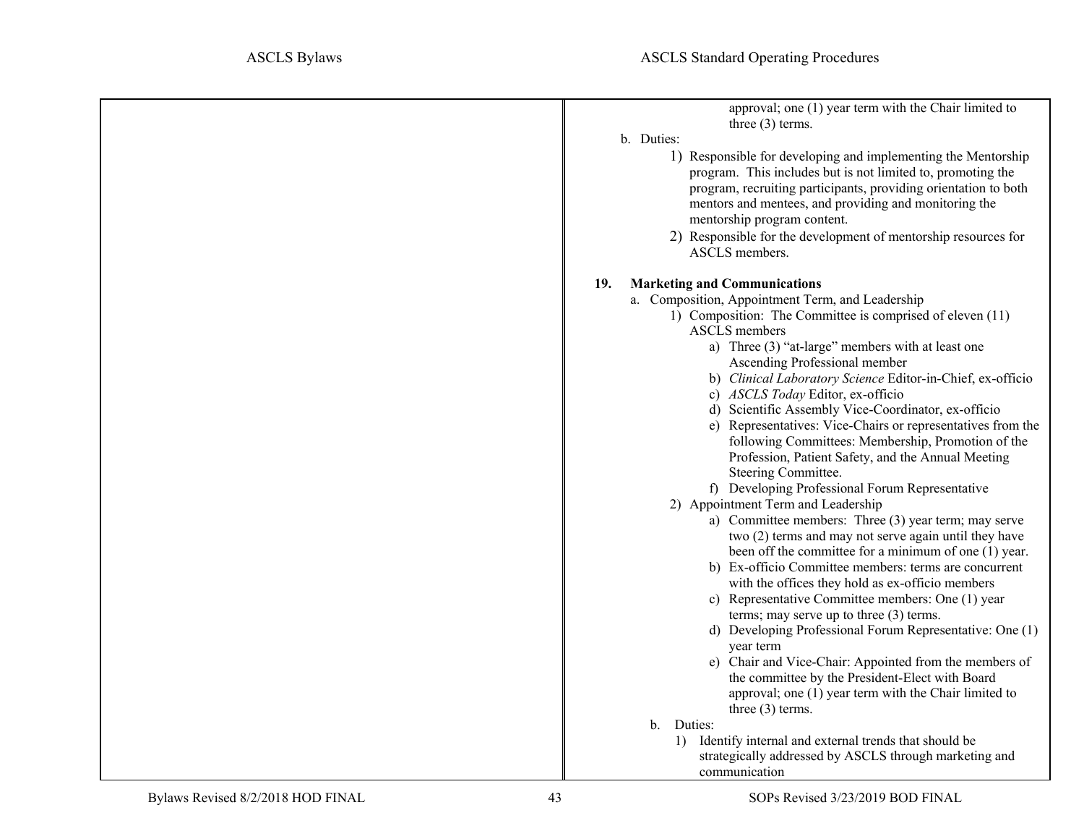<span id="page-42-0"></span>

|     | approval; one (1) year term with the Chair limited to                                                                                                                                           |
|-----|-------------------------------------------------------------------------------------------------------------------------------------------------------------------------------------------------|
|     | three $(3)$ terms.                                                                                                                                                                              |
|     | b. Duties:                                                                                                                                                                                      |
|     | 1) Responsible for developing and implementing the Mentorship<br>program. This includes but is not limited to, promoting the<br>program, recruiting participants, providing orientation to both |
|     | mentors and mentees, and providing and monitoring the<br>mentorship program content.                                                                                                            |
|     |                                                                                                                                                                                                 |
|     | 2) Responsible for the development of mentorship resources for<br>ASCLS members.                                                                                                                |
| 19. | <b>Marketing and Communications</b>                                                                                                                                                             |
|     | a. Composition, Appointment Term, and Leadership                                                                                                                                                |
|     | 1) Composition: The Committee is comprised of eleven (11)<br>ASCLS members                                                                                                                      |
|     | a) Three (3) "at-large" members with at least one                                                                                                                                               |
|     | Ascending Professional member                                                                                                                                                                   |
|     | b) Clinical Laboratory Science Editor-in-Chief, ex-officio                                                                                                                                      |
|     | c) ASCLS Today Editor, ex-officio                                                                                                                                                               |
|     | d) Scientific Assembly Vice-Coordinator, ex-officio                                                                                                                                             |
|     | e) Representatives: Vice-Chairs or representatives from the                                                                                                                                     |
|     | following Committees: Membership, Promotion of the                                                                                                                                              |
|     | Profession, Patient Safety, and the Annual Meeting                                                                                                                                              |
|     | Steering Committee.                                                                                                                                                                             |
|     | f) Developing Professional Forum Representative                                                                                                                                                 |
|     | 2) Appointment Term and Leadership                                                                                                                                                              |
|     | a) Committee members: Three (3) year term; may serve                                                                                                                                            |
|     | two (2) terms and may not serve again until they have<br>been off the committee for a minimum of one (1) year.                                                                                  |
|     | b) Ex-officio Committee members: terms are concurrent                                                                                                                                           |
|     | with the offices they hold as ex-officio members                                                                                                                                                |
|     | c) Representative Committee members: One (1) year                                                                                                                                               |
|     | terms; may serve up to three (3) terms.                                                                                                                                                         |
|     | d) Developing Professional Forum Representative: One (1)                                                                                                                                        |
|     | year term                                                                                                                                                                                       |
|     | e) Chair and Vice-Chair: Appointed from the members of                                                                                                                                          |
|     | the committee by the President-Elect with Board                                                                                                                                                 |
|     | approval; one (1) year term with the Chair limited to                                                                                                                                           |
|     | three $(3)$ terms.                                                                                                                                                                              |
|     | Duties:<br>b.                                                                                                                                                                                   |
|     | 1)<br>Identify internal and external trends that should be                                                                                                                                      |
|     | strategically addressed by ASCLS through marketing and                                                                                                                                          |
|     | communication                                                                                                                                                                                   |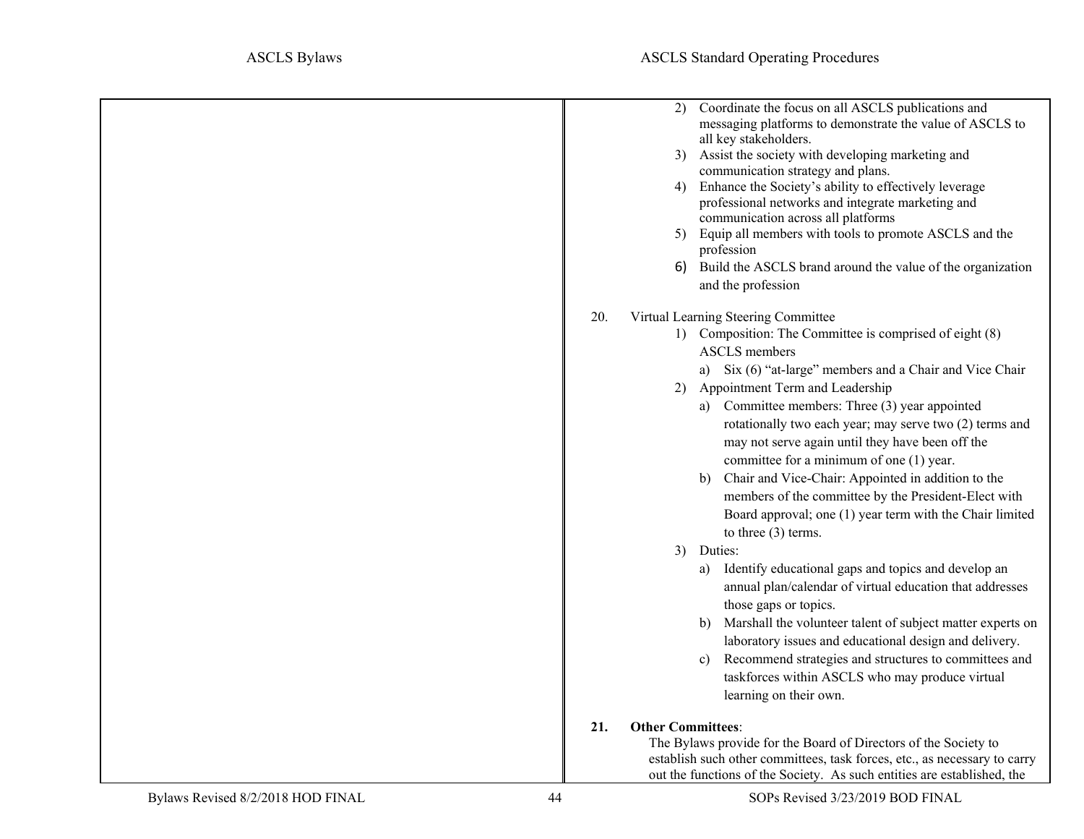<span id="page-43-0"></span>

|     | 2)                       | Coordinate the focus on all ASCLS publications and                        |
|-----|--------------------------|---------------------------------------------------------------------------|
|     |                          | messaging platforms to demonstrate the value of ASCLS to                  |
|     |                          | all key stakeholders.                                                     |
|     | 3)                       | Assist the society with developing marketing and                          |
|     |                          | communication strategy and plans.                                         |
|     | 4)                       | Enhance the Society's ability to effectively leverage                     |
|     |                          | professional networks and integrate marketing and                         |
|     |                          | communication across all platforms                                        |
|     | 5)                       | Equip all members with tools to promote ASCLS and the                     |
|     |                          | profession                                                                |
|     | 6)                       | Build the ASCLS brand around the value of the organization                |
|     |                          | and the profession                                                        |
| 20. |                          | Virtual Learning Steering Committee                                       |
|     |                          | 1) Composition: The Committee is comprised of eight (8)                   |
|     |                          | ASCLS members                                                             |
|     |                          | a) Six (6) "at-large" members and a Chair and Vice Chair                  |
|     |                          | 2) Appointment Term and Leadership                                        |
|     |                          | a) Committee members: Three (3) year appointed                            |
|     |                          | rotationally two each year; may serve two (2) terms and                   |
|     |                          | may not serve again until they have been off the                          |
|     |                          |                                                                           |
|     |                          | committee for a minimum of one (1) year.                                  |
|     |                          | Chair and Vice-Chair: Appointed in addition to the<br>b)                  |
|     |                          | members of the committee by the President-Elect with                      |
|     |                          | Board approval; one (1) year term with the Chair limited                  |
|     |                          | to three $(3)$ terms.                                                     |
|     |                          | 3) Duties:                                                                |
|     |                          | Identify educational gaps and topics and develop an<br>a)                 |
|     |                          | annual plan/calendar of virtual education that addresses                  |
|     |                          | those gaps or topics.                                                     |
|     |                          | Marshall the volunteer talent of subject matter experts on<br>b)          |
|     |                          | laboratory issues and educational design and delivery.                    |
|     |                          | Recommend strategies and structures to committees and                     |
|     |                          | c)                                                                        |
|     |                          | taskforces within ASCLS who may produce virtual                           |
|     |                          | learning on their own.                                                    |
| 21. | <b>Other Committees:</b> |                                                                           |
|     |                          | The Bylaws provide for the Board of Directors of the Society to           |
|     |                          | establish such other committees, task forces, etc., as necessary to carry |
|     |                          | out the functions of the Society. As such entities are established, the   |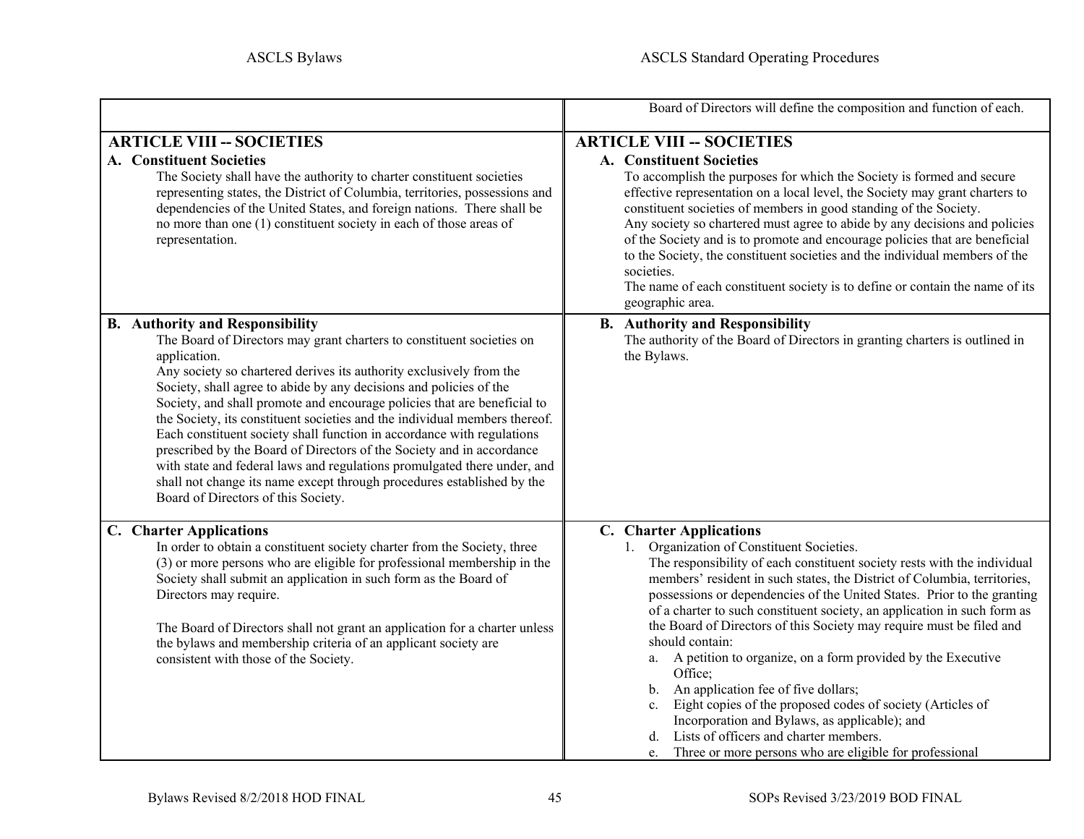<span id="page-44-4"></span><span id="page-44-3"></span><span id="page-44-2"></span><span id="page-44-1"></span><span id="page-44-0"></span>

|                                                                                                                                                                                                                                                                                                                                                                                                                                                                                                                                                                                                                                                                                                                                                                                        | Board of Directors will define the composition and function of each.                                                                                                                                                                                                                                                                                                                                                                                                                                                                                                                                                                                                                                                                                                                                                                        |
|----------------------------------------------------------------------------------------------------------------------------------------------------------------------------------------------------------------------------------------------------------------------------------------------------------------------------------------------------------------------------------------------------------------------------------------------------------------------------------------------------------------------------------------------------------------------------------------------------------------------------------------------------------------------------------------------------------------------------------------------------------------------------------------|---------------------------------------------------------------------------------------------------------------------------------------------------------------------------------------------------------------------------------------------------------------------------------------------------------------------------------------------------------------------------------------------------------------------------------------------------------------------------------------------------------------------------------------------------------------------------------------------------------------------------------------------------------------------------------------------------------------------------------------------------------------------------------------------------------------------------------------------|
| <b>ARTICLE VIII -- SOCIETIES</b>                                                                                                                                                                                                                                                                                                                                                                                                                                                                                                                                                                                                                                                                                                                                                       | <b>ARTICLE VIII -- SOCIETIES</b>                                                                                                                                                                                                                                                                                                                                                                                                                                                                                                                                                                                                                                                                                                                                                                                                            |
| A. Constituent Societies                                                                                                                                                                                                                                                                                                                                                                                                                                                                                                                                                                                                                                                                                                                                                               | A. Constituent Societies                                                                                                                                                                                                                                                                                                                                                                                                                                                                                                                                                                                                                                                                                                                                                                                                                    |
| The Society shall have the authority to charter constituent societies<br>representing states, the District of Columbia, territories, possessions and<br>dependencies of the United States, and foreign nations. There shall be<br>no more than one (1) constituent society in each of those areas of<br>representation.                                                                                                                                                                                                                                                                                                                                                                                                                                                                | To accomplish the purposes for which the Society is formed and secure<br>effective representation on a local level, the Society may grant charters to<br>constituent societies of members in good standing of the Society.<br>Any society so chartered must agree to abide by any decisions and policies<br>of the Society and is to promote and encourage policies that are beneficial<br>to the Society, the constituent societies and the individual members of the<br>societies.<br>The name of each constituent society is to define or contain the name of its<br>geographic area.                                                                                                                                                                                                                                                    |
| <b>B.</b> Authority and Responsibility<br>The Board of Directors may grant charters to constituent societies on<br>application.<br>Any society so chartered derives its authority exclusively from the<br>Society, shall agree to abide by any decisions and policies of the<br>Society, and shall promote and encourage policies that are beneficial to<br>the Society, its constituent societies and the individual members thereof.<br>Each constituent society shall function in accordance with regulations<br>prescribed by the Board of Directors of the Society and in accordance<br>with state and federal laws and regulations promulgated there under, and<br>shall not change its name except through procedures established by the<br>Board of Directors of this Society. | <b>B.</b> Authority and Responsibility<br>The authority of the Board of Directors in granting charters is outlined in<br>the Bylaws.                                                                                                                                                                                                                                                                                                                                                                                                                                                                                                                                                                                                                                                                                                        |
| C. Charter Applications<br>In order to obtain a constituent society charter from the Society, three<br>(3) or more persons who are eligible for professional membership in the<br>Society shall submit an application in such form as the Board of<br>Directors may require.<br>The Board of Directors shall not grant an application for a charter unless<br>the bylaws and membership criteria of an applicant society are<br>consistent with those of the Society.                                                                                                                                                                                                                                                                                                                  | C. Charter Applications<br>Organization of Constituent Societies.<br>1.<br>The responsibility of each constituent society rests with the individual<br>members' resident in such states, the District of Columbia, territories,<br>possessions or dependencies of the United States. Prior to the granting<br>of a charter to such constituent society, an application in such form as<br>the Board of Directors of this Society may require must be filed and<br>should contain:<br>a. A petition to organize, on a form provided by the Executive<br>Office;<br>b. An application fee of five dollars;<br>Eight copies of the proposed codes of society (Articles of<br>c.<br>Incorporation and Bylaws, as applicable); and<br>d. Lists of officers and charter members.<br>Three or more persons who are eligible for professional<br>e. |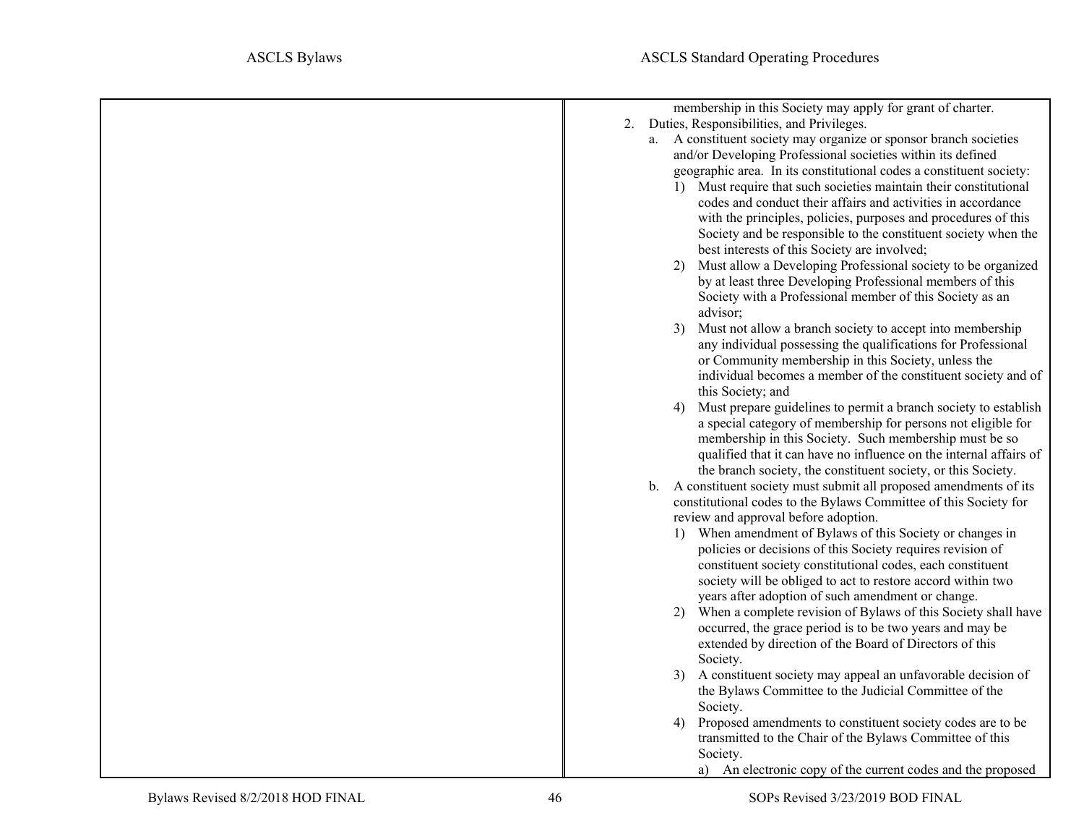<span id="page-45-0"></span>

| membership in this Society may apply for grant of charter.<br>2. Duties, Responsibilities, and Privileges.<br>a. A constituent society may organize or sponsor branch societies<br>and/or Developing Professional societies within its defined<br>geographic area. In its constitutional codes a constituent society:<br>1) Must require that such societies maintain their constitutional<br>codes and conduct their affairs and activities in accordance<br>with the principles, policies, purposes and procedures of this<br>Society and be responsible to the constituent society when the<br>best interests of this Society are involved;<br>Must allow a Developing Professional society to be organized<br>2)<br>by at least three Developing Professional members of this<br>Society with a Professional member of this Society as an<br>advisor;<br>Must not allow a branch society to accept into membership<br>3)<br>any individual possessing the qualifications for Professional<br>or Community membership in this Society, unless the<br>individual becomes a member of the constituent society and of<br>this Society; and<br>Must prepare guidelines to permit a branch society to establish<br>4)<br>a special category of membership for persons not eligible for |  |
|--------------------------------------------------------------------------------------------------------------------------------------------------------------------------------------------------------------------------------------------------------------------------------------------------------------------------------------------------------------------------------------------------------------------------------------------------------------------------------------------------------------------------------------------------------------------------------------------------------------------------------------------------------------------------------------------------------------------------------------------------------------------------------------------------------------------------------------------------------------------------------------------------------------------------------------------------------------------------------------------------------------------------------------------------------------------------------------------------------------------------------------------------------------------------------------------------------------------------------------------------------------------------------------|--|
| membership in this Society. Such membership must be so<br>qualified that it can have no influence on the internal affairs of<br>the branch society, the constituent society, or this Society.                                                                                                                                                                                                                                                                                                                                                                                                                                                                                                                                                                                                                                                                                                                                                                                                                                                                                                                                                                                                                                                                                        |  |
| b. A constituent society must submit all proposed amendments of its<br>constitutional codes to the Bylaws Committee of this Society for<br>review and approval before adoption.<br>1) When amendment of Bylaws of this Society or changes in<br>policies or decisions of this Society requires revision of<br>constituent society constitutional codes, each constituent<br>society will be obliged to act to restore accord within two<br>years after adoption of such amendment or change.<br>When a complete revision of Bylaws of this Society shall have<br>2)<br>occurred, the grace period is to be two years and may be<br>extended by direction of the Board of Directors of this<br>Society.<br>A constituent society may appeal an unfavorable decision of<br>3)                                                                                                                                                                                                                                                                                                                                                                                                                                                                                                          |  |
| the Bylaws Committee to the Judicial Committee of the<br>Society.<br>Proposed amendments to constituent society codes are to be<br>4)<br>transmitted to the Chair of the Bylaws Committee of this<br>Society.<br>a) An electronic copy of the current codes and the proposed                                                                                                                                                                                                                                                                                                                                                                                                                                                                                                                                                                                                                                                                                                                                                                                                                                                                                                                                                                                                         |  |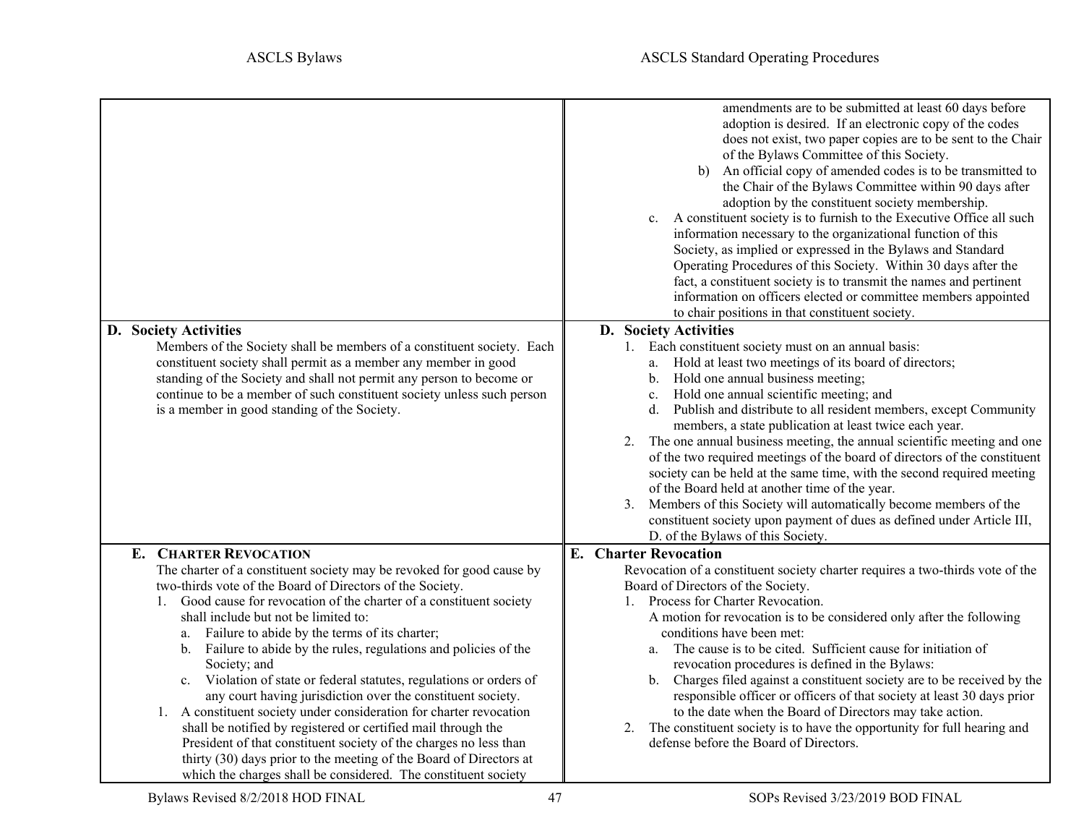<span id="page-46-2"></span><span id="page-46-1"></span><span id="page-46-0"></span>

| D. Society Activities<br>Members of the Society shall be members of a constituent society. Each<br>constituent society shall permit as a member any member in good<br>standing of the Society and shall not permit any person to become or<br>continue to be a member of such constituent society unless such person<br>is a member in good standing of the Society.                                                                                                                                                                                                                                                                                                                                                                                                                                                                                                                               | amendments are to be submitted at least 60 days before<br>adoption is desired. If an electronic copy of the codes<br>does not exist, two paper copies are to be sent to the Chair<br>of the Bylaws Committee of this Society.<br>b) An official copy of amended codes is to be transmitted to<br>the Chair of the Bylaws Committee within 90 days after<br>adoption by the constituent society membership.<br>A constituent society is to furnish to the Executive Office all such<br>c.<br>information necessary to the organizational function of this<br>Society, as implied or expressed in the Bylaws and Standard<br>Operating Procedures of this Society. Within 30 days after the<br>fact, a constituent society is to transmit the names and pertinent<br>information on officers elected or committee members appointed<br>to chair positions in that constituent society.<br>D. Society Activities<br>1. Each constituent society must on an annual basis:<br>a. Hold at least two meetings of its board of directors;<br>Hold one annual business meeting;<br>b.<br>Hold one annual scientific meeting; and<br>c.<br>Publish and distribute to all resident members, except Community<br>d.<br>members, a state publication at least twice each year.<br>The one annual business meeting, the annual scientific meeting and one<br>2.<br>of the two required meetings of the board of directors of the constituent<br>society can be held at the same time, with the second required meeting<br>of the Board held at another time of the year.<br>3. Members of this Society will automatically become members of the<br>constituent society upon payment of dues as defined under Article III,<br>D. of the Bylaws of this Society. |
|----------------------------------------------------------------------------------------------------------------------------------------------------------------------------------------------------------------------------------------------------------------------------------------------------------------------------------------------------------------------------------------------------------------------------------------------------------------------------------------------------------------------------------------------------------------------------------------------------------------------------------------------------------------------------------------------------------------------------------------------------------------------------------------------------------------------------------------------------------------------------------------------------|--------------------------------------------------------------------------------------------------------------------------------------------------------------------------------------------------------------------------------------------------------------------------------------------------------------------------------------------------------------------------------------------------------------------------------------------------------------------------------------------------------------------------------------------------------------------------------------------------------------------------------------------------------------------------------------------------------------------------------------------------------------------------------------------------------------------------------------------------------------------------------------------------------------------------------------------------------------------------------------------------------------------------------------------------------------------------------------------------------------------------------------------------------------------------------------------------------------------------------------------------------------------------------------------------------------------------------------------------------------------------------------------------------------------------------------------------------------------------------------------------------------------------------------------------------------------------------------------------------------------------------------------------------------------------------------------------------------------------------------------------|
| <b>E. CHARTER REVOCATION</b>                                                                                                                                                                                                                                                                                                                                                                                                                                                                                                                                                                                                                                                                                                                                                                                                                                                                       | <b>E.</b> Charter Revocation                                                                                                                                                                                                                                                                                                                                                                                                                                                                                                                                                                                                                                                                                                                                                                                                                                                                                                                                                                                                                                                                                                                                                                                                                                                                                                                                                                                                                                                                                                                                                                                                                                                                                                                     |
| The charter of a constituent society may be revoked for good cause by<br>two-thirds vote of the Board of Directors of the Society.<br>Good cause for revocation of the charter of a constituent society<br>1.<br>shall include but not be limited to:<br>Failure to abide by the terms of its charter;<br>a.<br>Failure to abide by the rules, regulations and policies of the<br>b.<br>Society; and<br>Violation of state or federal statutes, regulations or orders of<br>c.<br>any court having jurisdiction over the constituent society.<br>1. A constituent society under consideration for charter revocation<br>shall be notified by registered or certified mail through the<br>President of that constituent society of the charges no less than<br>thirty (30) days prior to the meeting of the Board of Directors at<br>which the charges shall be considered. The constituent society | Revocation of a constituent society charter requires a two-thirds vote of the<br>Board of Directors of the Society.<br>1. Process for Charter Revocation.<br>A motion for revocation is to be considered only after the following<br>conditions have been met:<br>The cause is to be cited. Sufficient cause for initiation of<br>a.<br>revocation procedures is defined in the Bylaws:<br>b. Charges filed against a constituent society are to be received by the<br>responsible officer or officers of that society at least 30 days prior<br>to the date when the Board of Directors may take action.<br>The constituent society is to have the opportunity for full hearing and<br>2.<br>defense before the Board of Directors.                                                                                                                                                                                                                                                                                                                                                                                                                                                                                                                                                                                                                                                                                                                                                                                                                                                                                                                                                                                                             |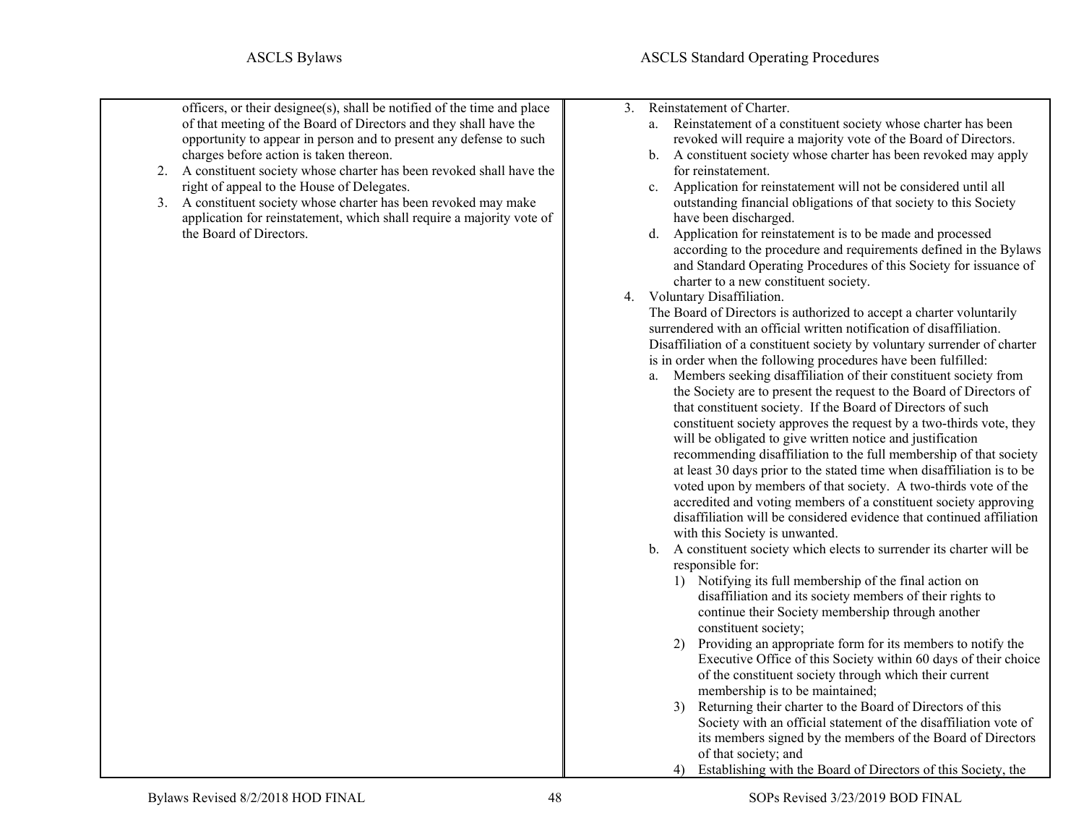officers, or their designee(s), shall be notified of the time and place of that meeting of the Board of Directors and they shall have the opportunity to appear in person and to present any defense to such charges before action is taken thereon.

- 2. A constituent society whose charter has been revoked shall have the right of appeal to the House of Delegates.
- 3. A constituent society whose charter has been revoked may make application for reinstatement, which shall require a majority vote of the Board of Directors.

<span id="page-47-0"></span>3. Reinstatement of Charter.

- a. Reinstatement of a constituent society whose charter has been revoked will require a majority vote of the Board of Directors.
- b. A constituent society whose charter has been revoked may apply for reinstatement.
- c. Application for reinstatement will not be considered until all outstanding financial obligations of that society to this Society have been discharged.
- d. Application for reinstatement is to be made and processed according to the procedure and requirements defined in the Bylaws and Standard Operating Procedures of this Society for issuance of charter to a new constituent society.

<span id="page-47-1"></span>4. Voluntary Disaffiliation.

The Board of Directors is authorized to accept a charter voluntarily surrendered with an official written notification of disaffiliation. Disaffiliation of a constituent society by voluntary surrender of charter is in order when the following procedures have been fulfilled:

| a. | Members seeking disaffiliation of their constituent society from       |
|----|------------------------------------------------------------------------|
|    | the Society are to present the request to the Board of Directors of    |
|    | that constituent society. If the Board of Directors of such            |
|    | constituent society approves the request by a two-thirds vote, they    |
|    | will be obligated to give written notice and justification             |
|    | recommending disaffiliation to the full membership of that society     |
|    | at least 30 days prior to the stated time when disaffiliation is to be |
|    | voted upon by members of that society. A two-thirds vote of the        |
|    | accredited and voting members of a constituent society approving       |
|    | disaffiliation will be considered evidence that continued affiliation  |
|    | with this Society is unwanted.                                         |
|    |                                                                        |

b. A constituent society which elects to surrender its charter will be responsible for:

- 1) Notifying its full membership of the final action on disaffiliation and its society members of their rights to continue their Society membership through another constituent society;
- 2) Providing an appropriate form for its members to notify the Executive Office of this Society within 60 days of their choice of the constituent society through which their current membership is to be maintained;
- 3) Returning their charter to the Board of Directors of this Society with an official statement of the disaffiliation vote of its members signed by the members of the Board of Directors of that society; and
- 4) Establishing with the Board of Directors of this Society, the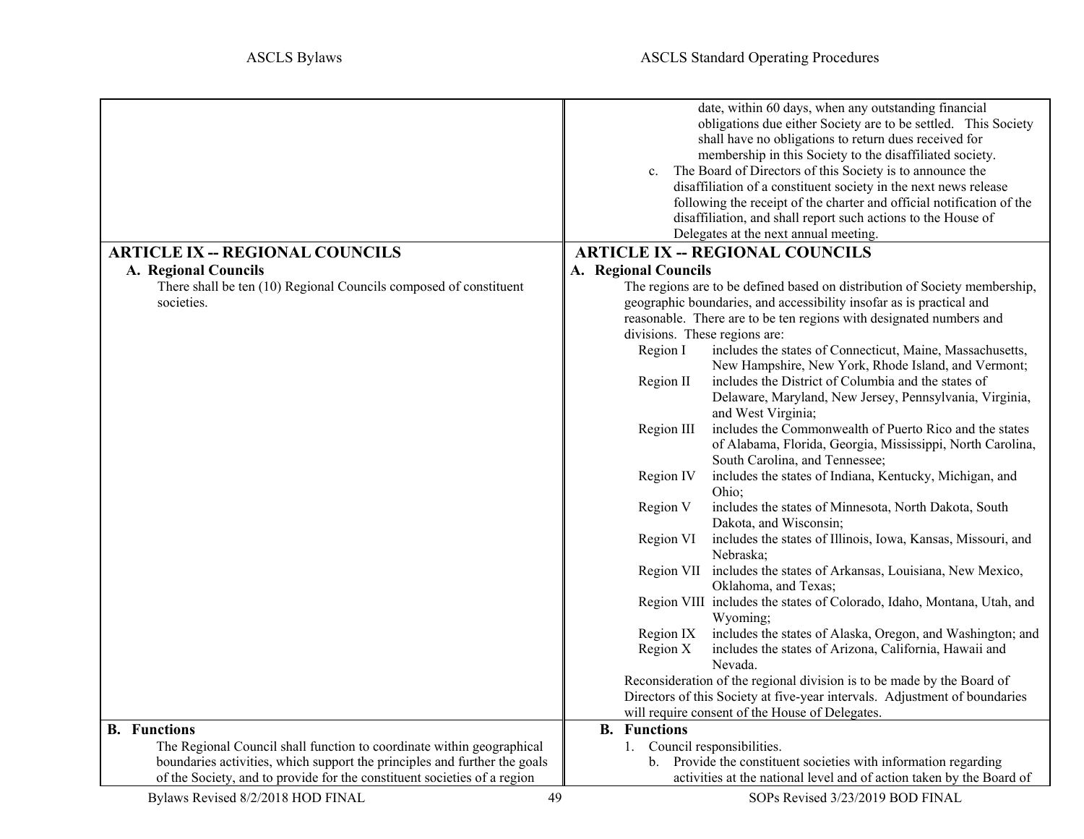<span id="page-48-3"></span><span id="page-48-2"></span><span id="page-48-1"></span><span id="page-48-0"></span>

|                                                                           | date, within 60 days, when any outstanding financial<br>obligations due either Society are to be settled. This Society<br>shall have no obligations to return dues received for<br>membership in this Society to the disaffiliated society.<br>The Board of Directors of this Society is to announce the<br>$c_{\cdot}$<br>disaffiliation of a constituent society in the next news release<br>following the receipt of the charter and official notification of the<br>disaffiliation, and shall report such actions to the House of<br>Delegates at the next annual meeting. |
|---------------------------------------------------------------------------|--------------------------------------------------------------------------------------------------------------------------------------------------------------------------------------------------------------------------------------------------------------------------------------------------------------------------------------------------------------------------------------------------------------------------------------------------------------------------------------------------------------------------------------------------------------------------------|
| <b>ARTICLE IX -- REGIONAL COUNCILS</b>                                    | <b>ARTICLE IX -- REGIONAL COUNCILS</b>                                                                                                                                                                                                                                                                                                                                                                                                                                                                                                                                         |
| A. Regional Councils                                                      | A. Regional Councils                                                                                                                                                                                                                                                                                                                                                                                                                                                                                                                                                           |
| There shall be ten (10) Regional Councils composed of constituent         | The regions are to be defined based on distribution of Society membership,                                                                                                                                                                                                                                                                                                                                                                                                                                                                                                     |
| societies.                                                                | geographic boundaries, and accessibility insofar as is practical and                                                                                                                                                                                                                                                                                                                                                                                                                                                                                                           |
|                                                                           | reasonable. There are to be ten regions with designated numbers and                                                                                                                                                                                                                                                                                                                                                                                                                                                                                                            |
|                                                                           | divisions. These regions are:                                                                                                                                                                                                                                                                                                                                                                                                                                                                                                                                                  |
|                                                                           | includes the states of Connecticut, Maine, Massachusetts,<br>Region I                                                                                                                                                                                                                                                                                                                                                                                                                                                                                                          |
|                                                                           | New Hampshire, New York, Rhode Island, and Vermont;                                                                                                                                                                                                                                                                                                                                                                                                                                                                                                                            |
|                                                                           | includes the District of Columbia and the states of<br>Region II                                                                                                                                                                                                                                                                                                                                                                                                                                                                                                               |
|                                                                           | Delaware, Maryland, New Jersey, Pennsylvania, Virginia,                                                                                                                                                                                                                                                                                                                                                                                                                                                                                                                        |
|                                                                           | and West Virginia;                                                                                                                                                                                                                                                                                                                                                                                                                                                                                                                                                             |
|                                                                           | includes the Commonwealth of Puerto Rico and the states<br>Region III                                                                                                                                                                                                                                                                                                                                                                                                                                                                                                          |
|                                                                           | of Alabama, Florida, Georgia, Mississippi, North Carolina,                                                                                                                                                                                                                                                                                                                                                                                                                                                                                                                     |
|                                                                           | South Carolina, and Tennessee;                                                                                                                                                                                                                                                                                                                                                                                                                                                                                                                                                 |
|                                                                           | includes the states of Indiana, Kentucky, Michigan, and<br>Region IV                                                                                                                                                                                                                                                                                                                                                                                                                                                                                                           |
|                                                                           | Ohio;                                                                                                                                                                                                                                                                                                                                                                                                                                                                                                                                                                          |
|                                                                           | includes the states of Minnesota, North Dakota, South<br>Region V                                                                                                                                                                                                                                                                                                                                                                                                                                                                                                              |
|                                                                           | Dakota, and Wisconsin;                                                                                                                                                                                                                                                                                                                                                                                                                                                                                                                                                         |
|                                                                           | includes the states of Illinois, Iowa, Kansas, Missouri, and<br>Region VI<br>Nebraska;                                                                                                                                                                                                                                                                                                                                                                                                                                                                                         |
|                                                                           | Region VII includes the states of Arkansas, Louisiana, New Mexico,                                                                                                                                                                                                                                                                                                                                                                                                                                                                                                             |
|                                                                           | Oklahoma, and Texas;                                                                                                                                                                                                                                                                                                                                                                                                                                                                                                                                                           |
|                                                                           | Region VIII includes the states of Colorado, Idaho, Montana, Utah, and                                                                                                                                                                                                                                                                                                                                                                                                                                                                                                         |
|                                                                           | Wyoming;                                                                                                                                                                                                                                                                                                                                                                                                                                                                                                                                                                       |
|                                                                           | includes the states of Alaska, Oregon, and Washington; and<br>Region IX                                                                                                                                                                                                                                                                                                                                                                                                                                                                                                        |
|                                                                           | includes the states of Arizona, California, Hawaii and<br>Region X                                                                                                                                                                                                                                                                                                                                                                                                                                                                                                             |
|                                                                           | Nevada.                                                                                                                                                                                                                                                                                                                                                                                                                                                                                                                                                                        |
|                                                                           | Reconsideration of the regional division is to be made by the Board of                                                                                                                                                                                                                                                                                                                                                                                                                                                                                                         |
|                                                                           | Directors of this Society at five-year intervals. Adjustment of boundaries                                                                                                                                                                                                                                                                                                                                                                                                                                                                                                     |
|                                                                           | will require consent of the House of Delegates.                                                                                                                                                                                                                                                                                                                                                                                                                                                                                                                                |
| <b>B.</b> Functions                                                       | <b>B.</b> Functions                                                                                                                                                                                                                                                                                                                                                                                                                                                                                                                                                            |
| The Regional Council shall function to coordinate within geographical     | 1. Council responsibilities.                                                                                                                                                                                                                                                                                                                                                                                                                                                                                                                                                   |
| boundaries activities, which support the principles and further the goals | b. Provide the constituent societies with information regarding                                                                                                                                                                                                                                                                                                                                                                                                                                                                                                                |
| of the Society, and to provide for the constituent societies of a region  | activities at the national level and of action taken by the Board of                                                                                                                                                                                                                                                                                                                                                                                                                                                                                                           |
| Bylaws Revised 8/2/2018 HOD FINAL<br>49                                   | SOPs Revised 3/23/2019 BOD FINAL                                                                                                                                                                                                                                                                                                                                                                                                                                                                                                                                               |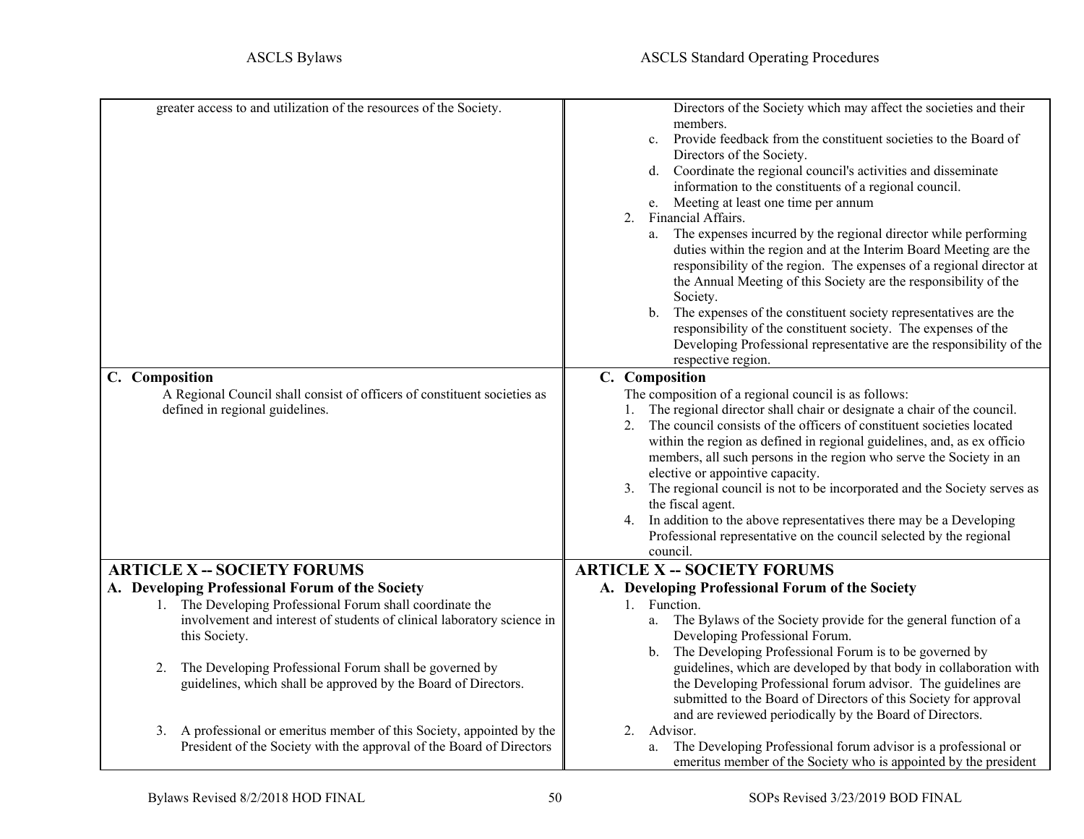<span id="page-49-5"></span><span id="page-49-4"></span><span id="page-49-3"></span><span id="page-49-2"></span><span id="page-49-1"></span><span id="page-49-0"></span>

| greater access to and utilization of the resources of the Society.                                                                                   | Directors of the Society which may affect the societies and their<br>members.<br>Provide feedback from the constituent societies to the Board of<br>$\mathbf{c}$ .<br>Directors of the Society.<br>d. Coordinate the regional council's activities and disseminate<br>information to the constituents of a regional council.<br>e. Meeting at least one time per annum<br>2. Financial Affairs.<br>a. The expenses incurred by the regional director while performing<br>duties within the region and at the Interim Board Meeting are the<br>responsibility of the region. The expenses of a regional director at<br>the Annual Meeting of this Society are the responsibility of the<br>Society.<br>b. The expenses of the constituent society representatives are the<br>responsibility of the constituent society. The expenses of the<br>Developing Professional representative are the responsibility of the<br>respective region. |
|------------------------------------------------------------------------------------------------------------------------------------------------------|------------------------------------------------------------------------------------------------------------------------------------------------------------------------------------------------------------------------------------------------------------------------------------------------------------------------------------------------------------------------------------------------------------------------------------------------------------------------------------------------------------------------------------------------------------------------------------------------------------------------------------------------------------------------------------------------------------------------------------------------------------------------------------------------------------------------------------------------------------------------------------------------------------------------------------------|
| C. Composition<br>A Regional Council shall consist of officers of constituent societies as<br>defined in regional guidelines.                        | C. Composition<br>The composition of a regional council is as follows:<br>The regional director shall chair or designate a chair of the council.<br>The council consists of the officers of constituent societies located<br>2.<br>within the region as defined in regional guidelines, and, as ex officio<br>members, all such persons in the region who serve the Society in an<br>elective or appointive capacity.<br>3. The regional council is not to be incorporated and the Society serves as<br>the fiscal agent.                                                                                                                                                                                                                                                                                                                                                                                                                |
|                                                                                                                                                      | 4. In addition to the above representatives there may be a Developing<br>Professional representative on the council selected by the regional<br>council.                                                                                                                                                                                                                                                                                                                                                                                                                                                                                                                                                                                                                                                                                                                                                                                 |
| <b>ARTICLE X -- SOCIETY FORUMS</b>                                                                                                                   | <b>ARTICLE X -- SOCIETY FORUMS</b>                                                                                                                                                                                                                                                                                                                                                                                                                                                                                                                                                                                                                                                                                                                                                                                                                                                                                                       |
| A. Developing Professional Forum of the Society                                                                                                      | A. Developing Professional Forum of the Society                                                                                                                                                                                                                                                                                                                                                                                                                                                                                                                                                                                                                                                                                                                                                                                                                                                                                          |
| 1. The Developing Professional Forum shall coordinate the<br>involvement and interest of students of clinical laboratory science in<br>this Society. | 1. Function.<br>The Bylaws of the Society provide for the general function of a<br>a.<br>Developing Professional Forum.<br>b. The Developing Professional Forum is to be governed by                                                                                                                                                                                                                                                                                                                                                                                                                                                                                                                                                                                                                                                                                                                                                     |
| The Developing Professional Forum shall be governed by<br>2.<br>guidelines, which shall be approved by the Board of Directors.                       | guidelines, which are developed by that body in collaboration with<br>the Developing Professional forum advisor. The guidelines are<br>submitted to the Board of Directors of this Society for approval<br>and are reviewed periodically by the Board of Directors.                                                                                                                                                                                                                                                                                                                                                                                                                                                                                                                                                                                                                                                                      |
| A professional or emeritus member of this Society, appointed by the<br>3.<br>President of the Society with the approval of the Board of Directors    | 2.<br>Advisor.<br>The Developing Professional forum advisor is a professional or<br>a.<br>emeritus member of the Society who is appointed by the president                                                                                                                                                                                                                                                                                                                                                                                                                                                                                                                                                                                                                                                                                                                                                                               |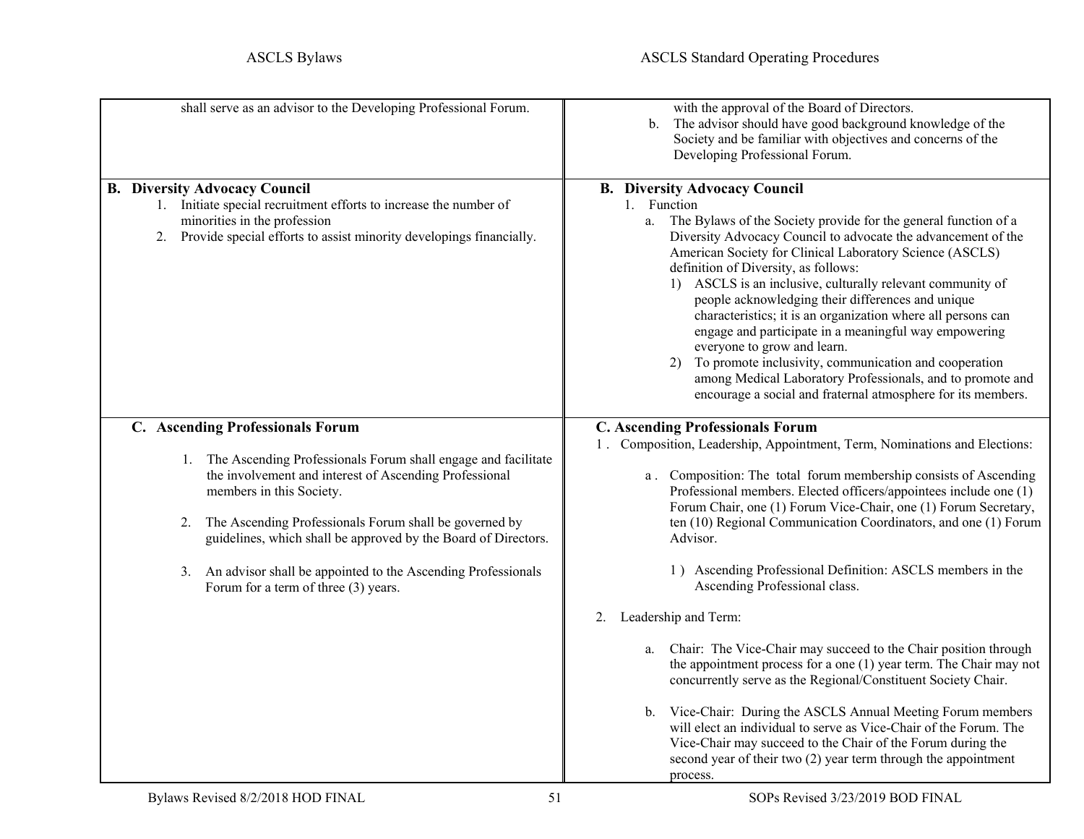<span id="page-50-2"></span><span id="page-50-1"></span><span id="page-50-0"></span>

| shall serve as an advisor to the Developing Professional Forum.                                                                                                                                                                                                                                                                                                                                                                            | with the approval of the Board of Directors.<br>The advisor should have good background knowledge of the<br>b.<br>Society and be familiar with objectives and concerns of the<br>Developing Professional Forum.                                                                                                                                                                                                                                                                                                                                                                                                                                                                                                                                                                                                                                                                                                                                                                                                                                  |
|--------------------------------------------------------------------------------------------------------------------------------------------------------------------------------------------------------------------------------------------------------------------------------------------------------------------------------------------------------------------------------------------------------------------------------------------|--------------------------------------------------------------------------------------------------------------------------------------------------------------------------------------------------------------------------------------------------------------------------------------------------------------------------------------------------------------------------------------------------------------------------------------------------------------------------------------------------------------------------------------------------------------------------------------------------------------------------------------------------------------------------------------------------------------------------------------------------------------------------------------------------------------------------------------------------------------------------------------------------------------------------------------------------------------------------------------------------------------------------------------------------|
| <b>B. Diversity Advocacy Council</b><br>1. Initiate special recruitment efforts to increase the number of<br>minorities in the profession<br>Provide special efforts to assist minority developings financially.<br>2.                                                                                                                                                                                                                     | <b>B.</b> Diversity Advocacy Council<br>1. Function<br>The Bylaws of the Society provide for the general function of a<br>a.<br>Diversity Advocacy Council to advocate the advancement of the<br>American Society for Clinical Laboratory Science (ASCLS)<br>definition of Diversity, as follows:<br>1) ASCLS is an inclusive, culturally relevant community of<br>people acknowledging their differences and unique<br>characteristics; it is an organization where all persons can<br>engage and participate in a meaningful way empowering<br>everyone to grow and learn.<br>To promote inclusivity, communication and cooperation<br>2)<br>among Medical Laboratory Professionals, and to promote and<br>encourage a social and fraternal atmosphere for its members.                                                                                                                                                                                                                                                                        |
| C. Ascending Professionals Forum<br>1. The Ascending Professionals Forum shall engage and facilitate<br>the involvement and interest of Ascending Professional<br>members in this Society.<br>The Ascending Professionals Forum shall be governed by<br>2.<br>guidelines, which shall be approved by the Board of Directors.<br>An advisor shall be appointed to the Ascending Professionals<br>3.<br>Forum for a term of three (3) years. | <b>C. Ascending Professionals Forum</b><br>1. Composition, Leadership, Appointment, Term, Nominations and Elections:<br>a. Composition: The total forum membership consists of Ascending<br>Professional members. Elected officers/appointees include one (1)<br>Forum Chair, one (1) Forum Vice-Chair, one (1) Forum Secretary,<br>ten (10) Regional Communication Coordinators, and one (1) Forum<br>Advisor.<br>1) Ascending Professional Definition: ASCLS members in the<br>Ascending Professional class.<br>Leadership and Term:<br>2.<br>Chair: The Vice-Chair may succeed to the Chair position through<br>a.<br>the appointment process for a one $(1)$ year term. The Chair may not<br>concurrently serve as the Regional/Constituent Society Chair.<br>b. Vice-Chair: During the ASCLS Annual Meeting Forum members<br>will elect an individual to serve as Vice-Chair of the Forum. The<br>Vice-Chair may succeed to the Chair of the Forum during the<br>second year of their two (2) year term through the appointment<br>process. |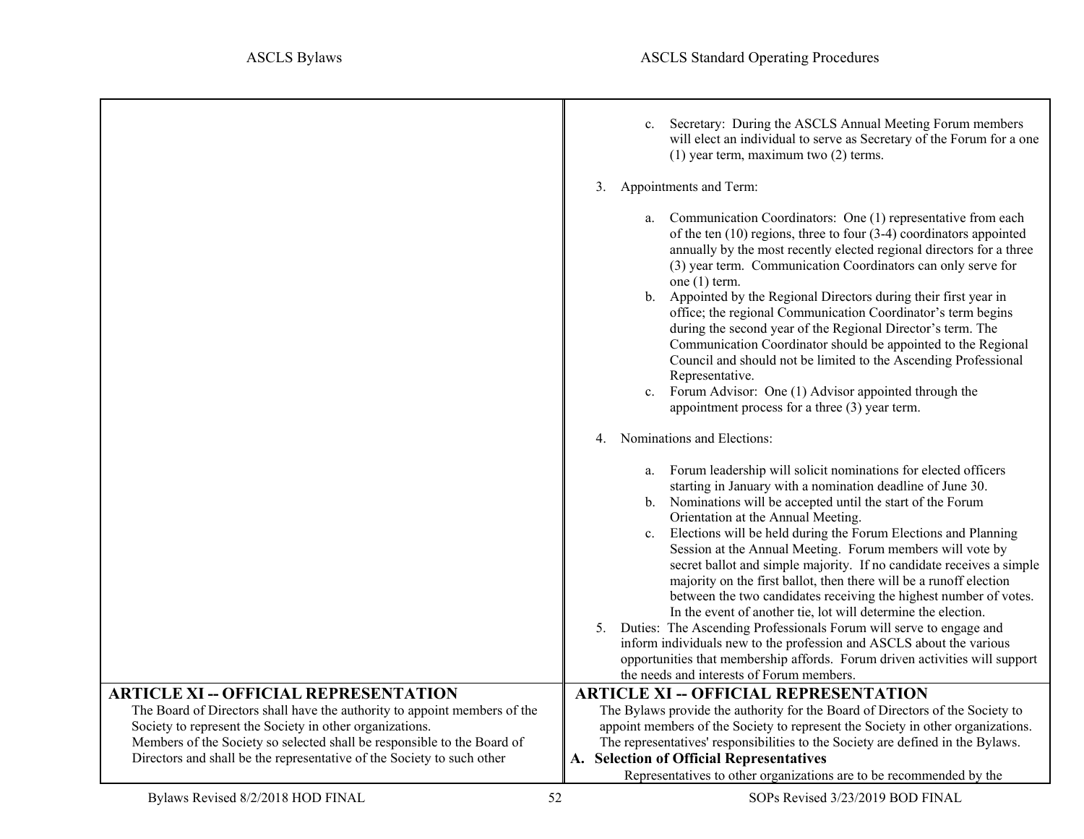<span id="page-51-1"></span><span id="page-51-0"></span>

|                                                                                                                                       | Secretary: During the ASCLS Annual Meeting Forum members<br>c.<br>will elect an individual to serve as Secretary of the Forum for a one<br>$(1)$ year term, maximum two $(2)$ terms.                                                                                                                                                                                                                                                                                                                                                                                                                                                                                                                                                                                                                                                                                                                                                           |
|---------------------------------------------------------------------------------------------------------------------------------------|------------------------------------------------------------------------------------------------------------------------------------------------------------------------------------------------------------------------------------------------------------------------------------------------------------------------------------------------------------------------------------------------------------------------------------------------------------------------------------------------------------------------------------------------------------------------------------------------------------------------------------------------------------------------------------------------------------------------------------------------------------------------------------------------------------------------------------------------------------------------------------------------------------------------------------------------|
|                                                                                                                                       | Appointments and Term:<br>3.                                                                                                                                                                                                                                                                                                                                                                                                                                                                                                                                                                                                                                                                                                                                                                                                                                                                                                                   |
|                                                                                                                                       | a. Communication Coordinators: One (1) representative from each<br>of the ten $(10)$ regions, three to four $(3-4)$ coordinators appointed<br>annually by the most recently elected regional directors for a three<br>(3) year term. Communication Coordinators can only serve for<br>one $(1)$ term.<br>Appointed by the Regional Directors during their first year in<br>b.<br>office; the regional Communication Coordinator's term begins<br>during the second year of the Regional Director's term. The<br>Communication Coordinator should be appointed to the Regional<br>Council and should not be limited to the Ascending Professional<br>Representative.                                                                                                                                                                                                                                                                            |
|                                                                                                                                       | Forum Advisor: One (1) Advisor appointed through the<br>c.<br>appointment process for a three (3) year term.                                                                                                                                                                                                                                                                                                                                                                                                                                                                                                                                                                                                                                                                                                                                                                                                                                   |
|                                                                                                                                       | Nominations and Elections:<br>4.                                                                                                                                                                                                                                                                                                                                                                                                                                                                                                                                                                                                                                                                                                                                                                                                                                                                                                               |
|                                                                                                                                       | a. Forum leadership will solicit nominations for elected officers<br>starting in January with a nomination deadline of June 30.<br>b. Nominations will be accepted until the start of the Forum<br>Orientation at the Annual Meeting.<br>Elections will be held during the Forum Elections and Planning<br>c.<br>Session at the Annual Meeting. Forum members will vote by<br>secret ballot and simple majority. If no candidate receives a simple<br>majority on the first ballot, then there will be a runoff election<br>between the two candidates receiving the highest number of votes.<br>In the event of another tie, lot will determine the election.<br>Duties: The Ascending Professionals Forum will serve to engage and<br>5.<br>inform individuals new to the profession and ASCLS about the various<br>opportunities that membership affords. Forum driven activities will support<br>the needs and interests of Forum members. |
| <b>ARTICLE XI -- OFFICIAL REPRESENTATION</b>                                                                                          | <b>ARTICLE XI -- OFFICIAL REPRESENTATION</b>                                                                                                                                                                                                                                                                                                                                                                                                                                                                                                                                                                                                                                                                                                                                                                                                                                                                                                   |
| The Board of Directors shall have the authority to appoint members of the<br>Society to represent the Society in other organizations. | The Bylaws provide the authority for the Board of Directors of the Society to<br>appoint members of the Society to represent the Society in other organizations.                                                                                                                                                                                                                                                                                                                                                                                                                                                                                                                                                                                                                                                                                                                                                                               |
| Members of the Society so selected shall be responsible to the Board of                                                               | The representatives' responsibilities to the Society are defined in the Bylaws.                                                                                                                                                                                                                                                                                                                                                                                                                                                                                                                                                                                                                                                                                                                                                                                                                                                                |
| Directors and shall be the representative of the Society to such other                                                                | A. Selection of Official Representatives                                                                                                                                                                                                                                                                                                                                                                                                                                                                                                                                                                                                                                                                                                                                                                                                                                                                                                       |
|                                                                                                                                       | Representatives to other organizations are to be recommended by the                                                                                                                                                                                                                                                                                                                                                                                                                                                                                                                                                                                                                                                                                                                                                                                                                                                                            |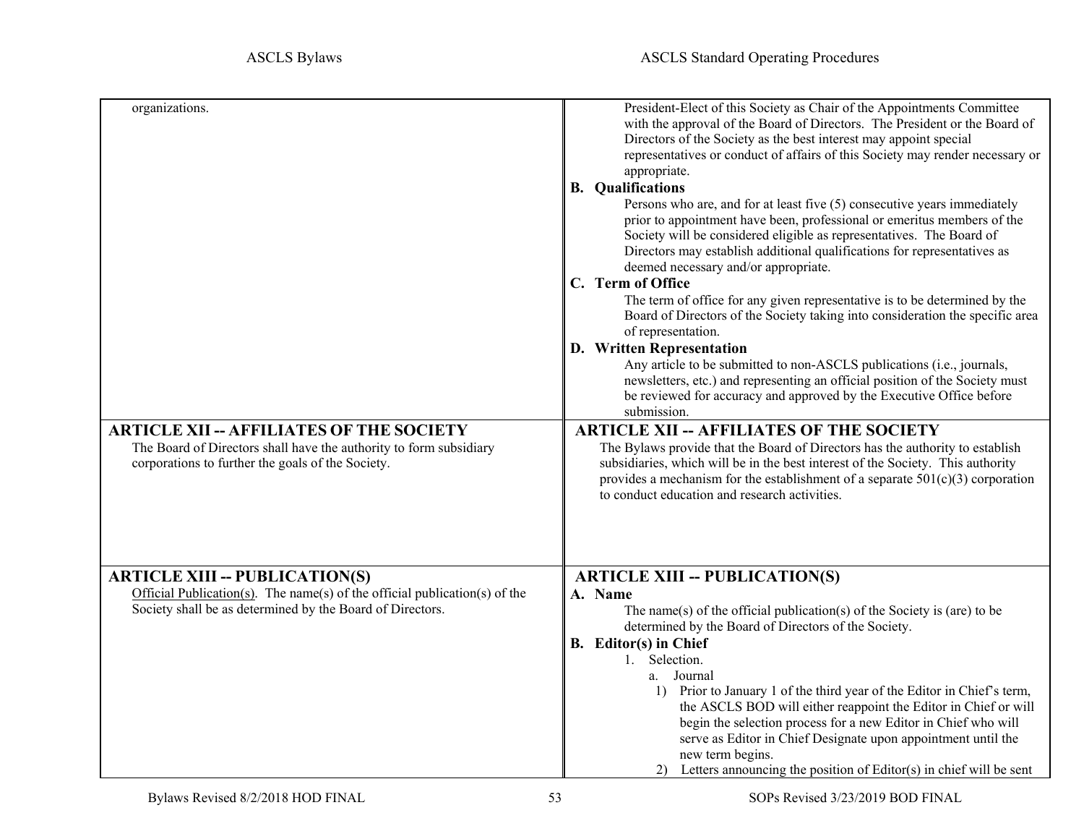<span id="page-52-7"></span><span id="page-52-6"></span><span id="page-52-5"></span><span id="page-52-4"></span><span id="page-52-3"></span><span id="page-52-2"></span><span id="page-52-1"></span><span id="page-52-0"></span>

| organizations.                                                                                                                                                             | President-Elect of this Society as Chair of the Appointments Committee<br>with the approval of the Board of Directors. The President or the Board of<br>Directors of the Society as the best interest may appoint special<br>representatives or conduct of affairs of this Society may render necessary or<br>appropriate.<br><b>B.</b> Qualifications<br>Persons who are, and for at least five (5) consecutive years immediately<br>prior to appointment have been, professional or emeritus members of the<br>Society will be considered eligible as representatives. The Board of<br>Directors may establish additional qualifications for representatives as<br>deemed necessary and/or appropriate.<br>C. Term of Office<br>The term of office for any given representative is to be determined by the<br>Board of Directors of the Society taking into consideration the specific area<br>of representation.<br>D. Written Representation<br>Any article to be submitted to non-ASCLS publications (i.e., journals,<br>newsletters, etc.) and representing an official position of the Society must<br>be reviewed for accuracy and approved by the Executive Office before<br>submission. |
|----------------------------------------------------------------------------------------------------------------------------------------------------------------------------|---------------------------------------------------------------------------------------------------------------------------------------------------------------------------------------------------------------------------------------------------------------------------------------------------------------------------------------------------------------------------------------------------------------------------------------------------------------------------------------------------------------------------------------------------------------------------------------------------------------------------------------------------------------------------------------------------------------------------------------------------------------------------------------------------------------------------------------------------------------------------------------------------------------------------------------------------------------------------------------------------------------------------------------------------------------------------------------------------------------------------------------------------------------------------------------------------|
|                                                                                                                                                                            |                                                                                                                                                                                                                                                                                                                                                                                                                                                                                                                                                                                                                                                                                                                                                                                                                                                                                                                                                                                                                                                                                                                                                                                                   |
| <b>ARTICLE XII -- AFFILIATES OF THE SOCIETY</b><br>The Board of Directors shall have the authority to form subsidiary<br>corporations to further the goals of the Society. | <b>ARTICLE XII -- AFFILIATES OF THE SOCIETY</b><br>The Bylaws provide that the Board of Directors has the authority to establish<br>subsidiaries, which will be in the best interest of the Society. This authority<br>provides a mechanism for the establishment of a separate $501(c)(3)$ corporation<br>to conduct education and research activities.                                                                                                                                                                                                                                                                                                                                                                                                                                                                                                                                                                                                                                                                                                                                                                                                                                          |
| <b>ARTICLE XIII -- PUBLICATION(S)</b>                                                                                                                                      | <b>ARTICLE XIII -- PUBLICATION(S)</b>                                                                                                                                                                                                                                                                                                                                                                                                                                                                                                                                                                                                                                                                                                                                                                                                                                                                                                                                                                                                                                                                                                                                                             |
| Official Publication(s). The name(s) of the official publication(s) of the<br>Society shall be as determined by the Board of Directors.                                    | A. Name<br>The name(s) of the official publication(s) of the Society is (are) to be<br>determined by the Board of Directors of the Society.<br><b>B.</b> Editor(s) in Chief<br>1. Selection.<br>a. Journal<br>1) Prior to January 1 of the third year of the Editor in Chief's term,<br>the ASCLS BOD will either reappoint the Editor in Chief or will<br>begin the selection process for a new Editor in Chief who will<br>serve as Editor in Chief Designate upon appointment until the<br>new term begins.<br>2) Letters announcing the position of Editor(s) in chief will be sent                                                                                                                                                                                                                                                                                                                                                                                                                                                                                                                                                                                                           |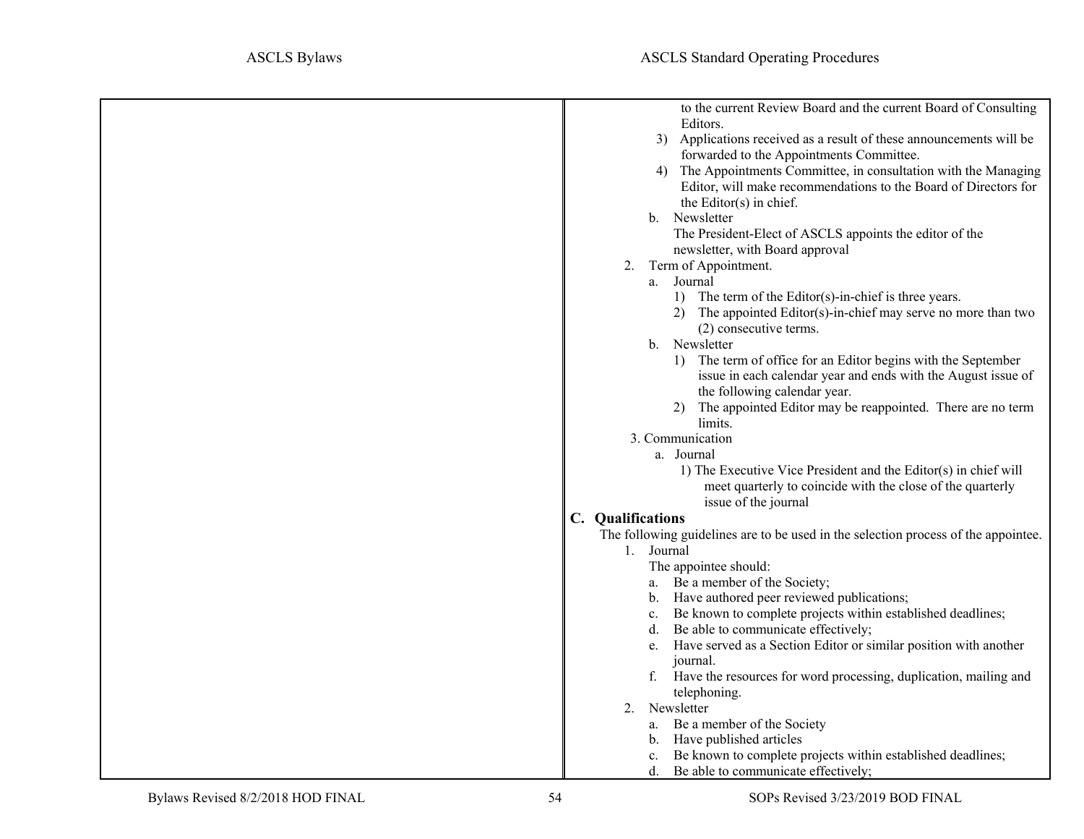<span id="page-53-1"></span><span id="page-53-0"></span>

| to the current Review Board and the current Board of Consulting<br>Editors.                              |
|----------------------------------------------------------------------------------------------------------|
| 3) Applications received as a result of these announcements will be                                      |
| forwarded to the Appointments Committee.                                                                 |
| 4) The Appointments Committee, in consultation with the Managing                                         |
| Editor, will make recommendations to the Board of Directors for                                          |
| the Editor(s) in chief.                                                                                  |
| b. Newsletter                                                                                            |
| The President-Elect of ASCLS appoints the editor of the                                                  |
| newsletter, with Board approval                                                                          |
| 2.<br>Term of Appointment.                                                                               |
| Journal<br>a.                                                                                            |
| 1) The term of the Editor(s)-in-chief is three years.                                                    |
| 2) The appointed Editor(s)-in-chief may serve no more than two                                           |
| (2) consecutive terms.<br>b. Newsletter                                                                  |
| 1) The term of office for an Editor begins with the September                                            |
| issue in each calendar year and ends with the August issue of                                            |
| the following calendar year.                                                                             |
| The appointed Editor may be reappointed. There are no term<br>2)                                         |
| limits.                                                                                                  |
| 3. Communication                                                                                         |
| a. Journal                                                                                               |
| 1) The Executive Vice President and the Editor(s) in chief will                                          |
| meet quarterly to coincide with the close of the quarterly                                               |
| issue of the journal                                                                                     |
| C. Qualifications                                                                                        |
| The following guidelines are to be used in the selection process of the appointee.                       |
| 1. Journal                                                                                               |
| The appointee should:                                                                                    |
| a. Be a member of the Society;                                                                           |
| b. Have authored peer reviewed publications;                                                             |
| Be known to complete projects within established deadlines;<br>c.<br>Be able to communicate effectively; |
| d.<br>Have served as a Section Editor or similar position with another<br>e.                             |
| journal.                                                                                                 |
| f. Have the resources for word processing, duplication, mailing and                                      |
| telephoning.                                                                                             |
| Newsletter<br>2.                                                                                         |
| a. Be a member of the Society                                                                            |
| b. Have published articles                                                                               |
| Be known to complete projects within established deadlines;<br>c.                                        |
| d. Be able to communicate effectively;                                                                   |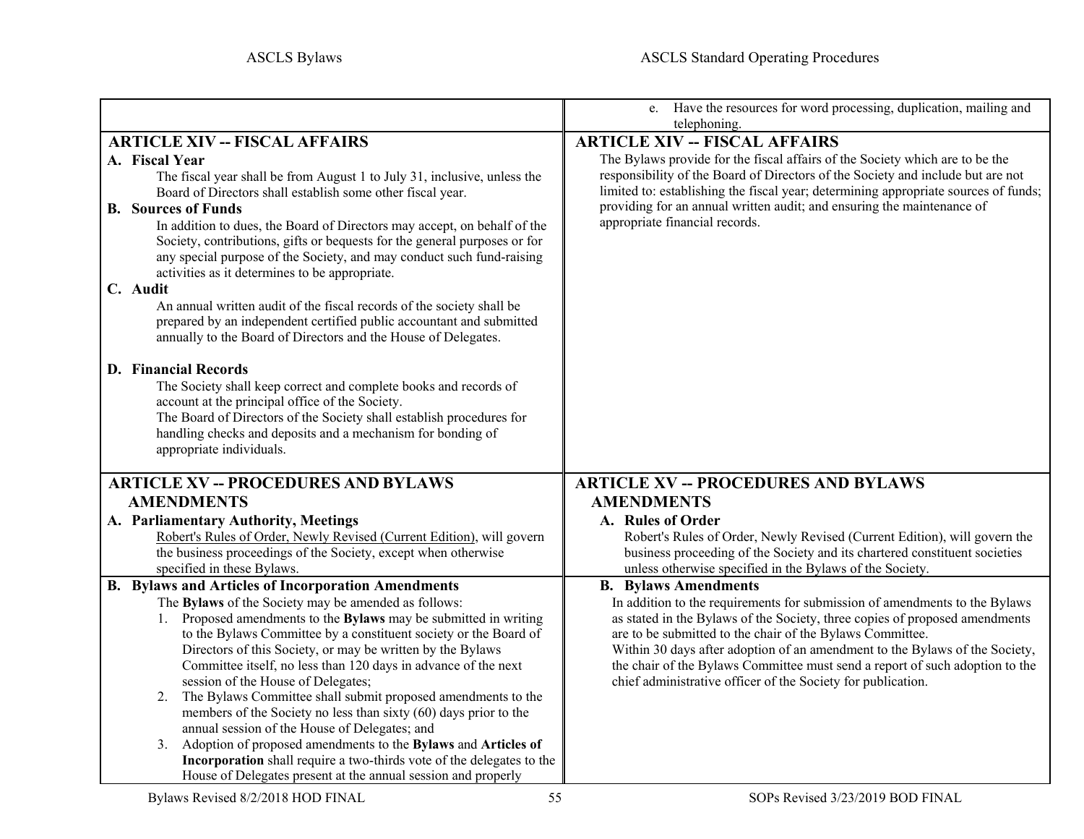<span id="page-54-7"></span><span id="page-54-6"></span><span id="page-54-5"></span><span id="page-54-4"></span><span id="page-54-3"></span><span id="page-54-2"></span><span id="page-54-1"></span><span id="page-54-0"></span>

|                                                                                                                                                                                                                                                                                                                                                                                                                                                                                                                                                                                                                                                                                                                                                                                                                                                                                                                                                                                 | e. Have the resources for word processing, duplication, mailing and                                                                                                                                                                                                                                                                                                                                                                                   |
|---------------------------------------------------------------------------------------------------------------------------------------------------------------------------------------------------------------------------------------------------------------------------------------------------------------------------------------------------------------------------------------------------------------------------------------------------------------------------------------------------------------------------------------------------------------------------------------------------------------------------------------------------------------------------------------------------------------------------------------------------------------------------------------------------------------------------------------------------------------------------------------------------------------------------------------------------------------------------------|-------------------------------------------------------------------------------------------------------------------------------------------------------------------------------------------------------------------------------------------------------------------------------------------------------------------------------------------------------------------------------------------------------------------------------------------------------|
|                                                                                                                                                                                                                                                                                                                                                                                                                                                                                                                                                                                                                                                                                                                                                                                                                                                                                                                                                                                 | telephoning.                                                                                                                                                                                                                                                                                                                                                                                                                                          |
| <b>ARTICLE XIV -- FISCAL AFFAIRS</b><br>A. Fiscal Year<br>The fiscal year shall be from August 1 to July 31, inclusive, unless the<br>Board of Directors shall establish some other fiscal year.<br><b>B.</b> Sources of Funds<br>In addition to dues, the Board of Directors may accept, on behalf of the<br>Society, contributions, gifts or bequests for the general purposes or for<br>any special purpose of the Society, and may conduct such fund-raising<br>activities as it determines to be appropriate.<br>C. Audit<br>An annual written audit of the fiscal records of the society shall be<br>prepared by an independent certified public accountant and submitted<br>annually to the Board of Directors and the House of Delegates.<br><b>D.</b> Financial Records<br>The Society shall keep correct and complete books and records of<br>account at the principal office of the Society.<br>The Board of Directors of the Society shall establish procedures for | <b>ARTICLE XIV -- FISCAL AFFAIRS</b><br>The Bylaws provide for the fiscal affairs of the Society which are to be the<br>responsibility of the Board of Directors of the Society and include but are not<br>limited to: establishing the fiscal year; determining appropriate sources of funds;<br>providing for an annual written audit; and ensuring the maintenance of<br>appropriate financial records.                                            |
| handling checks and deposits and a mechanism for bonding of<br>appropriate individuals.                                                                                                                                                                                                                                                                                                                                                                                                                                                                                                                                                                                                                                                                                                                                                                                                                                                                                         |                                                                                                                                                                                                                                                                                                                                                                                                                                                       |
|                                                                                                                                                                                                                                                                                                                                                                                                                                                                                                                                                                                                                                                                                                                                                                                                                                                                                                                                                                                 |                                                                                                                                                                                                                                                                                                                                                                                                                                                       |
| <b>ARTICLE XV -- PROCEDURES AND BYLAWS</b>                                                                                                                                                                                                                                                                                                                                                                                                                                                                                                                                                                                                                                                                                                                                                                                                                                                                                                                                      | <b>ARTICLE XV -- PROCEDURES AND BYLAWS</b>                                                                                                                                                                                                                                                                                                                                                                                                            |
| <b>AMENDMENTS</b><br>A. Parliamentary Authority, Meetings                                                                                                                                                                                                                                                                                                                                                                                                                                                                                                                                                                                                                                                                                                                                                                                                                                                                                                                       | <b>AMENDMENTS</b><br>A. Rules of Order                                                                                                                                                                                                                                                                                                                                                                                                                |
| Robert's Rules of Order, Newly Revised (Current Edition), will govern                                                                                                                                                                                                                                                                                                                                                                                                                                                                                                                                                                                                                                                                                                                                                                                                                                                                                                           | Robert's Rules of Order, Newly Revised (Current Edition), will govern the                                                                                                                                                                                                                                                                                                                                                                             |
| the business proceedings of the Society, except when otherwise<br>specified in these Bylaws.                                                                                                                                                                                                                                                                                                                                                                                                                                                                                                                                                                                                                                                                                                                                                                                                                                                                                    | business proceeding of the Society and its chartered constituent societies<br>unless otherwise specified in the Bylaws of the Society.                                                                                                                                                                                                                                                                                                                |
| <b>B.</b> Bylaws and Articles of Incorporation Amendments                                                                                                                                                                                                                                                                                                                                                                                                                                                                                                                                                                                                                                                                                                                                                                                                                                                                                                                       | <b>B.</b> Bylaws Amendments                                                                                                                                                                                                                                                                                                                                                                                                                           |
| The Bylaws of the Society may be amended as follows:<br>1. Proposed amendments to the Bylaws may be submitted in writing<br>to the Bylaws Committee by a constituent society or the Board of<br>Directors of this Society, or may be written by the Bylaws<br>Committee itself, no less than 120 days in advance of the next<br>session of the House of Delegates;                                                                                                                                                                                                                                                                                                                                                                                                                                                                                                                                                                                                              | In addition to the requirements for submission of amendments to the Bylaws<br>as stated in the Bylaws of the Society, three copies of proposed amendments<br>are to be submitted to the chair of the Bylaws Committee.<br>Within 30 days after adoption of an amendment to the Bylaws of the Society,<br>the chair of the Bylaws Committee must send a report of such adoption to the<br>chief administrative officer of the Society for publication. |
| The Bylaws Committee shall submit proposed amendments to the<br>2.<br>members of the Society no less than sixty (60) days prior to the<br>annual session of the House of Delegates; and<br>Adoption of proposed amendments to the Bylaws and Articles of<br>3.<br>Incorporation shall require a two-thirds vote of the delegates to the                                                                                                                                                                                                                                                                                                                                                                                                                                                                                                                                                                                                                                         |                                                                                                                                                                                                                                                                                                                                                                                                                                                       |
| House of Delegates present at the annual session and properly                                                                                                                                                                                                                                                                                                                                                                                                                                                                                                                                                                                                                                                                                                                                                                                                                                                                                                                   |                                                                                                                                                                                                                                                                                                                                                                                                                                                       |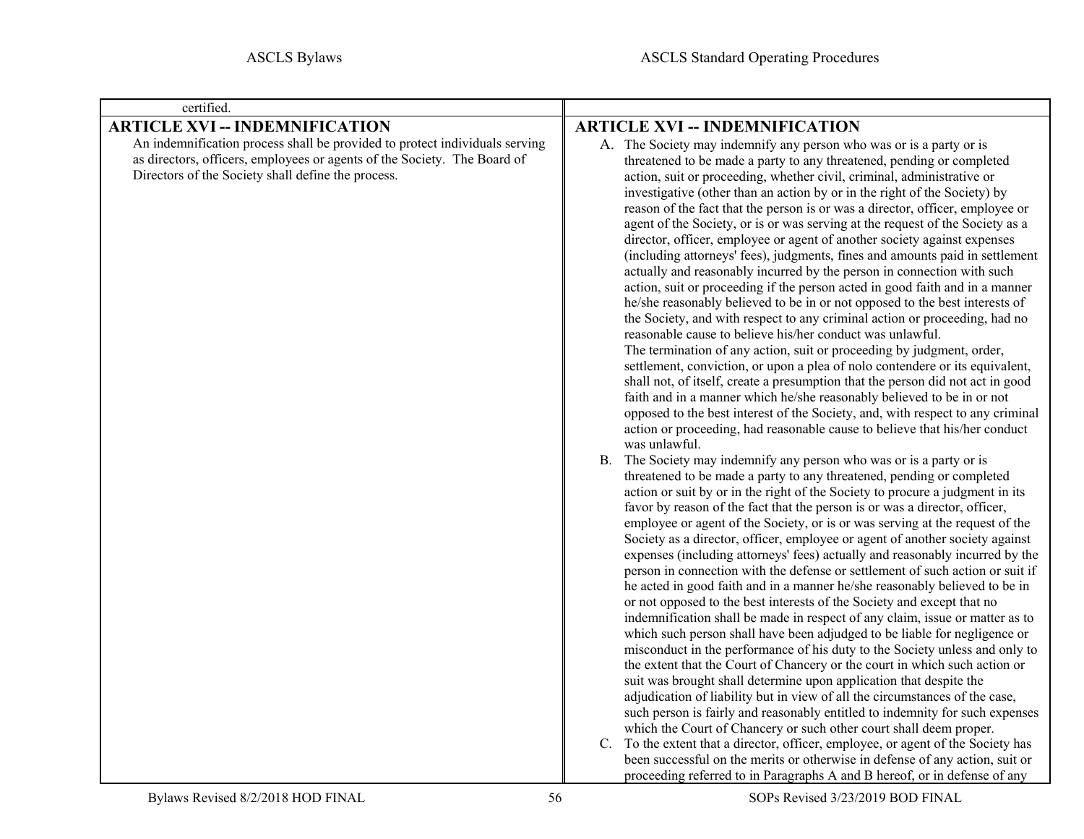<span id="page-55-0"></span>

| certified.                                                                                                                                                                                                    |                                                                                                                                                                                                                                                                                                                                                                                                                                                                                                                                                                                                                                                                                                                                                                                                                                                                                                                                                                                                                                                                                                                                                                                                                                                                                                                                                                                                                                                                                                                                                                                                                                                                                            |
|---------------------------------------------------------------------------------------------------------------------------------------------------------------------------------------------------------------|--------------------------------------------------------------------------------------------------------------------------------------------------------------------------------------------------------------------------------------------------------------------------------------------------------------------------------------------------------------------------------------------------------------------------------------------------------------------------------------------------------------------------------------------------------------------------------------------------------------------------------------------------------------------------------------------------------------------------------------------------------------------------------------------------------------------------------------------------------------------------------------------------------------------------------------------------------------------------------------------------------------------------------------------------------------------------------------------------------------------------------------------------------------------------------------------------------------------------------------------------------------------------------------------------------------------------------------------------------------------------------------------------------------------------------------------------------------------------------------------------------------------------------------------------------------------------------------------------------------------------------------------------------------------------------------------|
| <b>ARTICLE XVI -- INDEMNIFICATION</b>                                                                                                                                                                         | <b>ARTICLE XVI -- INDEMNIFICATION</b>                                                                                                                                                                                                                                                                                                                                                                                                                                                                                                                                                                                                                                                                                                                                                                                                                                                                                                                                                                                                                                                                                                                                                                                                                                                                                                                                                                                                                                                                                                                                                                                                                                                      |
| An indemnification process shall be provided to protect individuals serving<br>as directors, officers, employees or agents of the Society. The Board of<br>Directors of the Society shall define the process. | A. The Society may indemnify any person who was or is a party or is<br>threatened to be made a party to any threatened, pending or completed<br>action, suit or proceeding, whether civil, criminal, administrative or<br>investigative (other than an action by or in the right of the Society) by<br>reason of the fact that the person is or was a director, officer, employee or<br>agent of the Society, or is or was serving at the request of the Society as a<br>director, officer, employee or agent of another society against expenses<br>(including attorneys' fees), judgments, fines and amounts paid in settlement<br>actually and reasonably incurred by the person in connection with such<br>action, suit or proceeding if the person acted in good faith and in a manner<br>he/she reasonably believed to be in or not opposed to the best interests of<br>the Society, and with respect to any criminal action or proceeding, had no<br>reasonable cause to believe his/her conduct was unlawful.<br>The termination of any action, suit or proceeding by judgment, order,<br>settlement, conviction, or upon a plea of nolo contendere or its equivalent,<br>shall not, of itself, create a presumption that the person did not act in good<br>faith and in a manner which he/she reasonably believed to be in or not<br>opposed to the best interest of the Society, and, with respect to any criminal<br>action or proceeding, had reasonable cause to believe that his/her conduct<br>was unlawful.                                                                                                                                                                |
|                                                                                                                                                                                                               | B. The Society may indemnify any person who was or is a party or is<br>threatened to be made a party to any threatened, pending or completed<br>action or suit by or in the right of the Society to procure a judgment in its<br>favor by reason of the fact that the person is or was a director, officer,<br>employee or agent of the Society, or is or was serving at the request of the<br>Society as a director, officer, employee or agent of another society against<br>expenses (including attorneys' fees) actually and reasonably incurred by the<br>person in connection with the defense or settlement of such action or suit if<br>he acted in good faith and in a manner he/she reasonably believed to be in<br>or not opposed to the best interests of the Society and except that no<br>indemnification shall be made in respect of any claim, issue or matter as to<br>which such person shall have been adjudged to be liable for negligence or<br>misconduct in the performance of his duty to the Society unless and only to<br>the extent that the Court of Chancery or the court in which such action or<br>suit was brought shall determine upon application that despite the<br>adjudication of liability but in view of all the circumstances of the case,<br>such person is fairly and reasonably entitled to indemnity for such expenses<br>which the Court of Chancery or such other court shall deem proper.<br>C. To the extent that a director, officer, employee, or agent of the Society has<br>been successful on the merits or otherwise in defense of any action, suit or<br>proceeding referred to in Paragraphs A and B hereof, or in defense of any |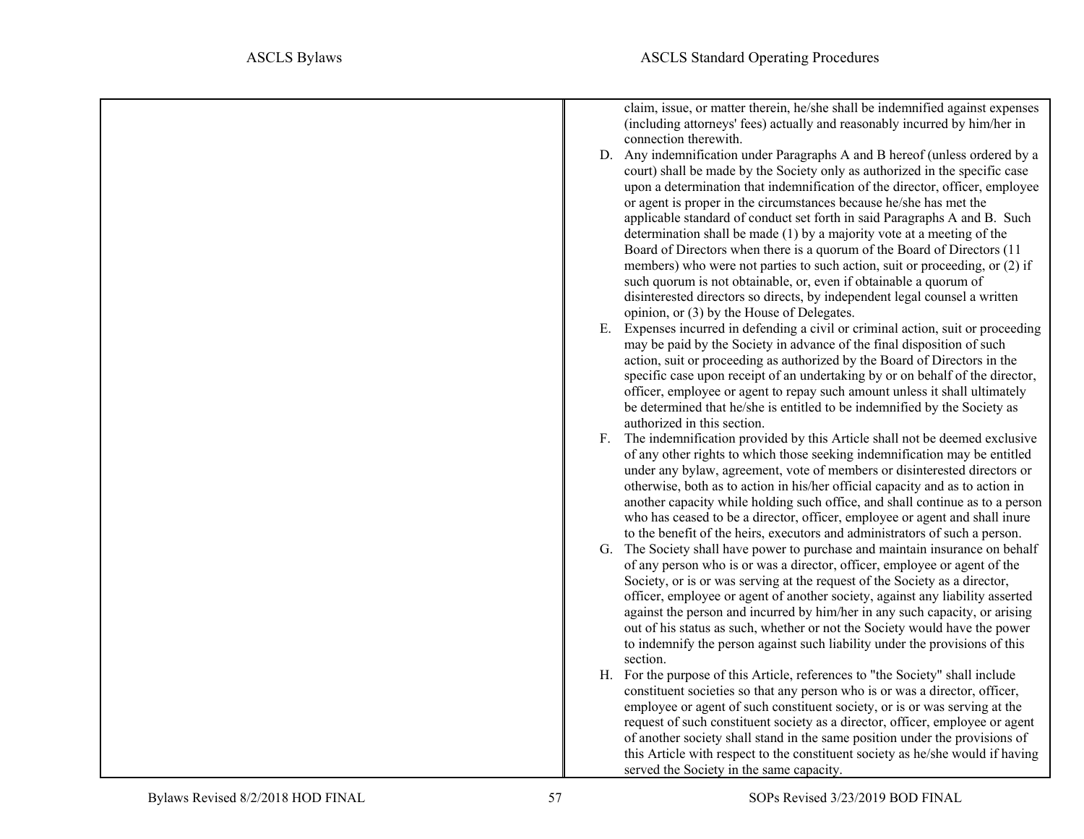|  | claim, issue, or matter therein, he/she shall be indemnified against expenses<br>(including attorneys' fees) actually and reasonably incurred by him/her in<br>connection therewith.                                                                                                                                                                                                                                                                                                                                                                                                                                                                            |
|--|-----------------------------------------------------------------------------------------------------------------------------------------------------------------------------------------------------------------------------------------------------------------------------------------------------------------------------------------------------------------------------------------------------------------------------------------------------------------------------------------------------------------------------------------------------------------------------------------------------------------------------------------------------------------|
|  | D. Any indemnification under Paragraphs A and B hereof (unless ordered by a<br>court) shall be made by the Society only as authorized in the specific case<br>upon a determination that indemnification of the director, officer, employee<br>or agent is proper in the circumstances because he/she has met the<br>applicable standard of conduct set forth in said Paragraphs A and B. Such<br>determination shall be made (1) by a majority vote at a meeting of the<br>Board of Directors when there is a quorum of the Board of Directors (11                                                                                                              |
|  | members) who were not parties to such action, suit or proceeding, or (2) if<br>such quorum is not obtainable, or, even if obtainable a quorum of<br>disinterested directors so directs, by independent legal counsel a written                                                                                                                                                                                                                                                                                                                                                                                                                                  |
|  | opinion, or (3) by the House of Delegates.<br>E. Expenses incurred in defending a civil or criminal action, suit or proceeding<br>may be paid by the Society in advance of the final disposition of such<br>action, suit or proceeding as authorized by the Board of Directors in the<br>specific case upon receipt of an undertaking by or on behalf of the director,<br>officer, employee or agent to repay such amount unless it shall ultimately<br>be determined that he/she is entitled to be indemnified by the Society as<br>authorized in this section.                                                                                                |
|  | F. The indemnification provided by this Article shall not be deemed exclusive<br>of any other rights to which those seeking indemnification may be entitled<br>under any bylaw, agreement, vote of members or disinterested directors or<br>otherwise, both as to action in his/her official capacity and as to action in<br>another capacity while holding such office, and shall continue as to a person<br>who has ceased to be a director, officer, employee or agent and shall inure                                                                                                                                                                       |
|  | to the benefit of the heirs, executors and administrators of such a person.<br>G. The Society shall have power to purchase and maintain insurance on behalf<br>of any person who is or was a director, officer, employee or agent of the<br>Society, or is or was serving at the request of the Society as a director,<br>officer, employee or agent of another society, against any liability asserted<br>against the person and incurred by him/her in any such capacity, or arising<br>out of his status as such, whether or not the Society would have the power<br>to indemnify the person against such liability under the provisions of this<br>section. |
|  | H. For the purpose of this Article, references to "the Society" shall include<br>constituent societies so that any person who is or was a director, officer,<br>employee or agent of such constituent society, or is or was serving at the<br>request of such constituent society as a director, officer, employee or agent<br>of another society shall stand in the same position under the provisions of<br>this Article with respect to the constituent society as he/she would if having<br>served the Society in the same capacity.                                                                                                                        |